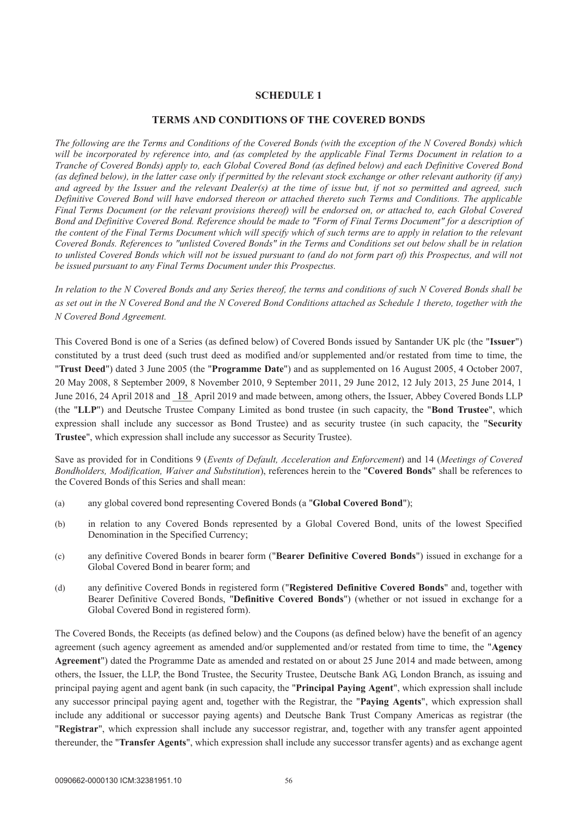# **SCHEDULE 1**

### **TERMS AND CONDITIONS OF THE COVERED BONDS**

*The following are the Terms and Conditions of the Covered Bonds (with the exception of the N Covered Bonds) which will be incorporated by reference into, and (as completed by the applicable Final Terms Document in relation to a Tranche of Covered Bonds) apply to, each Global Covered Bond (as defined below) and each Definitive Covered Bond (as defined below), in the latter case only if permitted by the relevant stock exchange or other relevant authority (if any) and agreed by the Issuer and the relevant Dealer(s) at the time of issue but, if not so permitted and agreed, such Definitive Covered Bond will have endorsed thereon or attached thereto such Terms and Conditions. The applicable Final Terms Document (or the relevant provisions thereof) will be endorsed on, or attached to, each Global Covered Bond and Definitive Covered Bond. Reference should be made to "Form of Final Terms Document" for a description of the content of the Final Terms Document which will specify which of such terms are to apply in relation to the relevant Covered Bonds. References to "unlisted Covered Bonds" in the Terms and Conditions set out below shall be in relation to unlisted Covered Bonds which will not be issued pursuant to (and do not form part of) this Prospectus, and will not be issued pursuant to any Final Terms Document under this Prospectus.* 

*In relation to the N Covered Bonds and any Series thereof, the terms and conditions of such N Covered Bonds shall be as set out in the N Covered Bond and the N Covered Bond Conditions attached as Schedule 1 thereto, together with the N Covered Bond Agreement.* 

This Covered Bond is one of a Series (as defined below) of Covered Bonds issued by Santander UK plc (the "**Issuer**") constituted by a trust deed (such trust deed as modified and/or supplemented and/or restated from time to time, the "**Trust Deed**") dated 3 June 2005 (the "**Programme Date**") and as supplemented on 16 August 2005, 4 October 2007, 20 May 2008, 8 September 2009, 8 November 2010, 9 September 2011, 29 June 2012, 12 July 2013, 25 June 2014, 1 June 2016, 24 April 2018 and  $\frac{18}{18}$  April 2019 and made between, among others, the Issuer, Abbey Covered Bonds LLP (the "**LLP**") and Deutsche Trustee Company Limited as bond trustee (in such capacity, the "**Bond Trustee**", which expression shall include any successor as Bond Trustee) and as security trustee (in such capacity, the "**Security Trustee**", which expression shall include any successor as Security Trustee).

Save as provided for in Conditions 9 (*Events of Default, Acceleration and Enforcement*) and 14 (*Meetings of Covered Bondholders, Modification, Waiver and Substitution*), references herein to the "**Covered Bonds**" shall be references to the Covered Bonds of this Series and shall mean:

- (a) any global covered bond representing Covered Bonds (a "**Global Covered Bond**");
- (b) in relation to any Covered Bonds represented by a Global Covered Bond, units of the lowest Specified Denomination in the Specified Currency;
- (c) any definitive Covered Bonds in bearer form ("**Bearer Definitive Covered Bonds**") issued in exchange for a Global Covered Bond in bearer form; and
- (d) any definitive Covered Bonds in registered form ("**Registered Definitive Covered Bonds**" and, together with Bearer Definitive Covered Bonds, "**Definitive Covered Bonds**") (whether or not issued in exchange for a Global Covered Bond in registered form).

The Covered Bonds, the Receipts (as defined below) and the Coupons (as defined below) have the benefit of an agency agreement (such agency agreement as amended and/or supplemented and/or restated from time to time, the "**Agency Agreement**") dated the Programme Date as amended and restated on or about 25 June 2014 and made between, among others, the Issuer, the LLP, the Bond Trustee, the Security Trustee, Deutsche Bank AG, London Branch, as issuing and principal paying agent and agent bank (in such capacity, the "**Principal Paying Agent**", which expression shall include any successor principal paying agent and, together with the Registrar, the "**Paying Agents**", which expression shall include any additional or successor paying agents) and Deutsche Bank Trust Company Americas as registrar (the "**Registrar**", which expression shall include any successor registrar, and, together with any transfer agent appointed thereunder, the "**Transfer Agents**", which expression shall include any successor transfer agents) and as exchange agent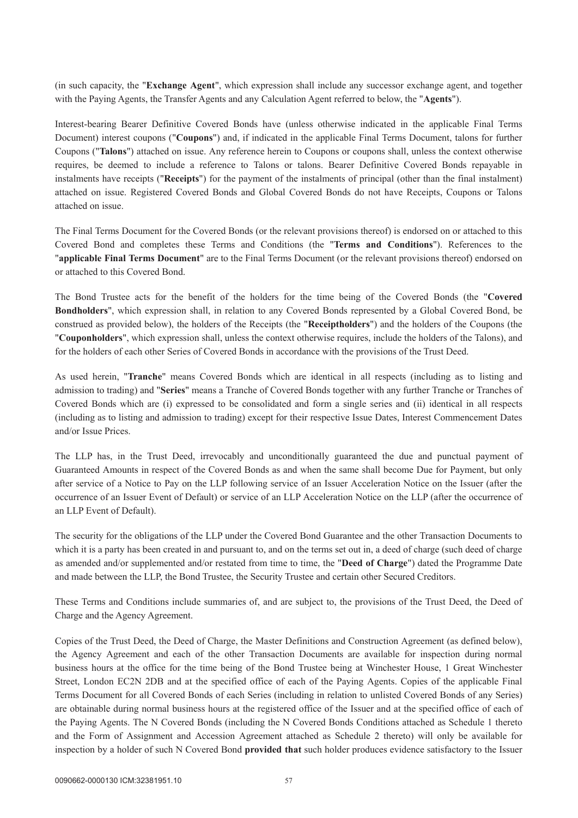(in such capacity, the "**Exchange Agent**", which expression shall include any successor exchange agent, and together with the Paying Agents, the Transfer Agents and any Calculation Agent referred to below, the "**Agents**").

Interest-bearing Bearer Definitive Covered Bonds have (unless otherwise indicated in the applicable Final Terms Document) interest coupons ("**Coupons**") and, if indicated in the applicable Final Terms Document, talons for further Coupons ("**Talons**") attached on issue. Any reference herein to Coupons or coupons shall, unless the context otherwise requires, be deemed to include a reference to Talons or talons. Bearer Definitive Covered Bonds repayable in instalments have receipts ("**Receipts**") for the payment of the instalments of principal (other than the final instalment) attached on issue. Registered Covered Bonds and Global Covered Bonds do not have Receipts, Coupons or Talons attached on issue.

The Final Terms Document for the Covered Bonds (or the relevant provisions thereof) is endorsed on or attached to this Covered Bond and completes these Terms and Conditions (the "**Terms and Conditions**"). References to the "**applicable Final Terms Document**" are to the Final Terms Document (or the relevant provisions thereof) endorsed on or attached to this Covered Bond.

The Bond Trustee acts for the benefit of the holders for the time being of the Covered Bonds (the "**Covered Bondholders**", which expression shall, in relation to any Covered Bonds represented by a Global Covered Bond, be construed as provided below), the holders of the Receipts (the "**Receiptholders**") and the holders of the Coupons (the "**Couponholders**", which expression shall, unless the context otherwise requires, include the holders of the Talons), and for the holders of each other Series of Covered Bonds in accordance with the provisions of the Trust Deed.

As used herein, "**Tranche**" means Covered Bonds which are identical in all respects (including as to listing and admission to trading) and "**Series**" means a Tranche of Covered Bonds together with any further Tranche or Tranches of Covered Bonds which are (i) expressed to be consolidated and form a single series and (ii) identical in all respects (including as to listing and admission to trading) except for their respective Issue Dates, Interest Commencement Dates and/or Issue Prices.

The LLP has, in the Trust Deed, irrevocably and unconditionally guaranteed the due and punctual payment of Guaranteed Amounts in respect of the Covered Bonds as and when the same shall become Due for Payment, but only after service of a Notice to Pay on the LLP following service of an Issuer Acceleration Notice on the Issuer (after the occurrence of an Issuer Event of Default) or service of an LLP Acceleration Notice on the LLP (after the occurrence of an LLP Event of Default).

The security for the obligations of the LLP under the Covered Bond Guarantee and the other Transaction Documents to which it is a party has been created in and pursuant to, and on the terms set out in, a deed of charge (such deed of charge as amended and/or supplemented and/or restated from time to time, the "**Deed of Charge**") dated the Programme Date and made between the LLP, the Bond Trustee, the Security Trustee and certain other Secured Creditors.

These Terms and Conditions include summaries of, and are subject to, the provisions of the Trust Deed, the Deed of Charge and the Agency Agreement.

Copies of the Trust Deed, the Deed of Charge, the Master Definitions and Construction Agreement (as defined below), the Agency Agreement and each of the other Transaction Documents are available for inspection during normal business hours at the office for the time being of the Bond Trustee being at Winchester House, 1 Great Winchester Street, London EC2N 2DB and at the specified office of each of the Paying Agents. Copies of the applicable Final Terms Document for all Covered Bonds of each Series (including in relation to unlisted Covered Bonds of any Series) are obtainable during normal business hours at the registered office of the Issuer and at the specified office of each of the Paying Agents. The N Covered Bonds (including the N Covered Bonds Conditions attached as Schedule 1 thereto and the Form of Assignment and Accession Agreement attached as Schedule 2 thereto) will only be available for inspection by a holder of such N Covered Bond **provided that** such holder produces evidence satisfactory to the Issuer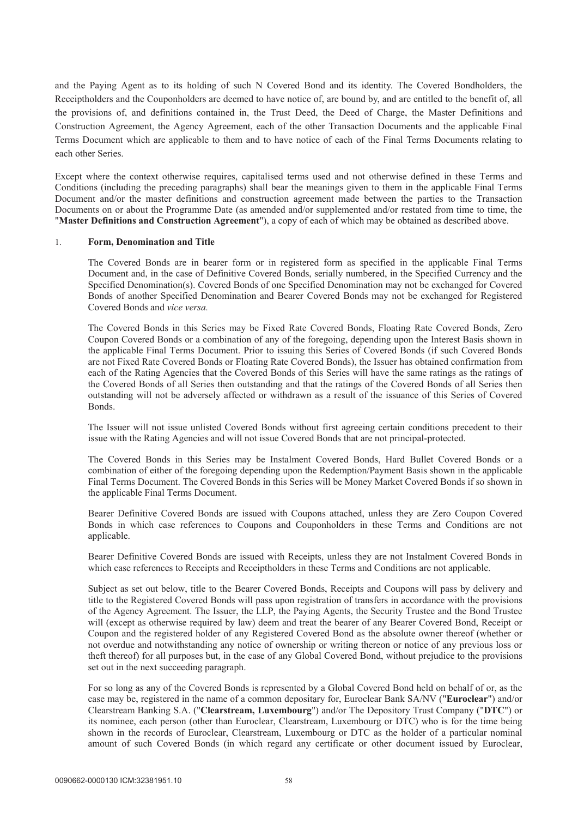and the Paying Agent as to its holding of such N Covered Bond and its identity. The Covered Bondholders, the Receiptholders and the Couponholders are deemed to have notice of, are bound by, and are entitled to the benefit of, all the provisions of, and definitions contained in, the Trust Deed, the Deed of Charge, the Master Definitions and Construction Agreement, the Agency Agreement, each of the other Transaction Documents and the applicable Final Terms Document which are applicable to them and to have notice of each of the Final Terms Documents relating to each other Series.

Except where the context otherwise requires, capitalised terms used and not otherwise defined in these Terms and Conditions (including the preceding paragraphs) shall bear the meanings given to them in the applicable Final Terms Document and/or the master definitions and construction agreement made between the parties to the Transaction Documents on or about the Programme Date (as amended and/or supplemented and/or restated from time to time, the "**Master Definitions and Construction Agreement**"), a copy of each of which may be obtained as described above.

#### 1. **Form, Denomination and Title**

The Covered Bonds are in bearer form or in registered form as specified in the applicable Final Terms Document and, in the case of Definitive Covered Bonds, serially numbered, in the Specified Currency and the Specified Denomination(s). Covered Bonds of one Specified Denomination may not be exchanged for Covered Bonds of another Specified Denomination and Bearer Covered Bonds may not be exchanged for Registered Covered Bonds and *vice versa.* 

The Covered Bonds in this Series may be Fixed Rate Covered Bonds, Floating Rate Covered Bonds, Zero Coupon Covered Bonds or a combination of any of the foregoing, depending upon the Interest Basis shown in the applicable Final Terms Document. Prior to issuing this Series of Covered Bonds (if such Covered Bonds are not Fixed Rate Covered Bonds or Floating Rate Covered Bonds), the Issuer has obtained confirmation from each of the Rating Agencies that the Covered Bonds of this Series will have the same ratings as the ratings of the Covered Bonds of all Series then outstanding and that the ratings of the Covered Bonds of all Series then outstanding will not be adversely affected or withdrawn as a result of the issuance of this Series of Covered Bonds.

The Issuer will not issue unlisted Covered Bonds without first agreeing certain conditions precedent to their issue with the Rating Agencies and will not issue Covered Bonds that are not principal-protected.

The Covered Bonds in this Series may be Instalment Covered Bonds, Hard Bullet Covered Bonds or a combination of either of the foregoing depending upon the Redemption/Payment Basis shown in the applicable Final Terms Document. The Covered Bonds in this Series will be Money Market Covered Bonds if so shown in the applicable Final Terms Document.

Bearer Definitive Covered Bonds are issued with Coupons attached, unless they are Zero Coupon Covered Bonds in which case references to Coupons and Couponholders in these Terms and Conditions are not applicable.

Bearer Definitive Covered Bonds are issued with Receipts, unless they are not Instalment Covered Bonds in which case references to Receipts and Receiptholders in these Terms and Conditions are not applicable.

Subject as set out below, title to the Bearer Covered Bonds, Receipts and Coupons will pass by delivery and title to the Registered Covered Bonds will pass upon registration of transfers in accordance with the provisions of the Agency Agreement. The Issuer, the LLP, the Paying Agents, the Security Trustee and the Bond Trustee will (except as otherwise required by law) deem and treat the bearer of any Bearer Covered Bond, Receipt or Coupon and the registered holder of any Registered Covered Bond as the absolute owner thereof (whether or not overdue and notwithstanding any notice of ownership or writing thereon or notice of any previous loss or theft thereof) for all purposes but, in the case of any Global Covered Bond, without prejudice to the provisions set out in the next succeeding paragraph.

For so long as any of the Covered Bonds is represented by a Global Covered Bond held on behalf of or, as the case may be, registered in the name of a common depositary for, Euroclear Bank SA/NV ("**Euroclear**") and/or Clearstream Banking S.A. ("**Clearstream, Luxembourg**") and/or The Depository Trust Company ("**DTC**") or its nominee, each person (other than Euroclear, Clearstream, Luxembourg or DTC) who is for the time being shown in the records of Euroclear, Clearstream, Luxembourg or DTC as the holder of a particular nominal amount of such Covered Bonds (in which regard any certificate or other document issued by Euroclear,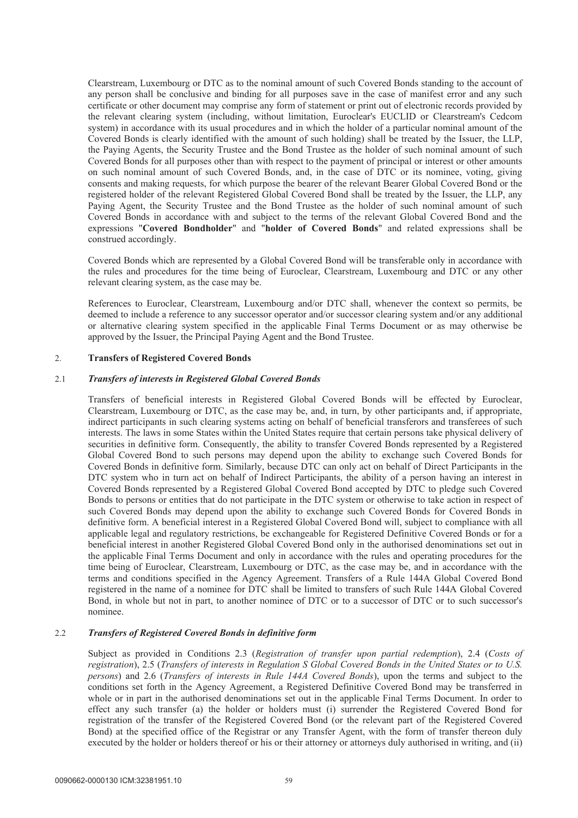Clearstream, Luxembourg or DTC as to the nominal amount of such Covered Bonds standing to the account of any person shall be conclusive and binding for all purposes save in the case of manifest error and any such certificate or other document may comprise any form of statement or print out of electronic records provided by the relevant clearing system (including, without limitation, Euroclear's EUCLID or Clearstream's Cedcom system) in accordance with its usual procedures and in which the holder of a particular nominal amount of the Covered Bonds is clearly identified with the amount of such holding) shall be treated by the Issuer, the LLP, the Paying Agents, the Security Trustee and the Bond Trustee as the holder of such nominal amount of such Covered Bonds for all purposes other than with respect to the payment of principal or interest or other amounts on such nominal amount of such Covered Bonds, and, in the case of DTC or its nominee, voting, giving consents and making requests, for which purpose the bearer of the relevant Bearer Global Covered Bond or the registered holder of the relevant Registered Global Covered Bond shall be treated by the Issuer, the LLP, any Paying Agent, the Security Trustee and the Bond Trustee as the holder of such nominal amount of such Covered Bonds in accordance with and subject to the terms of the relevant Global Covered Bond and the expressions "**Covered Bondholder**" and "**holder of Covered Bonds**" and related expressions shall be construed accordingly.

Covered Bonds which are represented by a Global Covered Bond will be transferable only in accordance with the rules and procedures for the time being of Euroclear, Clearstream, Luxembourg and DTC or any other relevant clearing system, as the case may be.

References to Euroclear, Clearstream, Luxembourg and/or DTC shall, whenever the context so permits, be deemed to include a reference to any successor operator and/or successor clearing system and/or any additional or alternative clearing system specified in the applicable Final Terms Document or as may otherwise be approved by the Issuer, the Principal Paying Agent and the Bond Trustee.

### 2. **Transfers of Registered Covered Bonds**

#### 2.1 *Transfers of interests in Registered Global Covered Bonds*

Transfers of beneficial interests in Registered Global Covered Bonds will be effected by Euroclear, Clearstream, Luxembourg or DTC, as the case may be, and, in turn, by other participants and, if appropriate, indirect participants in such clearing systems acting on behalf of beneficial transferors and transferees of such interests. The laws in some States within the United States require that certain persons take physical delivery of securities in definitive form. Consequently, the ability to transfer Covered Bonds represented by a Registered Global Covered Bond to such persons may depend upon the ability to exchange such Covered Bonds for Covered Bonds in definitive form. Similarly, because DTC can only act on behalf of Direct Participants in the DTC system who in turn act on behalf of Indirect Participants, the ability of a person having an interest in Covered Bonds represented by a Registered Global Covered Bond accepted by DTC to pledge such Covered Bonds to persons or entities that do not participate in the DTC system or otherwise to take action in respect of such Covered Bonds may depend upon the ability to exchange such Covered Bonds for Covered Bonds in definitive form. A beneficial interest in a Registered Global Covered Bond will, subject to compliance with all applicable legal and regulatory restrictions, be exchangeable for Registered Definitive Covered Bonds or for a beneficial interest in another Registered Global Covered Bond only in the authorised denominations set out in the applicable Final Terms Document and only in accordance with the rules and operating procedures for the time being of Euroclear, Clearstream, Luxembourg or DTC, as the case may be, and in accordance with the terms and conditions specified in the Agency Agreement. Transfers of a Rule 144A Global Covered Bond registered in the name of a nominee for DTC shall be limited to transfers of such Rule 144A Global Covered Bond, in whole but not in part, to another nominee of DTC or to a successor of DTC or to such successor's nominee.

### 2.2 *Transfers of Registered Covered Bonds in definitive form*

Subject as provided in Conditions 2.3 (*Registration of transfer upon partial redemption*), 2.4 (*Costs of registration*), 2.5 (*Transfers of interests in Regulation S Global Covered Bonds in the United States or to U.S. persons*) and 2.6 (*Transfers of interests in Rule 144A Covered Bonds*), upon the terms and subject to the conditions set forth in the Agency Agreement, a Registered Definitive Covered Bond may be transferred in whole or in part in the authorised denominations set out in the applicable Final Terms Document. In order to effect any such transfer (a) the holder or holders must (i) surrender the Registered Covered Bond for registration of the transfer of the Registered Covered Bond (or the relevant part of the Registered Covered Bond) at the specified office of the Registrar or any Transfer Agent, with the form of transfer thereon duly executed by the holder or holders thereof or his or their attorney or attorneys duly authorised in writing, and (ii)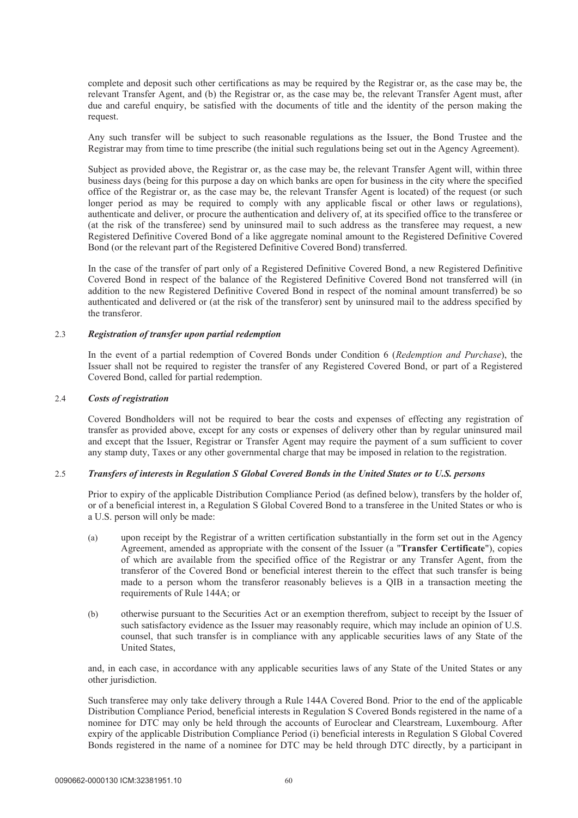complete and deposit such other certifications as may be required by the Registrar or, as the case may be, the relevant Transfer Agent, and (b) the Registrar or, as the case may be, the relevant Transfer Agent must, after due and careful enquiry, be satisfied with the documents of title and the identity of the person making the request.

Any such transfer will be subject to such reasonable regulations as the Issuer, the Bond Trustee and the Registrar may from time to time prescribe (the initial such regulations being set out in the Agency Agreement).

Subject as provided above, the Registrar or, as the case may be, the relevant Transfer Agent will, within three business days (being for this purpose a day on which banks are open for business in the city where the specified office of the Registrar or, as the case may be, the relevant Transfer Agent is located) of the request (or such longer period as may be required to comply with any applicable fiscal or other laws or regulations), authenticate and deliver, or procure the authentication and delivery of, at its specified office to the transferee or (at the risk of the transferee) send by uninsured mail to such address as the transferee may request, a new Registered Definitive Covered Bond of a like aggregate nominal amount to the Registered Definitive Covered Bond (or the relevant part of the Registered Definitive Covered Bond) transferred.

In the case of the transfer of part only of a Registered Definitive Covered Bond, a new Registered Definitive Covered Bond in respect of the balance of the Registered Definitive Covered Bond not transferred will (in addition to the new Registered Definitive Covered Bond in respect of the nominal amount transferred) be so authenticated and delivered or (at the risk of the transferor) sent by uninsured mail to the address specified by the transferor.

### 2.3 *Registration of transfer upon partial redemption*

In the event of a partial redemption of Covered Bonds under Condition 6 (*Redemption and Purchase*), the Issuer shall not be required to register the transfer of any Registered Covered Bond, or part of a Registered Covered Bond, called for partial redemption.

### 2.4 *Costs of registration*

Covered Bondholders will not be required to bear the costs and expenses of effecting any registration of transfer as provided above, except for any costs or expenses of delivery other than by regular uninsured mail and except that the Issuer, Registrar or Transfer Agent may require the payment of a sum sufficient to cover any stamp duty, Taxes or any other governmental charge that may be imposed in relation to the registration.

### 2.5 *Transfers of interests in Regulation S Global Covered Bonds in the United States or to U.S. persons*

Prior to expiry of the applicable Distribution Compliance Period (as defined below), transfers by the holder of, or of a beneficial interest in, a Regulation S Global Covered Bond to a transferee in the United States or who is a U.S. person will only be made:

- (a) upon receipt by the Registrar of a written certification substantially in the form set out in the Agency Agreement, amended as appropriate with the consent of the Issuer (a "**Transfer Certificate**"), copies of which are available from the specified office of the Registrar or any Transfer Agent, from the transferor of the Covered Bond or beneficial interest therein to the effect that such transfer is being made to a person whom the transferor reasonably believes is a QIB in a transaction meeting the requirements of Rule 144A; or
- (b) otherwise pursuant to the Securities Act or an exemption therefrom, subject to receipt by the Issuer of such satisfactory evidence as the Issuer may reasonably require, which may include an opinion of U.S. counsel, that such transfer is in compliance with any applicable securities laws of any State of the United States,

and, in each case, in accordance with any applicable securities laws of any State of the United States or any other jurisdiction.

Such transferee may only take delivery through a Rule 144A Covered Bond. Prior to the end of the applicable Distribution Compliance Period, beneficial interests in Regulation S Covered Bonds registered in the name of a nominee for DTC may only be held through the accounts of Euroclear and Clearstream, Luxembourg. After expiry of the applicable Distribution Compliance Period (i) beneficial interests in Regulation S Global Covered Bonds registered in the name of a nominee for DTC may be held through DTC directly, by a participant in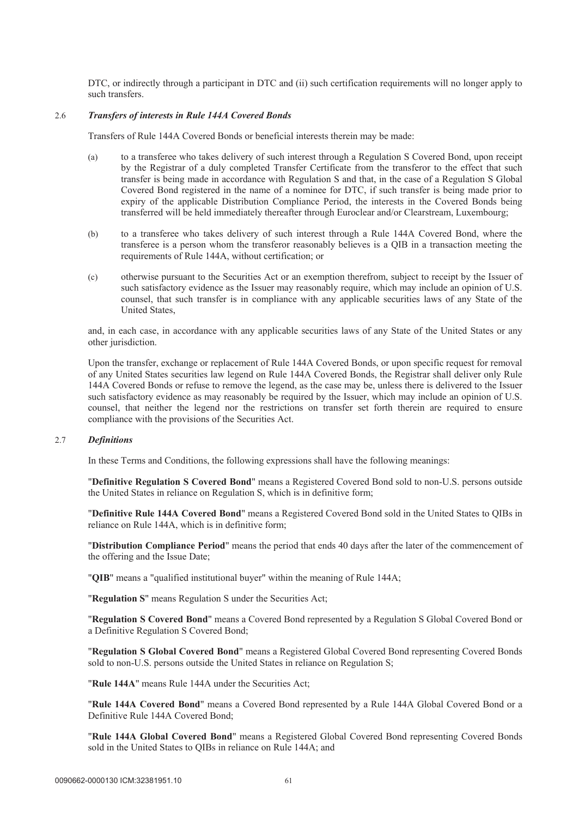DTC, or indirectly through a participant in DTC and (ii) such certification requirements will no longer apply to such transfers.

### 2.6 *Transfers of interests in Rule 144A Covered Bonds*

Transfers of Rule 144A Covered Bonds or beneficial interests therein may be made:

- (a) to a transferee who takes delivery of such interest through a Regulation S Covered Bond, upon receipt by the Registrar of a duly completed Transfer Certificate from the transferor to the effect that such transfer is being made in accordance with Regulation S and that, in the case of a Regulation S Global Covered Bond registered in the name of a nominee for DTC, if such transfer is being made prior to expiry of the applicable Distribution Compliance Period, the interests in the Covered Bonds being transferred will be held immediately thereafter through Euroclear and/or Clearstream, Luxembourg;
- (b) to a transferee who takes delivery of such interest through a Rule 144A Covered Bond, where the transferee is a person whom the transferor reasonably believes is a QIB in a transaction meeting the requirements of Rule 144A, without certification; or
- (c) otherwise pursuant to the Securities Act or an exemption therefrom, subject to receipt by the Issuer of such satisfactory evidence as the Issuer may reasonably require, which may include an opinion of U.S. counsel, that such transfer is in compliance with any applicable securities laws of any State of the United States,

and, in each case, in accordance with any applicable securities laws of any State of the United States or any other jurisdiction.

Upon the transfer, exchange or replacement of Rule 144A Covered Bonds, or upon specific request for removal of any United States securities law legend on Rule 144A Covered Bonds, the Registrar shall deliver only Rule 144A Covered Bonds or refuse to remove the legend, as the case may be, unless there is delivered to the Issuer such satisfactory evidence as may reasonably be required by the Issuer, which may include an opinion of U.S. counsel, that neither the legend nor the restrictions on transfer set forth therein are required to ensure compliance with the provisions of the Securities Act.

#### 2.7 *Definitions*

In these Terms and Conditions, the following expressions shall have the following meanings:

"**Definitive Regulation S Covered Bond**" means a Registered Covered Bond sold to non-U.S. persons outside the United States in reliance on Regulation S, which is in definitive form;

"**Definitive Rule 144A Covered Bond**" means a Registered Covered Bond sold in the United States to QIBs in reliance on Rule 144A, which is in definitive form;

"**Distribution Compliance Period**" means the period that ends 40 days after the later of the commencement of the offering and the Issue Date;

"**QIB**" means a "qualified institutional buyer" within the meaning of Rule 144A;

"**Regulation S**" means Regulation S under the Securities Act;

"**Regulation S Covered Bond**" means a Covered Bond represented by a Regulation S Global Covered Bond or a Definitive Regulation S Covered Bond;

"**Regulation S Global Covered Bond**" means a Registered Global Covered Bond representing Covered Bonds sold to non-U.S. persons outside the United States in reliance on Regulation S;

"**Rule 144A**" means Rule 144A under the Securities Act;

"**Rule 144A Covered Bond**" means a Covered Bond represented by a Rule 144A Global Covered Bond or a Definitive Rule 144A Covered Bond;

"**Rule 144A Global Covered Bond**" means a Registered Global Covered Bond representing Covered Bonds sold in the United States to QIBs in reliance on Rule 144A; and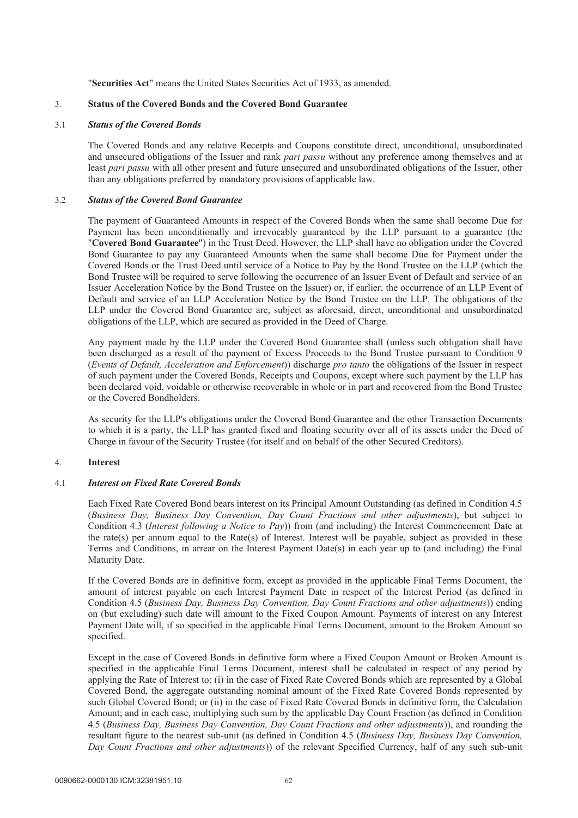"**Securities Act**" means the United States Securities Act of 1933, as amended.

### 3. **Status of the Covered Bonds and the Covered Bond Guarantee**

#### 3.1 *Status of the Covered Bonds*

The Covered Bonds and any relative Receipts and Coupons constitute direct, unconditional, unsubordinated and unsecured obligations of the Issuer and rank *pari passu* without any preference among themselves and at least *pari passu* with all other present and future unsecured and unsubordinated obligations of the Issuer, other than any obligations preferred by mandatory provisions of applicable law.

### 3.2 *Status of the Covered Bond Guarantee*

The payment of Guaranteed Amounts in respect of the Covered Bonds when the same shall become Due for Payment has been unconditionally and irrevocably guaranteed by the LLP pursuant to a guarantee (the "**Covered Bond Guarantee**") in the Trust Deed. However, the LLP shall have no obligation under the Covered Bond Guarantee to pay any Guaranteed Amounts when the same shall become Due for Payment under the Covered Bonds or the Trust Deed until service of a Notice to Pay by the Bond Trustee on the LLP (which the Bond Trustee will be required to serve following the occurrence of an Issuer Event of Default and service of an Issuer Acceleration Notice by the Bond Trustee on the Issuer) or, if earlier, the occurrence of an LLP Event of Default and service of an LLP Acceleration Notice by the Bond Trustee on the LLP. The obligations of the LLP under the Covered Bond Guarantee are, subject as aforesaid, direct, unconditional and unsubordinated obligations of the LLP, which are secured as provided in the Deed of Charge.

Any payment made by the LLP under the Covered Bond Guarantee shall (unless such obligation shall have been discharged as a result of the payment of Excess Proceeds to the Bond Trustee pursuant to Condition 9 (*Events of Default, Acceleration and Enforcement*)) discharge *pro tanto* the obligations of the Issuer in respect of such payment under the Covered Bonds, Receipts and Coupons, except where such payment by the LLP has been declared void, voidable or otherwise recoverable in whole or in part and recovered from the Bond Trustee or the Covered Bondholders.

As security for the LLP's obligations under the Covered Bond Guarantee and the other Transaction Documents to which it is a party, the LLP has granted fixed and floating security over all of its assets under the Deed of Charge in favour of the Security Trustee (for itself and on behalf of the other Secured Creditors).

### 4. **Interest**

### 4.1 *Interest on Fixed Rate Covered Bonds*

Each Fixed Rate Covered Bond bears interest on its Principal Amount Outstanding (as defined in Condition 4.5 (*Business Day, Business Day Convention, Day Count Fractions and other adjustments*), but subject to Condition 4.3 (*Interest following a Notice to Pay*)) from (and including) the Interest Commencement Date at the rate(s) per annum equal to the Rate(s) of Interest. Interest will be payable, subject as provided in these Terms and Conditions, in arrear on the Interest Payment Date(s) in each year up to (and including) the Final Maturity Date.

If the Covered Bonds are in definitive form, except as provided in the applicable Final Terms Document, the amount of interest payable on each Interest Payment Date in respect of the Interest Period (as defined in Condition 4.5 (*Business Day, Business Day Convention, Day Count Fractions and other adjustments*)) ending on (but excluding) such date will amount to the Fixed Coupon Amount. Payments of interest on any Interest Payment Date will, if so specified in the applicable Final Terms Document, amount to the Broken Amount so specified.

Except in the case of Covered Bonds in definitive form where a Fixed Coupon Amount or Broken Amount is specified in the applicable Final Terms Document, interest shall be calculated in respect of any period by applying the Rate of Interest to: (i) in the case of Fixed Rate Covered Bonds which are represented by a Global Covered Bond, the aggregate outstanding nominal amount of the Fixed Rate Covered Bonds represented by such Global Covered Bond; or (ii) in the case of Fixed Rate Covered Bonds in definitive form, the Calculation Amount; and in each case, multiplying such sum by the applicable Day Count Fraction (as defined in Condition 4.5 (*Business Day, Business Day Convention, Day Count Fractions and other adjustments*)), and rounding the resultant figure to the nearest sub-unit (as defined in Condition 4.5 (*Business Day, Business Day Convention, Day Count Fractions and other adjustments*)) of the relevant Specified Currency, half of any such sub-unit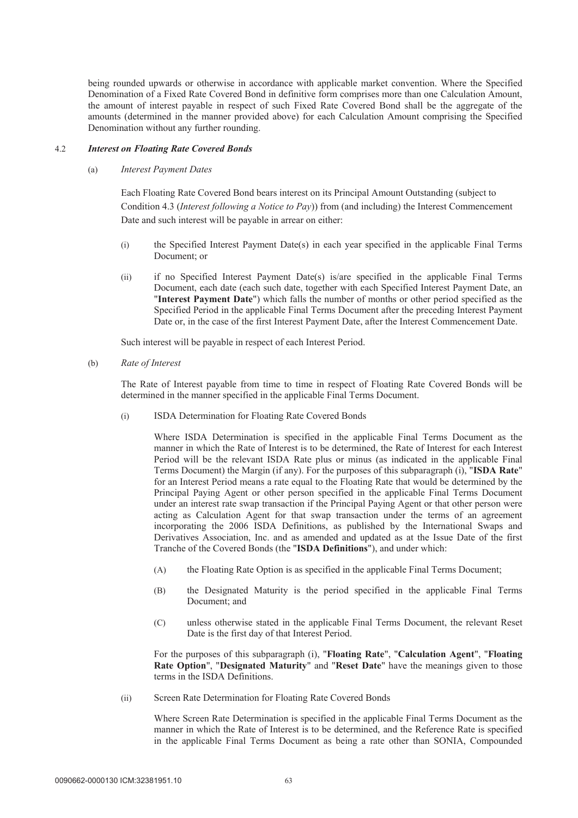being rounded upwards or otherwise in accordance with applicable market convention. Where the Specified Denomination of a Fixed Rate Covered Bond in definitive form comprises more than one Calculation Amount, the amount of interest payable in respect of such Fixed Rate Covered Bond shall be the aggregate of the amounts (determined in the manner provided above) for each Calculation Amount comprising the Specified Denomination without any further rounding.

#### 4.2 *Interest on Floating Rate Covered Bonds*

#### (a) *Interest Payment Dates*

Each Floating Rate Covered Bond bears interest on its Principal Amount Outstanding (subject to Condition 4.3 (*Interest following a Notice to Pay*)) from (and including) the Interest Commencement Date and such interest will be payable in arrear on either:

- (i) the Specified Interest Payment Date(s) in each year specified in the applicable Final Terms Document; or
- (ii) if no Specified Interest Payment Date(s) is/are specified in the applicable Final Terms Document, each date (each such date, together with each Specified Interest Payment Date, an "**Interest Payment Date**") which falls the number of months or other period specified as the Specified Period in the applicable Final Terms Document after the preceding Interest Payment Date or, in the case of the first Interest Payment Date, after the Interest Commencement Date.

Such interest will be payable in respect of each Interest Period.

(b) *Rate of Interest* 

The Rate of Interest payable from time to time in respect of Floating Rate Covered Bonds will be determined in the manner specified in the applicable Final Terms Document.

(i) ISDA Determination for Floating Rate Covered Bonds

Where ISDA Determination is specified in the applicable Final Terms Document as the manner in which the Rate of Interest is to be determined, the Rate of Interest for each Interest Period will be the relevant ISDA Rate plus or minus (as indicated in the applicable Final Terms Document) the Margin (if any). For the purposes of this subparagraph (i), "**ISDA Rate**" for an Interest Period means a rate equal to the Floating Rate that would be determined by the Principal Paying Agent or other person specified in the applicable Final Terms Document under an interest rate swap transaction if the Principal Paying Agent or that other person were acting as Calculation Agent for that swap transaction under the terms of an agreement incorporating the 2006 ISDA Definitions, as published by the International Swaps and Derivatives Association, Inc. and as amended and updated as at the Issue Date of the first Tranche of the Covered Bonds (the "**ISDA Definitions**"), and under which:

- (A) the Floating Rate Option is as specified in the applicable Final Terms Document;
- (B) the Designated Maturity is the period specified in the applicable Final Terms Document; and
- (C) unless otherwise stated in the applicable Final Terms Document, the relevant Reset Date is the first day of that Interest Period.

For the purposes of this subparagraph (i), "**Floating Rate**", "**Calculation Agent**", "**Floating Rate Option**", "**Designated Maturity**" and "**Reset Date**" have the meanings given to those terms in the ISDA Definitions.

(ii) Screen Rate Determination for Floating Rate Covered Bonds

Where Screen Rate Determination is specified in the applicable Final Terms Document as the manner in which the Rate of Interest is to be determined, and the Reference Rate is specified in the applicable Final Terms Document as being a rate other than SONIA, Compounded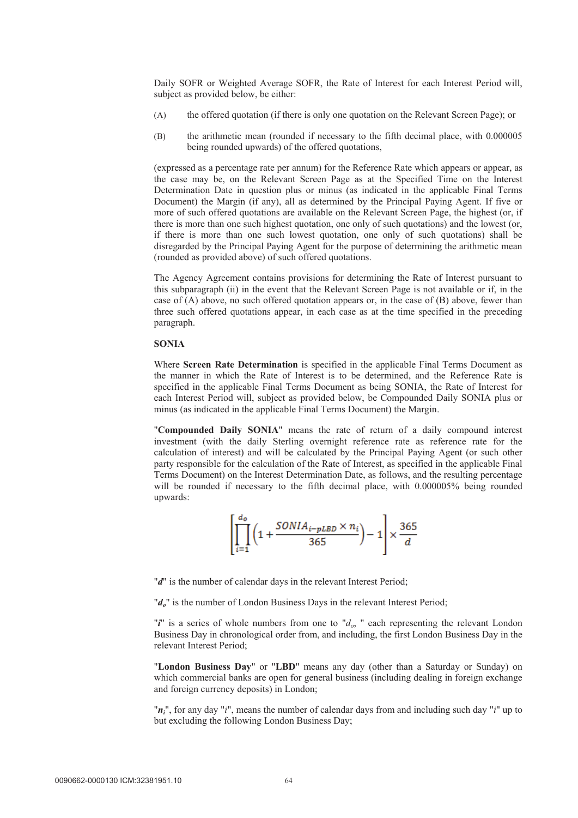Daily SOFR or Weighted Average SOFR, the Rate of Interest for each Interest Period will, subject as provided below, be either:

- (A) the offered quotation (if there is only one quotation on the Relevant Screen Page); or
- (B) the arithmetic mean (rounded if necessary to the fifth decimal place, with 0.000005 being rounded upwards) of the offered quotations,

(expressed as a percentage rate per annum) for the Reference Rate which appears or appear, as the case may be, on the Relevant Screen Page as at the Specified Time on the Interest Determination Date in question plus or minus (as indicated in the applicable Final Terms Document) the Margin (if any), all as determined by the Principal Paying Agent. If five or more of such offered quotations are available on the Relevant Screen Page, the highest (or, if there is more than one such highest quotation, one only of such quotations) and the lowest (or, if there is more than one such lowest quotation, one only of such quotations) shall be disregarded by the Principal Paying Agent for the purpose of determining the arithmetic mean (rounded as provided above) of such offered quotations.

The Agency Agreement contains provisions for determining the Rate of Interest pursuant to this subparagraph (ii) in the event that the Relevant Screen Page is not available or if, in the case of (A) above, no such offered quotation appears or, in the case of (B) above, fewer than three such offered quotations appear, in each case as at the time specified in the preceding paragraph.

#### **SONIA**

Where **Screen Rate Determination** is specified in the applicable Final Terms Document as the manner in which the Rate of Interest is to be determined, and the Reference Rate is specified in the applicable Final Terms Document as being SONIA, the Rate of Interest for each Interest Period will, subject as provided below, be Compounded Daily SONIA plus or minus (as indicated in the applicable Final Terms Document) the Margin.

"**Compounded Daily SONIA**" means the rate of return of a daily compound interest investment (with the daily Sterling overnight reference rate as reference rate for the calculation of interest) and will be calculated by the Principal Paying Agent (or such other party responsible for the calculation of the Rate of Interest, as specified in the applicable Final Terms Document) on the Interest Determination Date, as follows, and the resulting percentage will be rounded if necessary to the fifth decimal place, with 0.000005% being rounded upwards:

$$
\left[ \prod_{i=1}^{d_0} \left( 1 + \frac{SONIA_{i-pLBD} \times n_i}{365} \right) - 1 \right] \times \frac{365}{d}
$$

"*d*" is the number of calendar days in the relevant Interest Period;

"*d*<sub>a</sub>" is the number of London Business Days in the relevant Interest Period;

" $i$ " is a series of whole numbers from one to " $d_o$ , " each representing the relevant London Business Day in chronological order from, and including, the first London Business Day in the relevant Interest Period;

"**London Business Day**" or "**LBD**" means any day (other than a Saturday or Sunday) on which commercial banks are open for general business (including dealing in foreign exchange and foreign currency deposits) in London;

"*ni*", for any day "*i*", means the number of calendar days from and including such day "*i*" up to but excluding the following London Business Day;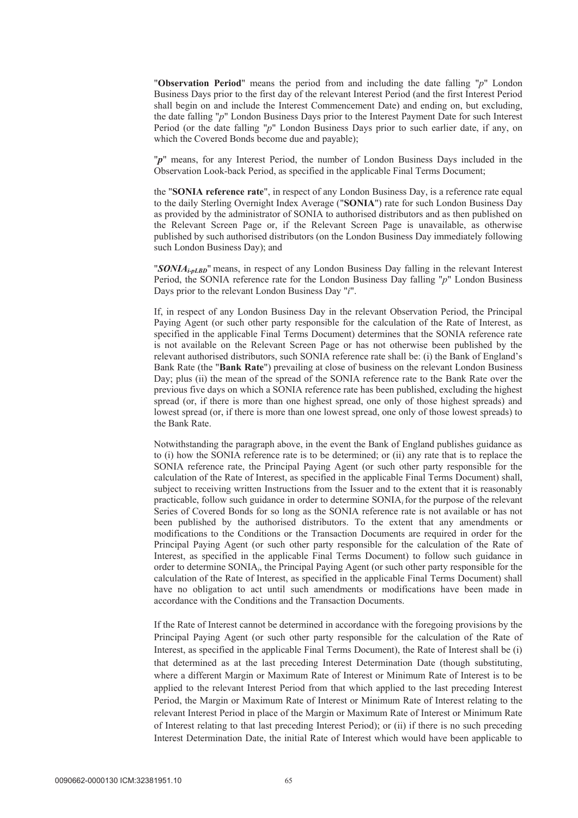"**Observation Period**" means the period from and including the date falling "*p*" London Business Days prior to the first day of the relevant Interest Period (and the first Interest Period shall begin on and include the Interest Commencement Date) and ending on, but excluding, the date falling "*p*" London Business Days prior to the Interest Payment Date for such Interest Period (or the date falling "*p*" London Business Days prior to such earlier date, if any, on which the Covered Bonds become due and payable);

"*p*" means, for any Interest Period, the number of London Business Days included in the Observation Look-back Period, as specified in the applicable Final Terms Document;

the "**SONIA reference rate**", in respect of any London Business Day, is a reference rate equal to the daily Sterling Overnight Index Average ("**SONIA**") rate for such London Business Day as provided by the administrator of SONIA to authorised distributors and as then published on the Relevant Screen Page or, if the Relevant Screen Page is unavailable, as otherwise published by such authorised distributors (on the London Business Day immediately following such London Business Day); and

"*SONIAi-pLBD*" means, in respect of any London Business Day falling in the relevant Interest Period, the SONIA reference rate for the London Business Day falling "*p*" London Business Days prior to the relevant London Business Day "*i*".

If, in respect of any London Business Day in the relevant Observation Period, the Principal Paying Agent (or such other party responsible for the calculation of the Rate of Interest, as specified in the applicable Final Terms Document) determines that the SONIA reference rate is not available on the Relevant Screen Page or has not otherwise been published by the relevant authorised distributors, such SONIA reference rate shall be: (i) the Bank of England's Bank Rate (the "**Bank Rate**") prevailing at close of business on the relevant London Business Day; plus (ii) the mean of the spread of the SONIA reference rate to the Bank Rate over the previous five days on which a SONIA reference rate has been published, excluding the highest spread (or, if there is more than one highest spread, one only of those highest spreads) and lowest spread (or, if there is more than one lowest spread, one only of those lowest spreads) to the Bank Rate.

Notwithstanding the paragraph above, in the event the Bank of England publishes guidance as to (i) how the SONIA reference rate is to be determined; or (ii) any rate that is to replace the SONIA reference rate, the Principal Paying Agent (or such other party responsible for the calculation of the Rate of Interest, as specified in the applicable Final Terms Document) shall, subject to receiving written Instructions from the Issuer and to the extent that it is reasonably practicable, follow such guidance in order to determine SONIA*i*for the purpose of the relevant Series of Covered Bonds for so long as the SONIA reference rate is not available or has not been published by the authorised distributors. To the extent that any amendments or modifications to the Conditions or the Transaction Documents are required in order for the Principal Paying Agent (or such other party responsible for the calculation of the Rate of Interest, as specified in the applicable Final Terms Document) to follow such guidance in order to determine SONIA*i*, the Principal Paying Agent (or such other party responsible for the calculation of the Rate of Interest, as specified in the applicable Final Terms Document) shall have no obligation to act until such amendments or modifications have been made in accordance with the Conditions and the Transaction Documents.

If the Rate of Interest cannot be determined in accordance with the foregoing provisions by the Principal Paying Agent (or such other party responsible for the calculation of the Rate of Interest, as specified in the applicable Final Terms Document), the Rate of Interest shall be (i) that determined as at the last preceding Interest Determination Date (though substituting, where a different Margin or Maximum Rate of Interest or Minimum Rate of Interest is to be applied to the relevant Interest Period from that which applied to the last preceding Interest Period, the Margin or Maximum Rate of Interest or Minimum Rate of Interest relating to the relevant Interest Period in place of the Margin or Maximum Rate of Interest or Minimum Rate of Interest relating to that last preceding Interest Period); or (ii) if there is no such preceding Interest Determination Date, the initial Rate of Interest which would have been applicable to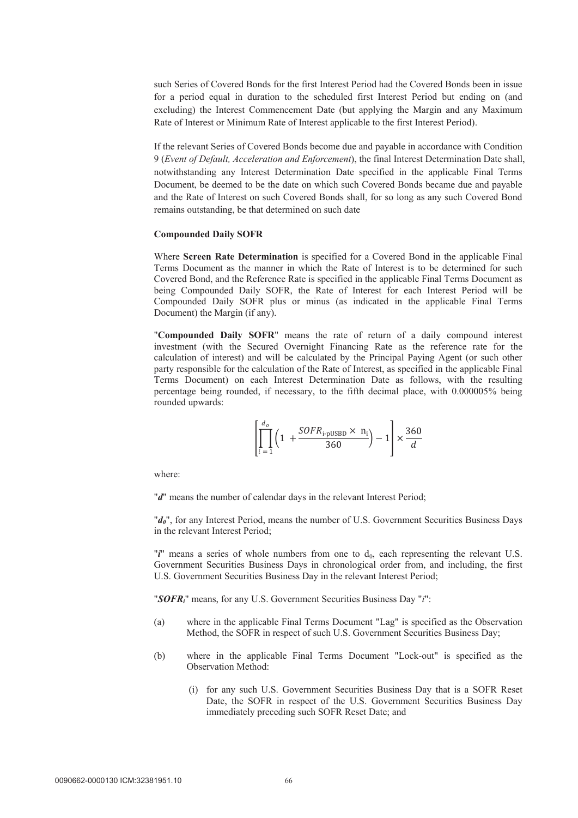such Series of Covered Bonds for the first Interest Period had the Covered Bonds been in issue for a period equal in duration to the scheduled first Interest Period but ending on (and excluding) the Interest Commencement Date (but applying the Margin and any Maximum Rate of Interest or Minimum Rate of Interest applicable to the first Interest Period).

If the relevant Series of Covered Bonds become due and payable in accordance with Condition 9 (*Event of Default, Acceleration and Enforcement*), the final Interest Determination Date shall, notwithstanding any Interest Determination Date specified in the applicable Final Terms Document, be deemed to be the date on which such Covered Bonds became due and payable and the Rate of Interest on such Covered Bonds shall, for so long as any such Covered Bond remains outstanding, be that determined on such date

#### **Compounded Daily SOFR**

Where **Screen Rate Determination** is specified for a Covered Bond in the applicable Final Terms Document as the manner in which the Rate of Interest is to be determined for such Covered Bond, and the Reference Rate is specified in the applicable Final Terms Document as being Compounded Daily SOFR, the Rate of Interest for each Interest Period will be Compounded Daily SOFR plus or minus (as indicated in the applicable Final Terms Document) the Margin (if any).

"**Compounded Daily SOFR**" means the rate of return of a daily compound interest investment (with the Secured Overnight Financing Rate as the reference rate for the calculation of interest) and will be calculated by the Principal Paying Agent (or such other party responsible for the calculation of the Rate of Interest, as specified in the applicable Final Terms Document) on each Interest Determination Date as follows, with the resulting percentage being rounded, if necessary, to the fifth decimal place, with 0.000005% being rounded upwards:

$$
\left[\prod_{i=1}^{d_o} \left(1 + \frac{SOFR_{i\text{-pUSBD}} \times n_i}{360}\right) - 1\right] \times \frac{360}{d}
$$

where:

"*d*" means the number of calendar days in the relevant Interest Period;

"*d0*", for any Interest Period, means the number of U.S. Government Securities Business Days in the relevant Interest Period;

" $i$ " means a series of whole numbers from one to  $d_0$ , each representing the relevant U.S. Government Securities Business Days in chronological order from, and including, the first U.S. Government Securities Business Day in the relevant Interest Period;

"*SOFRi*" means, for any U.S. Government Securities Business Day "*i*":

- (a) where in the applicable Final Terms Document "Lag" is specified as the Observation Method, the SOFR in respect of such U.S. Government Securities Business Day;
- (b) where in the applicable Final Terms Document "Lock-out" is specified as the Observation Method:
	- (i) for any such U.S. Government Securities Business Day that is a SOFR Reset Date, the SOFR in respect of the U.S. Government Securities Business Day immediately preceding such SOFR Reset Date; and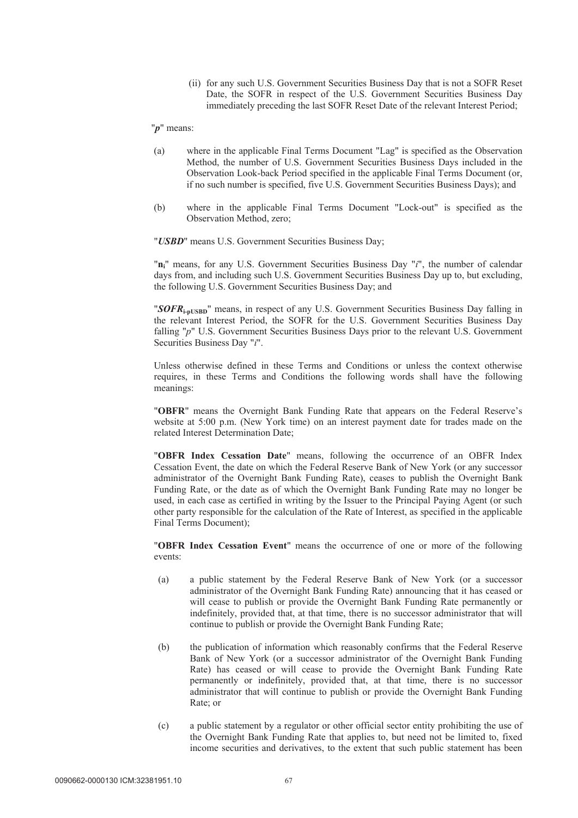(ii) for any such U.S. Government Securities Business Day that is not a SOFR Reset Date, the SOFR in respect of the U.S. Government Securities Business Day immediately preceding the last SOFR Reset Date of the relevant Interest Period;

### "*p*" means:

- (a) where in the applicable Final Terms Document "Lag" is specified as the Observation Method, the number of U.S. Government Securities Business Days included in the Observation Look-back Period specified in the applicable Final Terms Document (or, if no such number is specified, five U.S. Government Securities Business Days); and
- (b) where in the applicable Final Terms Document "Lock-out" is specified as the Observation Method, zero;

"*USBD*" means U.S. Government Securities Business Day;

"**ni**" means, for any U.S. Government Securities Business Day "*i*", the number of calendar days from, and including such U.S. Government Securities Business Day up to, but excluding, the following U.S. Government Securities Business Day; and

"*SOFR***i-pUSBD**" means, in respect of any U.S. Government Securities Business Day falling in the relevant Interest Period, the SOFR for the U.S. Government Securities Business Day falling "p" U.S. Government Securities Business Days prior to the relevant U.S. Government Securities Business Day "*i*".

Unless otherwise defined in these Terms and Conditions or unless the context otherwise requires, in these Terms and Conditions the following words shall have the following meanings:

"**OBFR**" means the Overnight Bank Funding Rate that appears on the Federal Reserve's website at 5:00 p.m. (New York time) on an interest payment date for trades made on the related Interest Determination Date;

"**OBFR Index Cessation Date**" means, following the occurrence of an OBFR Index Cessation Event, the date on which the Federal Reserve Bank of New York (or any successor administrator of the Overnight Bank Funding Rate), ceases to publish the Overnight Bank Funding Rate, or the date as of which the Overnight Bank Funding Rate may no longer be used, in each case as certified in writing by the Issuer to the Principal Paying Agent (or such other party responsible for the calculation of the Rate of Interest, as specified in the applicable Final Terms Document);

"**OBFR Index Cessation Event**" means the occurrence of one or more of the following events:

- (a) a public statement by the Federal Reserve Bank of New York (or a successor administrator of the Overnight Bank Funding Rate) announcing that it has ceased or will cease to publish or provide the Overnight Bank Funding Rate permanently or indefinitely, provided that, at that time, there is no successor administrator that will continue to publish or provide the Overnight Bank Funding Rate;
- (b) the publication of information which reasonably confirms that the Federal Reserve Bank of New York (or a successor administrator of the Overnight Bank Funding Rate) has ceased or will cease to provide the Overnight Bank Funding Rate permanently or indefinitely, provided that, at that time, there is no successor administrator that will continue to publish or provide the Overnight Bank Funding Rate; or
- (c) a public statement by a regulator or other official sector entity prohibiting the use of the Overnight Bank Funding Rate that applies to, but need not be limited to, fixed income securities and derivatives, to the extent that such public statement has been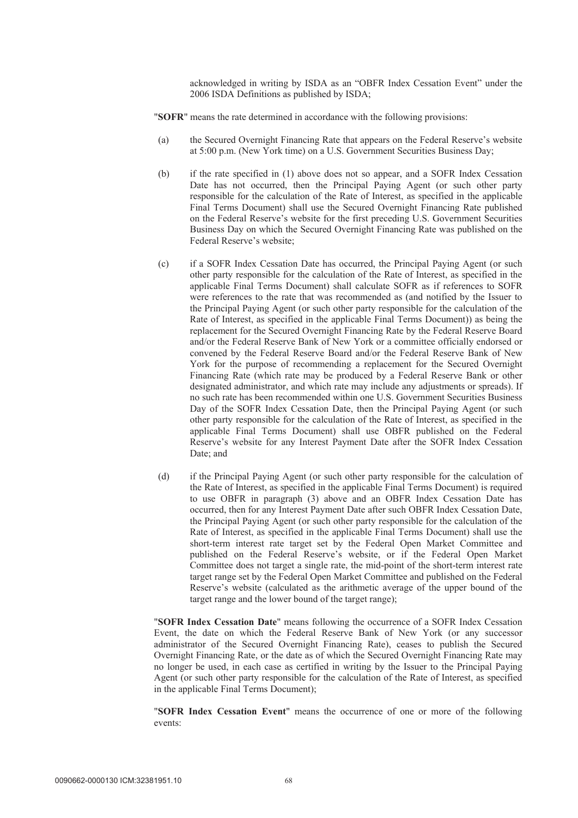acknowledged in writing by ISDA as an "OBFR Index Cessation Event" under the 2006 ISDA Definitions as published by ISDA;

- "**SOFR**" means the rate determined in accordance with the following provisions:
- (a) the Secured Overnight Financing Rate that appears on the Federal Reserve's website at 5:00 p.m. (New York time) on a U.S. Government Securities Business Day;
- (b) if the rate specified in (1) above does not so appear, and a SOFR Index Cessation Date has not occurred, then the Principal Paying Agent (or such other party responsible for the calculation of the Rate of Interest, as specified in the applicable Final Terms Document) shall use the Secured Overnight Financing Rate published on the Federal Reserve's website for the first preceding U.S. Government Securities Business Day on which the Secured Overnight Financing Rate was published on the Federal Reserve's website;
- (c) if a SOFR Index Cessation Date has occurred, the Principal Paying Agent (or such other party responsible for the calculation of the Rate of Interest, as specified in the applicable Final Terms Document) shall calculate SOFR as if references to SOFR were references to the rate that was recommended as (and notified by the Issuer to the Principal Paying Agent (or such other party responsible for the calculation of the Rate of Interest, as specified in the applicable Final Terms Document)) as being the replacement for the Secured Overnight Financing Rate by the Federal Reserve Board and/or the Federal Reserve Bank of New York or a committee officially endorsed or convened by the Federal Reserve Board and/or the Federal Reserve Bank of New York for the purpose of recommending a replacement for the Secured Overnight Financing Rate (which rate may be produced by a Federal Reserve Bank or other designated administrator, and which rate may include any adjustments or spreads). If no such rate has been recommended within one U.S. Government Securities Business Day of the SOFR Index Cessation Date, then the Principal Paying Agent (or such other party responsible for the calculation of the Rate of Interest, as specified in the applicable Final Terms Document) shall use OBFR published on the Federal Reserve's website for any Interest Payment Date after the SOFR Index Cessation Date; and
- (d) if the Principal Paying Agent (or such other party responsible for the calculation of the Rate of Interest, as specified in the applicable Final Terms Document) is required to use OBFR in paragraph (3) above and an OBFR Index Cessation Date has occurred, then for any Interest Payment Date after such OBFR Index Cessation Date, the Principal Paying Agent (or such other party responsible for the calculation of the Rate of Interest, as specified in the applicable Final Terms Document) shall use the short-term interest rate target set by the Federal Open Market Committee and published on the Federal Reserve's website, or if the Federal Open Market Committee does not target a single rate, the mid-point of the short-term interest rate target range set by the Federal Open Market Committee and published on the Federal Reserve's website (calculated as the arithmetic average of the upper bound of the target range and the lower bound of the target range);

"**SOFR Index Cessation Date**" means following the occurrence of a SOFR Index Cessation Event, the date on which the Federal Reserve Bank of New York (or any successor administrator of the Secured Overnight Financing Rate), ceases to publish the Secured Overnight Financing Rate, or the date as of which the Secured Overnight Financing Rate may no longer be used, in each case as certified in writing by the Issuer to the Principal Paying Agent (or such other party responsible for the calculation of the Rate of Interest, as specified in the applicable Final Terms Document);

"**SOFR Index Cessation Event**" means the occurrence of one or more of the following events: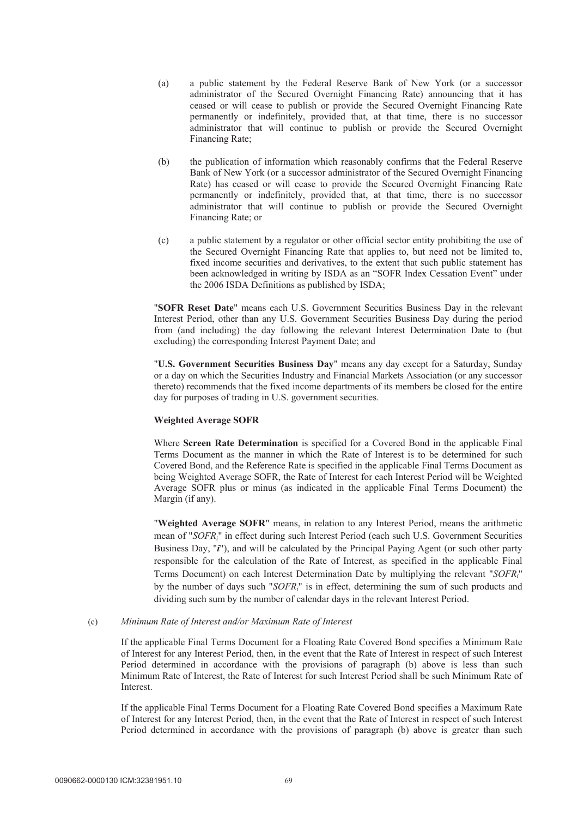- (a) a public statement by the Federal Reserve Bank of New York (or a successor administrator of the Secured Overnight Financing Rate) announcing that it has ceased or will cease to publish or provide the Secured Overnight Financing Rate permanently or indefinitely, provided that, at that time, there is no successor administrator that will continue to publish or provide the Secured Overnight Financing Rate;
- (b) the publication of information which reasonably confirms that the Federal Reserve Bank of New York (or a successor administrator of the Secured Overnight Financing Rate) has ceased or will cease to provide the Secured Overnight Financing Rate permanently or indefinitely, provided that, at that time, there is no successor administrator that will continue to publish or provide the Secured Overnight Financing Rate; or
- (c) a public statement by a regulator or other official sector entity prohibiting the use of the Secured Overnight Financing Rate that applies to, but need not be limited to, fixed income securities and derivatives, to the extent that such public statement has been acknowledged in writing by ISDA as an "SOFR Index Cessation Event" under the 2006 ISDA Definitions as published by ISDA;

"**SOFR Reset Date**" means each U.S. Government Securities Business Day in the relevant Interest Period, other than any U.S. Government Securities Business Day during the period from (and including) the day following the relevant Interest Determination Date to (but excluding) the corresponding Interest Payment Date; and

"**U.S. Government Securities Business Day**" means any day except for a Saturday, Sunday or a day on which the Securities Industry and Financial Markets Association (or any successor thereto) recommends that the fixed income departments of its members be closed for the entire day for purposes of trading in U.S. government securities.

### **Weighted Average SOFR**

Where **Screen Rate Determination** is specified for a Covered Bond in the applicable Final Terms Document as the manner in which the Rate of Interest is to be determined for such Covered Bond, and the Reference Rate is specified in the applicable Final Terms Document as being Weighted Average SOFR, the Rate of Interest for each Interest Period will be Weighted Average SOFR plus or minus (as indicated in the applicable Final Terms Document) the Margin (if any).

"**Weighted Average SOFR**" means, in relation to any Interest Period, means the arithmetic mean of "*SOFRi*" in effect during such Interest Period (each such U.S. Government Securities Business Day, "*i*"), and will be calculated by the Principal Paying Agent (or such other party responsible for the calculation of the Rate of Interest, as specified in the applicable Final Terms Document) on each Interest Determination Date by multiplying the relevant "*SOFRi*" by the number of days such "*SOFRi*" is in effect, determining the sum of such products and dividing such sum by the number of calendar days in the relevant Interest Period.

#### (c) *Minimum Rate of Interest and/or Maximum Rate of Interest*

If the applicable Final Terms Document for a Floating Rate Covered Bond specifies a Minimum Rate of Interest for any Interest Period, then, in the event that the Rate of Interest in respect of such Interest Period determined in accordance with the provisions of paragraph (b) above is less than such Minimum Rate of Interest, the Rate of Interest for such Interest Period shall be such Minimum Rate of Interest.

If the applicable Final Terms Document for a Floating Rate Covered Bond specifies a Maximum Rate of Interest for any Interest Period, then, in the event that the Rate of Interest in respect of such Interest Period determined in accordance with the provisions of paragraph (b) above is greater than such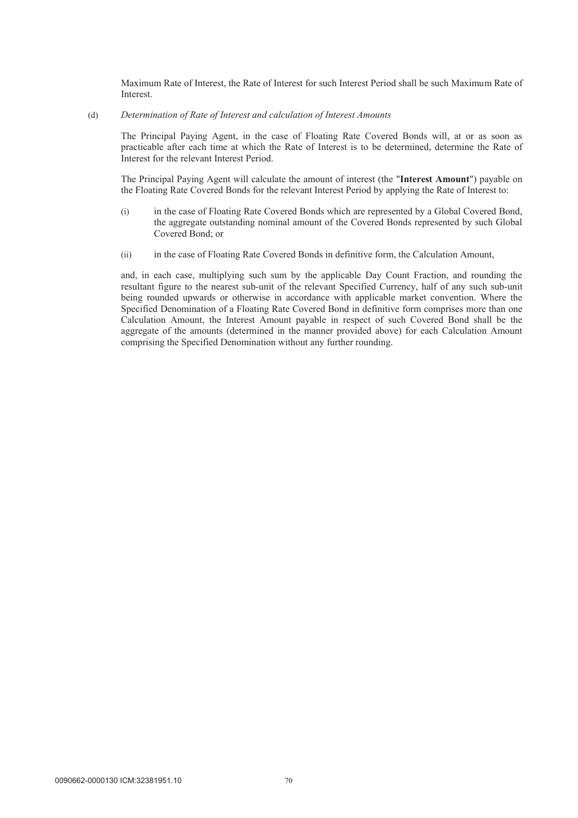Maximum Rate of Interest, the Rate of Interest for such Interest Period shall be such Maximum Rate of Interest.

### (d) *Determination of Rate of Interest and calculation of Interest Amounts*

The Principal Paying Agent, in the case of Floating Rate Covered Bonds will, at or as soon as practicable after each time at which the Rate of Interest is to be determined, determine the Rate of Interest for the relevant Interest Period.

The Principal Paying Agent will calculate the amount of interest (the "**Interest Amount**") payable on the Floating Rate Covered Bonds for the relevant Interest Period by applying the Rate of Interest to:

- (i) in the case of Floating Rate Covered Bonds which are represented by a Global Covered Bond, the aggregate outstanding nominal amount of the Covered Bonds represented by such Global Covered Bond; or
- (ii) in the case of Floating Rate Covered Bonds in definitive form, the Calculation Amount,

and, in each case, multiplying such sum by the applicable Day Count Fraction, and rounding the resultant figure to the nearest sub-unit of the relevant Specified Currency, half of any such sub-unit being rounded upwards or otherwise in accordance with applicable market convention. Where the Specified Denomination of a Floating Rate Covered Bond in definitive form comprises more than one Calculation Amount, the Interest Amount payable in respect of such Covered Bond shall be the aggregate of the amounts (determined in the manner provided above) for each Calculation Amount comprising the Specified Denomination without any further rounding.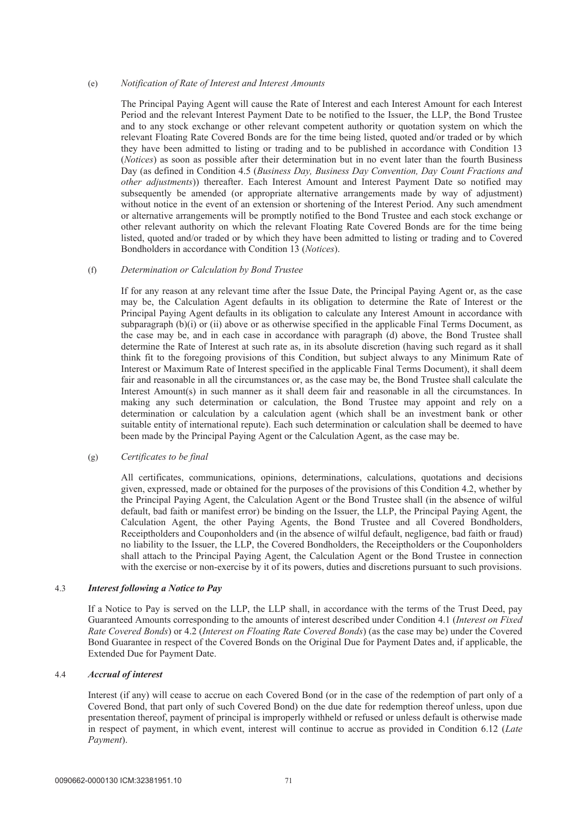### (e) *Notification of Rate of Interest and Interest Amounts*

The Principal Paying Agent will cause the Rate of Interest and each Interest Amount for each Interest Period and the relevant Interest Payment Date to be notified to the Issuer, the LLP, the Bond Trustee and to any stock exchange or other relevant competent authority or quotation system on which the relevant Floating Rate Covered Bonds are for the time being listed, quoted and/or traded or by which they have been admitted to listing or trading and to be published in accordance with Condition 13 (*Notices*) as soon as possible after their determination but in no event later than the fourth Business Day (as defined in Condition 4.5 (*Business Day, Business Day Convention, Day Count Fractions and other adjustments*)) thereafter. Each Interest Amount and Interest Payment Date so notified may subsequently be amended (or appropriate alternative arrangements made by way of adjustment) without notice in the event of an extension or shortening of the Interest Period. Any such amendment or alternative arrangements will be promptly notified to the Bond Trustee and each stock exchange or other relevant authority on which the relevant Floating Rate Covered Bonds are for the time being listed, quoted and/or traded or by which they have been admitted to listing or trading and to Covered Bondholders in accordance with Condition 13 (*Notices*).

## (f) *Determination or Calculation by Bond Trustee*

If for any reason at any relevant time after the Issue Date, the Principal Paying Agent or, as the case may be, the Calculation Agent defaults in its obligation to determine the Rate of Interest or the Principal Paying Agent defaults in its obligation to calculate any Interest Amount in accordance with subparagraph (b)(i) or (ii) above or as otherwise specified in the applicable Final Terms Document, as the case may be, and in each case in accordance with paragraph (d) above, the Bond Trustee shall determine the Rate of Interest at such rate as, in its absolute discretion (having such regard as it shall think fit to the foregoing provisions of this Condition, but subject always to any Minimum Rate of Interest or Maximum Rate of Interest specified in the applicable Final Terms Document), it shall deem fair and reasonable in all the circumstances or, as the case may be, the Bond Trustee shall calculate the Interest Amount(s) in such manner as it shall deem fair and reasonable in all the circumstances. In making any such determination or calculation, the Bond Trustee may appoint and rely on a determination or calculation by a calculation agent (which shall be an investment bank or other suitable entity of international repute). Each such determination or calculation shall be deemed to have been made by the Principal Paying Agent or the Calculation Agent, as the case may be.

#### (g) *Certificates to be final*

All certificates, communications, opinions, determinations, calculations, quotations and decisions given, expressed, made or obtained for the purposes of the provisions of this Condition 4.2, whether by the Principal Paying Agent, the Calculation Agent or the Bond Trustee shall (in the absence of wilful default, bad faith or manifest error) be binding on the Issuer, the LLP, the Principal Paying Agent, the Calculation Agent, the other Paying Agents, the Bond Trustee and all Covered Bondholders, Receiptholders and Couponholders and (in the absence of wilful default, negligence, bad faith or fraud) no liability to the Issuer, the LLP, the Covered Bondholders, the Receiptholders or the Couponholders shall attach to the Principal Paying Agent, the Calculation Agent or the Bond Trustee in connection with the exercise or non-exercise by it of its powers, duties and discretions pursuant to such provisions.

#### 4.3 *Interest following a Notice to Pay*

If a Notice to Pay is served on the LLP, the LLP shall, in accordance with the terms of the Trust Deed, pay Guaranteed Amounts corresponding to the amounts of interest described under Condition 4.1 (*Interest on Fixed Rate Covered Bonds*) or 4.2 (*Interest on Floating Rate Covered Bonds*) (as the case may be) under the Covered Bond Guarantee in respect of the Covered Bonds on the Original Due for Payment Dates and, if applicable, the Extended Due for Payment Date.

## 4.4 *Accrual of interest*

Interest (if any) will cease to accrue on each Covered Bond (or in the case of the redemption of part only of a Covered Bond, that part only of such Covered Bond) on the due date for redemption thereof unless, upon due presentation thereof, payment of principal is improperly withheld or refused or unless default is otherwise made in respect of payment, in which event, interest will continue to accrue as provided in Condition 6.12 (*Late Payment*).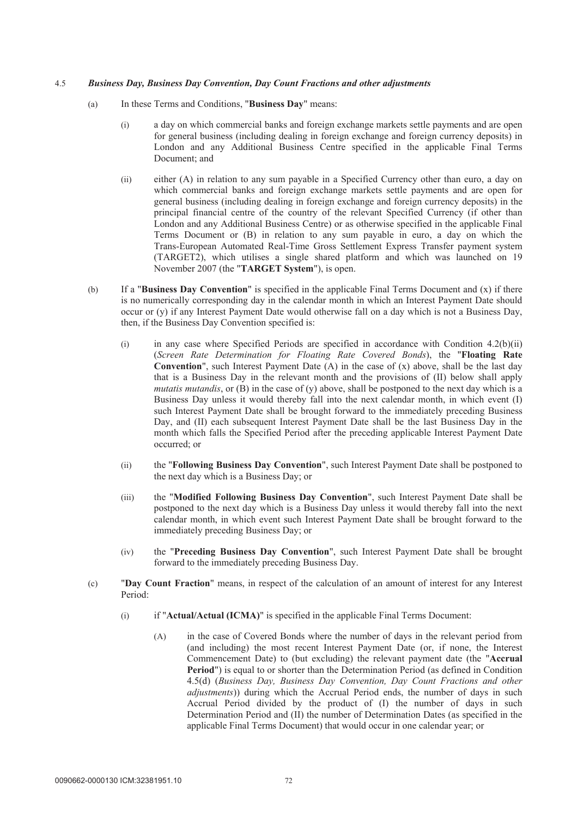### 4.5 *Business Day, Business Day Convention, Day Count Fractions and other adjustments*

- (a) In these Terms and Conditions, "**Business Day**" means:
	- (i) a day on which commercial banks and foreign exchange markets settle payments and are open for general business (including dealing in foreign exchange and foreign currency deposits) in London and any Additional Business Centre specified in the applicable Final Terms Document; and
	- (ii) either (A) in relation to any sum payable in a Specified Currency other than euro, a day on which commercial banks and foreign exchange markets settle payments and are open for general business (including dealing in foreign exchange and foreign currency deposits) in the principal financial centre of the country of the relevant Specified Currency (if other than London and any Additional Business Centre) or as otherwise specified in the applicable Final Terms Document or (B) in relation to any sum payable in euro, a day on which the Trans-European Automated Real-Time Gross Settlement Express Transfer payment system (TARGET2), which utilises a single shared platform and which was launched on 19 November 2007 (the "**TARGET System**"), is open.
- (b) If a "**Business Day Convention**" is specified in the applicable Final Terms Document and (x) if there is no numerically corresponding day in the calendar month in which an Interest Payment Date should occur or (y) if any Interest Payment Date would otherwise fall on a day which is not a Business Day, then, if the Business Day Convention specified is:
	- (i) in any case where Specified Periods are specified in accordance with Condition 4.2(b)(ii) (*Screen Rate Determination for Floating Rate Covered Bonds*), the "**Floating Rate Convention**", such Interest Payment Date  $(A)$  in the case of  $(x)$  above, shall be the last day that is a Business Day in the relevant month and the provisions of (II) below shall apply *mutatis mutandis*, or (B) in the case of (y) above, shall be postponed to the next day which is a Business Day unless it would thereby fall into the next calendar month, in which event (I) such Interest Payment Date shall be brought forward to the immediately preceding Business Day, and (II) each subsequent Interest Payment Date shall be the last Business Day in the month which falls the Specified Period after the preceding applicable Interest Payment Date occurred; or
	- (ii) the "**Following Business Day Convention**", such Interest Payment Date shall be postponed to the next day which is a Business Day; or
	- (iii) the "**Modified Following Business Day Convention**", such Interest Payment Date shall be postponed to the next day which is a Business Day unless it would thereby fall into the next calendar month, in which event such Interest Payment Date shall be brought forward to the immediately preceding Business Day; or
	- (iv) the "**Preceding Business Day Convention**", such Interest Payment Date shall be brought forward to the immediately preceding Business Day.
- (c) "**Day Count Fraction**" means, in respect of the calculation of an amount of interest for any Interest Period:
	- (i) if "**Actual/Actual (ICMA)**" is specified in the applicable Final Terms Document:
		- (A) in the case of Covered Bonds where the number of days in the relevant period from (and including) the most recent Interest Payment Date (or, if none, the Interest Commencement Date) to (but excluding) the relevant payment date (the "**Accrual Period**") is equal to or shorter than the Determination Period (as defined in Condition 4.5(d) (*Business Day, Business Day Convention, Day Count Fractions and other adjustments*)) during which the Accrual Period ends, the number of days in such Accrual Period divided by the product of (I) the number of days in such Determination Period and (II) the number of Determination Dates (as specified in the applicable Final Terms Document) that would occur in one calendar year; or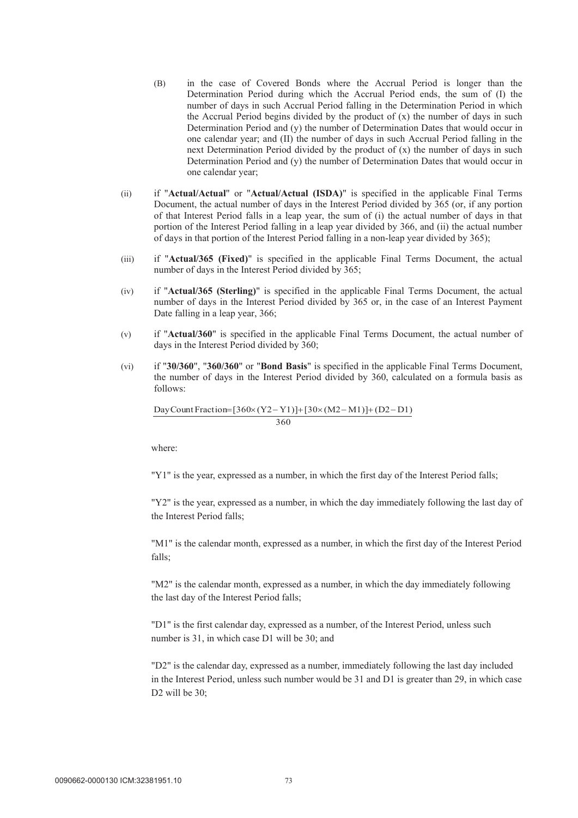- (B) in the case of Covered Bonds where the Accrual Period is longer than the Determination Period during which the Accrual Period ends, the sum of (I) the number of days in such Accrual Period falling in the Determination Period in which the Accrual Period begins divided by the product of (x) the number of days in such Determination Period and (y) the number of Determination Dates that would occur in one calendar year; and (II) the number of days in such Accrual Period falling in the next Determination Period divided by the product of  $(x)$  the number of days in such Determination Period and (y) the number of Determination Dates that would occur in one calendar year;
- (ii) if "**Actual/Actual**" or "**Actual/Actual (ISDA)**" is specified in the applicable Final Terms Document, the actual number of days in the Interest Period divided by 365 (or, if any portion of that Interest Period falls in a leap year, the sum of (i) the actual number of days in that portion of the Interest Period falling in a leap year divided by 366, and (ii) the actual number of days in that portion of the Interest Period falling in a non-leap year divided by 365);
- (iii) if "**Actual/365 (Fixed)**" is specified in the applicable Final Terms Document, the actual number of days in the Interest Period divided by 365;
- (iv) if "**Actual/365 (Sterling)**" is specified in the applicable Final Terms Document, the actual number of days in the Interest Period divided by 365 or, in the case of an Interest Payment Date falling in a leap year, 366;
- (v) if "**Actual/360**" is specified in the applicable Final Terms Document, the actual number of days in the Interest Period divided by 360;
- (vi) if "**30/360**", "**360/360**" or "**Bond Basis**" is specified in the applicable Final Terms Document, the number of days in the Interest Period divided by 360, calculated on a formula basis as follows:

360 Day Count Fraction= $[360 \times (Y2 - Y1)] + [30 \times (M2 - M1)] + (D2 - D1)$ 

where:

"Y1" is the year, expressed as a number, in which the first day of the Interest Period falls;

"Y2" is the year, expressed as a number, in which the day immediately following the last day of the Interest Period falls;

"M1" is the calendar month, expressed as a number, in which the first day of the Interest Period falls;

"M2" is the calendar month, expressed as a number, in which the day immediately following the last day of the Interest Period falls;

"D1" is the first calendar day, expressed as a number, of the Interest Period, unless such number is 31, in which case D1 will be 30; and

"D2" is the calendar day, expressed as a number, immediately following the last day included in the Interest Period, unless such number would be 31 and D1 is greater than 29, in which case D<sub>2</sub> will be  $30$ :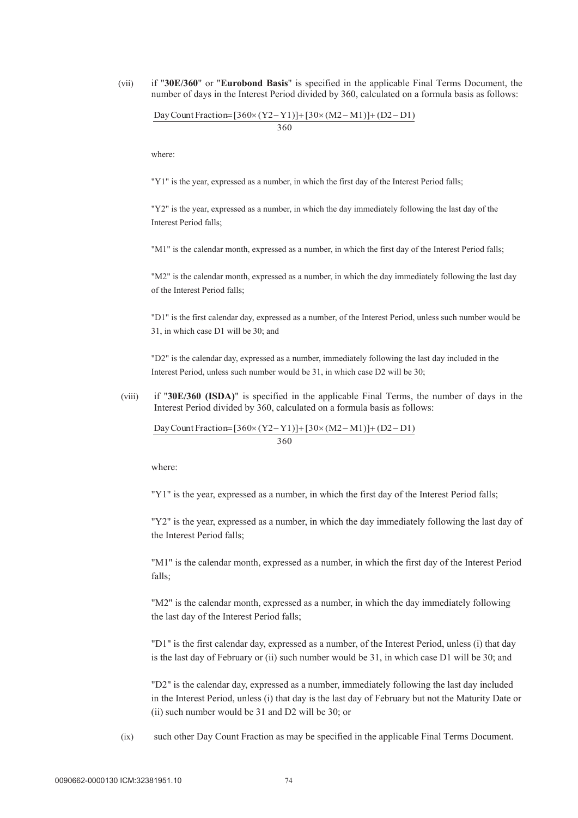(vii) if "**30E/360**" or "**Eurobond Basis**" is specified in the applicable Final Terms Document, the number of days in the Interest Period divided by 360, calculated on a formula basis as follows:

360 Day Count Fraction= $[360 \times (Y2-Y1)] + [30 \times (M2-M1)] + (D2-D1)$ 

where:

"Y1" is the year, expressed as a number, in which the first day of the Interest Period falls;

"Y2" is the year, expressed as a number, in which the day immediately following the last day of the Interest Period falls;

"M1" is the calendar month, expressed as a number, in which the first day of the Interest Period falls;

"M2" is the calendar month, expressed as a number, in which the day immediately following the last day of the Interest Period falls;

"D1" is the first calendar day, expressed as a number, of the Interest Period, unless such number would be 31, in which case D1 will be 30; and

"D2" is the calendar day, expressed as a number, immediately following the last day included in the Interest Period, unless such number would be 31, in which case D2 will be 30;

(viii) if "**30E/360 (ISDA)**" is specified in the applicable Final Terms, the number of days in the Interest Period divided by 360, calculated on a formula basis as follows:

360 Day Count Fraction= $[360 \times (Y2-Y1)] + [30 \times (M2-M1)] + (D2-D1)$ 

where:

"Y1" is the year, expressed as a number, in which the first day of the Interest Period falls;

"Y2" is the year, expressed as a number, in which the day immediately following the last day of the Interest Period falls;

"M1" is the calendar month, expressed as a number, in which the first day of the Interest Period falls;

"M2" is the calendar month, expressed as a number, in which the day immediately following the last day of the Interest Period falls;

"D1" is the first calendar day, expressed as a number, of the Interest Period, unless (i) that day is the last day of February or (ii) such number would be 31, in which case D1 will be 30; and

"D2" is the calendar day, expressed as a number, immediately following the last day included in the Interest Period, unless (i) that day is the last day of February but not the Maturity Date or (ii) such number would be 31 and D2 will be 30; or

(ix) such other Day Count Fraction as may be specified in the applicable Final Terms Document.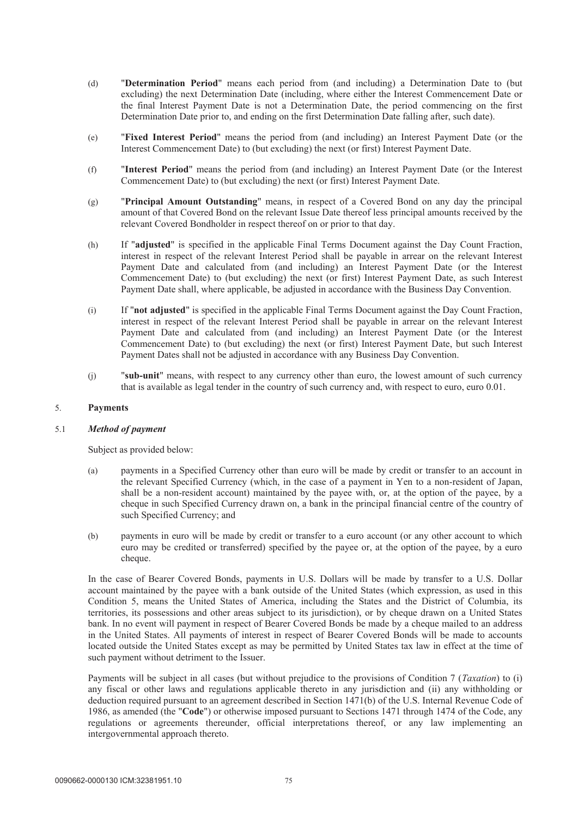- (d) "**Determination Period**" means each period from (and including) a Determination Date to (but excluding) the next Determination Date (including, where either the Interest Commencement Date or the final Interest Payment Date is not a Determination Date, the period commencing on the first Determination Date prior to, and ending on the first Determination Date falling after, such date).
- (e) "**Fixed Interest Period**" means the period from (and including) an Interest Payment Date (or the Interest Commencement Date) to (but excluding) the next (or first) Interest Payment Date.
- (f) "**Interest Period**" means the period from (and including) an Interest Payment Date (or the Interest Commencement Date) to (but excluding) the next (or first) Interest Payment Date.
- (g) "**Principal Amount Outstanding**" means, in respect of a Covered Bond on any day the principal amount of that Covered Bond on the relevant Issue Date thereof less principal amounts received by the relevant Covered Bondholder in respect thereof on or prior to that day.
- (h) If "**adjusted**" is specified in the applicable Final Terms Document against the Day Count Fraction, interest in respect of the relevant Interest Period shall be payable in arrear on the relevant Interest Payment Date and calculated from (and including) an Interest Payment Date (or the Interest Commencement Date) to (but excluding) the next (or first) Interest Payment Date, as such Interest Payment Date shall, where applicable, be adjusted in accordance with the Business Day Convention.
- (i) If "**not adjusted**" is specified in the applicable Final Terms Document against the Day Count Fraction, interest in respect of the relevant Interest Period shall be payable in arrear on the relevant Interest Payment Date and calculated from (and including) an Interest Payment Date (or the Interest Commencement Date) to (but excluding) the next (or first) Interest Payment Date, but such Interest Payment Dates shall not be adjusted in accordance with any Business Day Convention.
- (j) "**sub-unit**" means, with respect to any currency other than euro, the lowest amount of such currency that is available as legal tender in the country of such currency and, with respect to euro, euro 0.01.

### 5. **Payments**

## 5.1 *Method of payment*

Subject as provided below:

- (a) payments in a Specified Currency other than euro will be made by credit or transfer to an account in the relevant Specified Currency (which, in the case of a payment in Yen to a non-resident of Japan, shall be a non-resident account) maintained by the payee with, or, at the option of the payee, by a cheque in such Specified Currency drawn on, a bank in the principal financial centre of the country of such Specified Currency; and
- (b) payments in euro will be made by credit or transfer to a euro account (or any other account to which euro may be credited or transferred) specified by the payee or, at the option of the payee, by a euro cheque.

In the case of Bearer Covered Bonds, payments in U.S. Dollars will be made by transfer to a U.S. Dollar account maintained by the payee with a bank outside of the United States (which expression, as used in this Condition 5, means the United States of America, including the States and the District of Columbia, its territories, its possessions and other areas subject to its jurisdiction), or by cheque drawn on a United States bank. In no event will payment in respect of Bearer Covered Bonds be made by a cheque mailed to an address in the United States. All payments of interest in respect of Bearer Covered Bonds will be made to accounts located outside the United States except as may be permitted by United States tax law in effect at the time of such payment without detriment to the Issuer.

Payments will be subject in all cases (but without prejudice to the provisions of Condition 7 (*Taxation*) to (i) any fiscal or other laws and regulations applicable thereto in any jurisdiction and (ii) any withholding or deduction required pursuant to an agreement described in Section 1471(b) of the U.S. Internal Revenue Code of 1986, as amended (the "**Code**") or otherwise imposed pursuant to Sections 1471 through 1474 of the Code, any regulations or agreements thereunder, official interpretations thereof, or any law implementing an intergovernmental approach thereto.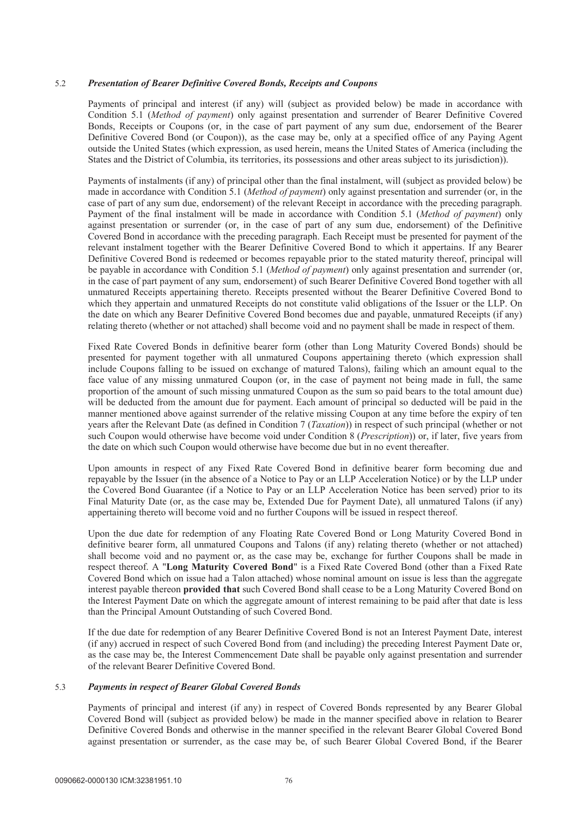### 5.2 *Presentation of Bearer Definitive Covered Bonds, Receipts and Coupons*

Payments of principal and interest (if any) will (subject as provided below) be made in accordance with Condition 5.1 (*Method of payment*) only against presentation and surrender of Bearer Definitive Covered Bonds, Receipts or Coupons (or, in the case of part payment of any sum due, endorsement of the Bearer Definitive Covered Bond (or Coupon)), as the case may be, only at a specified office of any Paying Agent outside the United States (which expression, as used herein, means the United States of America (including the States and the District of Columbia, its territories, its possessions and other areas subject to its jurisdiction)).

Payments of instalments (if any) of principal other than the final instalment, will (subject as provided below) be made in accordance with Condition 5.1 (*Method of payment*) only against presentation and surrender (or, in the case of part of any sum due, endorsement) of the relevant Receipt in accordance with the preceding paragraph. Payment of the final instalment will be made in accordance with Condition 5.1 (*Method of payment*) only against presentation or surrender (or, in the case of part of any sum due, endorsement) of the Definitive Covered Bond in accordance with the preceding paragraph. Each Receipt must be presented for payment of the relevant instalment together with the Bearer Definitive Covered Bond to which it appertains. If any Bearer Definitive Covered Bond is redeemed or becomes repayable prior to the stated maturity thereof, principal will be payable in accordance with Condition 5.1 (*Method of payment*) only against presentation and surrender (or, in the case of part payment of any sum, endorsement) of such Bearer Definitive Covered Bond together with all unmatured Receipts appertaining thereto. Receipts presented without the Bearer Definitive Covered Bond to which they appertain and unmatured Receipts do not constitute valid obligations of the Issuer or the LLP. On the date on which any Bearer Definitive Covered Bond becomes due and payable, unmatured Receipts (if any) relating thereto (whether or not attached) shall become void and no payment shall be made in respect of them.

Fixed Rate Covered Bonds in definitive bearer form (other than Long Maturity Covered Bonds) should be presented for payment together with all unmatured Coupons appertaining thereto (which expression shall include Coupons falling to be issued on exchange of matured Talons), failing which an amount equal to the face value of any missing unmatured Coupon (or, in the case of payment not being made in full, the same proportion of the amount of such missing unmatured Coupon as the sum so paid bears to the total amount due) will be deducted from the amount due for payment. Each amount of principal so deducted will be paid in the manner mentioned above against surrender of the relative missing Coupon at any time before the expiry of ten years after the Relevant Date (as defined in Condition 7 (*Taxation*)) in respect of such principal (whether or not such Coupon would otherwise have become void under Condition 8 (*Prescription*)) or, if later, five years from the date on which such Coupon would otherwise have become due but in no event thereafter.

Upon amounts in respect of any Fixed Rate Covered Bond in definitive bearer form becoming due and repayable by the Issuer (in the absence of a Notice to Pay or an LLP Acceleration Notice) or by the LLP under the Covered Bond Guarantee (if a Notice to Pay or an LLP Acceleration Notice has been served) prior to its Final Maturity Date (or, as the case may be, Extended Due for Payment Date), all unmatured Talons (if any) appertaining thereto will become void and no further Coupons will be issued in respect thereof.

Upon the due date for redemption of any Floating Rate Covered Bond or Long Maturity Covered Bond in definitive bearer form, all unmatured Coupons and Talons (if any) relating thereto (whether or not attached) shall become void and no payment or, as the case may be, exchange for further Coupons shall be made in respect thereof. A "**Long Maturity Covered Bond**" is a Fixed Rate Covered Bond (other than a Fixed Rate Covered Bond which on issue had a Talon attached) whose nominal amount on issue is less than the aggregate interest payable thereon **provided that** such Covered Bond shall cease to be a Long Maturity Covered Bond on the Interest Payment Date on which the aggregate amount of interest remaining to be paid after that date is less than the Principal Amount Outstanding of such Covered Bond.

If the due date for redemption of any Bearer Definitive Covered Bond is not an Interest Payment Date, interest (if any) accrued in respect of such Covered Bond from (and including) the preceding Interest Payment Date or, as the case may be, the Interest Commencement Date shall be payable only against presentation and surrender of the relevant Bearer Definitive Covered Bond.

### 5.3 *Payments in respect of Bearer Global Covered Bonds*

Payments of principal and interest (if any) in respect of Covered Bonds represented by any Bearer Global Covered Bond will (subject as provided below) be made in the manner specified above in relation to Bearer Definitive Covered Bonds and otherwise in the manner specified in the relevant Bearer Global Covered Bond against presentation or surrender, as the case may be, of such Bearer Global Covered Bond, if the Bearer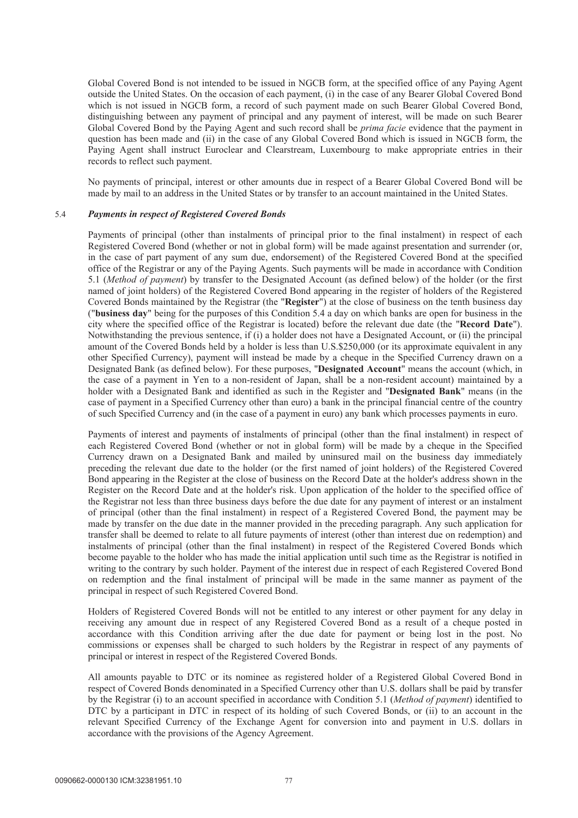Global Covered Bond is not intended to be issued in NGCB form, at the specified office of any Paying Agent outside the United States. On the occasion of each payment, (i) in the case of any Bearer Global Covered Bond which is not issued in NGCB form, a record of such payment made on such Bearer Global Covered Bond, distinguishing between any payment of principal and any payment of interest, will be made on such Bearer Global Covered Bond by the Paying Agent and such record shall be *prima facie* evidence that the payment in question has been made and (ii) in the case of any Global Covered Bond which is issued in NGCB form, the Paying Agent shall instruct Euroclear and Clearstream, Luxembourg to make appropriate entries in their records to reflect such payment.

No payments of principal, interest or other amounts due in respect of a Bearer Global Covered Bond will be made by mail to an address in the United States or by transfer to an account maintained in the United States.

# 5.4 *Payments in respect of Registered Covered Bonds*

Payments of principal (other than instalments of principal prior to the final instalment) in respect of each Registered Covered Bond (whether or not in global form) will be made against presentation and surrender (or, in the case of part payment of any sum due, endorsement) of the Registered Covered Bond at the specified office of the Registrar or any of the Paying Agents. Such payments will be made in accordance with Condition 5.1 (*Method of payment*) by transfer to the Designated Account (as defined below) of the holder (or the first named of joint holders) of the Registered Covered Bond appearing in the register of holders of the Registered Covered Bonds maintained by the Registrar (the "**Register**") at the close of business on the tenth business day ("**business day**" being for the purposes of this Condition 5.4 a day on which banks are open for business in the city where the specified office of the Registrar is located) before the relevant due date (the "**Record Date**"). Notwithstanding the previous sentence, if (i) a holder does not have a Designated Account, or (ii) the principal amount of the Covered Bonds held by a holder is less than U.S.\$250,000 (or its approximate equivalent in any other Specified Currency), payment will instead be made by a cheque in the Specified Currency drawn on a Designated Bank (as defined below). For these purposes, "**Designated Account**" means the account (which, in the case of a payment in Yen to a non-resident of Japan, shall be a non-resident account) maintained by a holder with a Designated Bank and identified as such in the Register and "**Designated Bank**" means (in the case of payment in a Specified Currency other than euro) a bank in the principal financial centre of the country of such Specified Currency and (in the case of a payment in euro) any bank which processes payments in euro.

Payments of interest and payments of instalments of principal (other than the final instalment) in respect of each Registered Covered Bond (whether or not in global form) will be made by a cheque in the Specified Currency drawn on a Designated Bank and mailed by uninsured mail on the business day immediately preceding the relevant due date to the holder (or the first named of joint holders) of the Registered Covered Bond appearing in the Register at the close of business on the Record Date at the holder's address shown in the Register on the Record Date and at the holder's risk. Upon application of the holder to the specified office of the Registrar not less than three business days before the due date for any payment of interest or an instalment of principal (other than the final instalment) in respect of a Registered Covered Bond, the payment may be made by transfer on the due date in the manner provided in the preceding paragraph. Any such application for transfer shall be deemed to relate to all future payments of interest (other than interest due on redemption) and instalments of principal (other than the final instalment) in respect of the Registered Covered Bonds which become payable to the holder who has made the initial application until such time as the Registrar is notified in writing to the contrary by such holder. Payment of the interest due in respect of each Registered Covered Bond on redemption and the final instalment of principal will be made in the same manner as payment of the principal in respect of such Registered Covered Bond.

Holders of Registered Covered Bonds will not be entitled to any interest or other payment for any delay in receiving any amount due in respect of any Registered Covered Bond as a result of a cheque posted in accordance with this Condition arriving after the due date for payment or being lost in the post. No commissions or expenses shall be charged to such holders by the Registrar in respect of any payments of principal or interest in respect of the Registered Covered Bonds.

All amounts payable to DTC or its nominee as registered holder of a Registered Global Covered Bond in respect of Covered Bonds denominated in a Specified Currency other than U.S. dollars shall be paid by transfer by the Registrar (i) to an account specified in accordance with Condition 5.1 (*Method of payment*) identified to DTC by a participant in DTC in respect of its holding of such Covered Bonds, or (ii) to an account in the relevant Specified Currency of the Exchange Agent for conversion into and payment in U.S. dollars in accordance with the provisions of the Agency Agreement.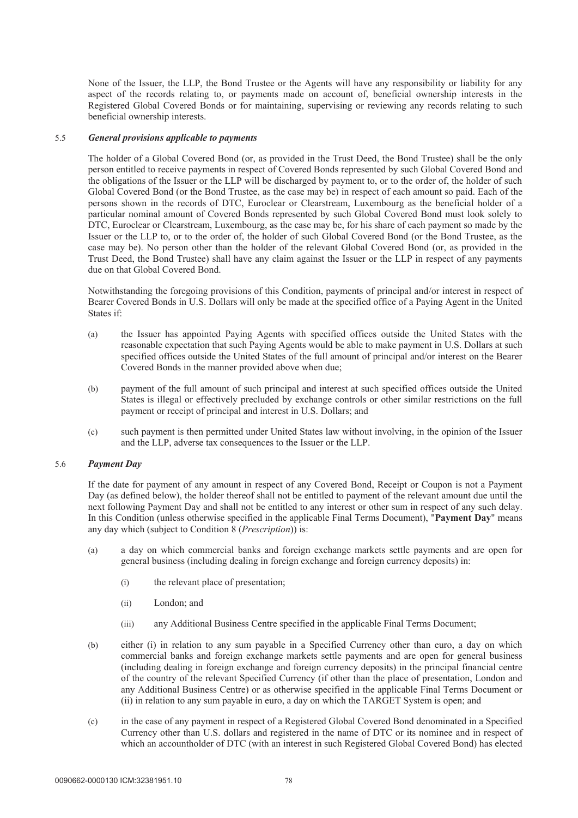None of the Issuer, the LLP, the Bond Trustee or the Agents will have any responsibility or liability for any aspect of the records relating to, or payments made on account of, beneficial ownership interests in the Registered Global Covered Bonds or for maintaining, supervising or reviewing any records relating to such beneficial ownership interests.

## 5.5 *General provisions applicable to payments*

The holder of a Global Covered Bond (or, as provided in the Trust Deed, the Bond Trustee) shall be the only person entitled to receive payments in respect of Covered Bonds represented by such Global Covered Bond and the obligations of the Issuer or the LLP will be discharged by payment to, or to the order of, the holder of such Global Covered Bond (or the Bond Trustee, as the case may be) in respect of each amount so paid. Each of the persons shown in the records of DTC, Euroclear or Clearstream, Luxembourg as the beneficial holder of a particular nominal amount of Covered Bonds represented by such Global Covered Bond must look solely to DTC, Euroclear or Clearstream, Luxembourg, as the case may be, for his share of each payment so made by the Issuer or the LLP to, or to the order of, the holder of such Global Covered Bond (or the Bond Trustee, as the case may be). No person other than the holder of the relevant Global Covered Bond (or, as provided in the Trust Deed, the Bond Trustee) shall have any claim against the Issuer or the LLP in respect of any payments due on that Global Covered Bond.

Notwithstanding the foregoing provisions of this Condition, payments of principal and/or interest in respect of Bearer Covered Bonds in U.S. Dollars will only be made at the specified office of a Paying Agent in the United States if:

- (a) the Issuer has appointed Paying Agents with specified offices outside the United States with the reasonable expectation that such Paying Agents would be able to make payment in U.S. Dollars at such specified offices outside the United States of the full amount of principal and/or interest on the Bearer Covered Bonds in the manner provided above when due;
- (b) payment of the full amount of such principal and interest at such specified offices outside the United States is illegal or effectively precluded by exchange controls or other similar restrictions on the full payment or receipt of principal and interest in U.S. Dollars; and
- (c) such payment is then permitted under United States law without involving, in the opinion of the Issuer and the LLP, adverse tax consequences to the Issuer or the LLP.

## 5.6 *Payment Day*

If the date for payment of any amount in respect of any Covered Bond, Receipt or Coupon is not a Payment Day (as defined below), the holder thereof shall not be entitled to payment of the relevant amount due until the next following Payment Day and shall not be entitled to any interest or other sum in respect of any such delay. In this Condition (unless otherwise specified in the applicable Final Terms Document), "**Payment Day**" means any day which (subject to Condition 8 (*Prescription*)) is:

- (a) a day on which commercial banks and foreign exchange markets settle payments and are open for general business (including dealing in foreign exchange and foreign currency deposits) in:
	- (i) the relevant place of presentation;
	- (ii) London; and
	- (iii) any Additional Business Centre specified in the applicable Final Terms Document;
- (b) either (i) in relation to any sum payable in a Specified Currency other than euro, a day on which commercial banks and foreign exchange markets settle payments and are open for general business (including dealing in foreign exchange and foreign currency deposits) in the principal financial centre of the country of the relevant Specified Currency (if other than the place of presentation, London and any Additional Business Centre) or as otherwise specified in the applicable Final Terms Document or (ii) in relation to any sum payable in euro, a day on which the TARGET System is open; and
- (c) in the case of any payment in respect of a Registered Global Covered Bond denominated in a Specified Currency other than U.S. dollars and registered in the name of DTC or its nominee and in respect of which an accountholder of DTC (with an interest in such Registered Global Covered Bond) has elected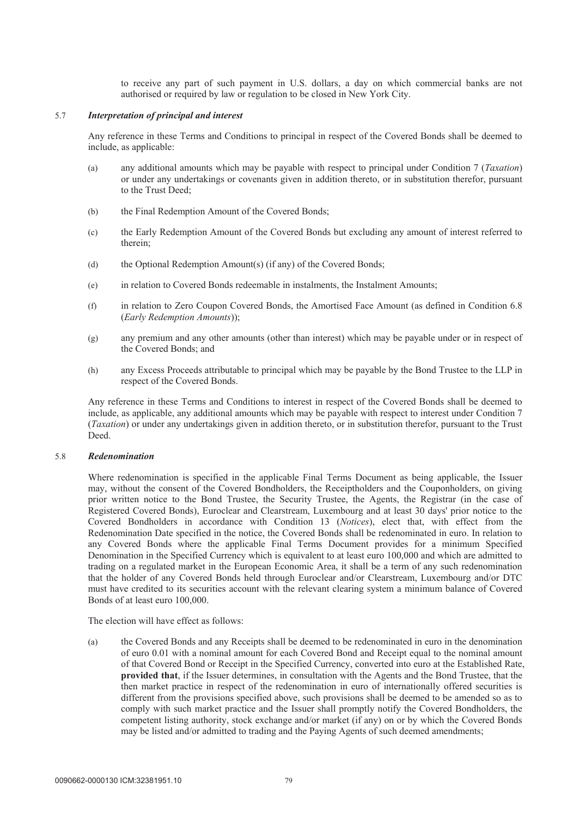to receive any part of such payment in U.S. dollars, a day on which commercial banks are not authorised or required by law or regulation to be closed in New York City.

### 5.7 *Interpretation of principal and interest*

Any reference in these Terms and Conditions to principal in respect of the Covered Bonds shall be deemed to include, as applicable:

- (a) any additional amounts which may be payable with respect to principal under Condition 7 (*Taxation*) or under any undertakings or covenants given in addition thereto, or in substitution therefor, pursuant to the Trust Deed;
- (b) the Final Redemption Amount of the Covered Bonds;
- (c) the Early Redemption Amount of the Covered Bonds but excluding any amount of interest referred to therein;
- (d) the Optional Redemption Amount(s) (if any) of the Covered Bonds;
- (e) in relation to Covered Bonds redeemable in instalments, the Instalment Amounts;
- (f) in relation to Zero Coupon Covered Bonds, the Amortised Face Amount (as defined in Condition 6.8 (*Early Redemption Amounts*));
- (g) any premium and any other amounts (other than interest) which may be payable under or in respect of the Covered Bonds; and
- (h) any Excess Proceeds attributable to principal which may be payable by the Bond Trustee to the LLP in respect of the Covered Bonds.

Any reference in these Terms and Conditions to interest in respect of the Covered Bonds shall be deemed to include, as applicable, any additional amounts which may be payable with respect to interest under Condition 7 (*Taxation*) or under any undertakings given in addition thereto, or in substitution therefor, pursuant to the Trust Deed.

#### 5.8 *Redenomination*

Where redenomination is specified in the applicable Final Terms Document as being applicable, the Issuer may, without the consent of the Covered Bondholders, the Receiptholders and the Couponholders, on giving prior written notice to the Bond Trustee, the Security Trustee, the Agents, the Registrar (in the case of Registered Covered Bonds), Euroclear and Clearstream, Luxembourg and at least 30 days' prior notice to the Covered Bondholders in accordance with Condition 13 (*Notices*), elect that, with effect from the Redenomination Date specified in the notice, the Covered Bonds shall be redenominated in euro. In relation to any Covered Bonds where the applicable Final Terms Document provides for a minimum Specified Denomination in the Specified Currency which is equivalent to at least euro 100,000 and which are admitted to trading on a regulated market in the European Economic Area, it shall be a term of any such redenomination that the holder of any Covered Bonds held through Euroclear and/or Clearstream, Luxembourg and/or DTC must have credited to its securities account with the relevant clearing system a minimum balance of Covered Bonds of at least euro 100,000.

The election will have effect as follows:

(a) the Covered Bonds and any Receipts shall be deemed to be redenominated in euro in the denomination of euro 0.01 with a nominal amount for each Covered Bond and Receipt equal to the nominal amount of that Covered Bond or Receipt in the Specified Currency, converted into euro at the Established Rate, **provided that**, if the Issuer determines, in consultation with the Agents and the Bond Trustee, that the then market practice in respect of the redenomination in euro of internationally offered securities is different from the provisions specified above, such provisions shall be deemed to be amended so as to comply with such market practice and the Issuer shall promptly notify the Covered Bondholders, the competent listing authority, stock exchange and/or market (if any) on or by which the Covered Bonds may be listed and/or admitted to trading and the Paying Agents of such deemed amendments;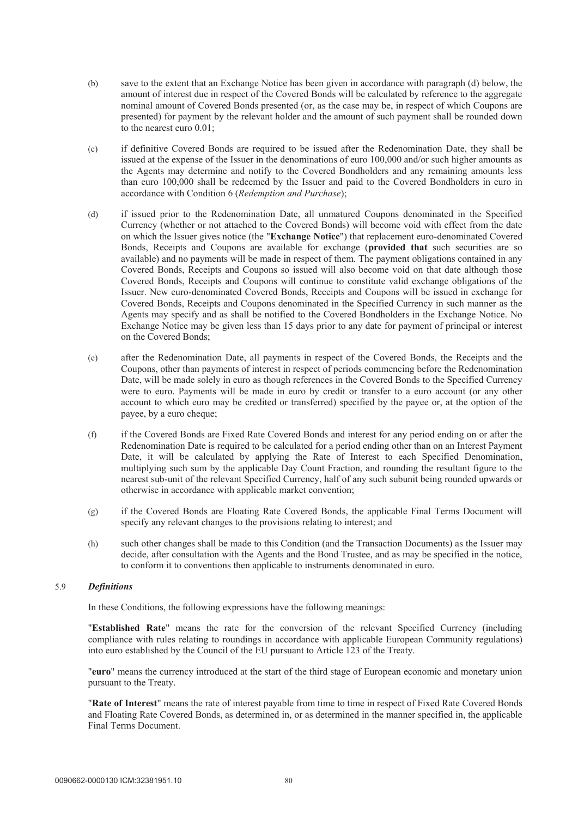- (b) save to the extent that an Exchange Notice has been given in accordance with paragraph (d) below, the amount of interest due in respect of the Covered Bonds will be calculated by reference to the aggregate nominal amount of Covered Bonds presented (or, as the case may be, in respect of which Coupons are presented) for payment by the relevant holder and the amount of such payment shall be rounded down to the nearest euro 0.01;
- (c) if definitive Covered Bonds are required to be issued after the Redenomination Date, they shall be issued at the expense of the Issuer in the denominations of euro 100,000 and/or such higher amounts as the Agents may determine and notify to the Covered Bondholders and any remaining amounts less than euro 100,000 shall be redeemed by the Issuer and paid to the Covered Bondholders in euro in accordance with Condition 6 (*Redemption and Purchase*);
- (d) if issued prior to the Redenomination Date, all unmatured Coupons denominated in the Specified Currency (whether or not attached to the Covered Bonds) will become void with effect from the date on which the Issuer gives notice (the "**Exchange Notice**") that replacement euro-denominated Covered Bonds, Receipts and Coupons are available for exchange (**provided that** such securities are so available) and no payments will be made in respect of them. The payment obligations contained in any Covered Bonds, Receipts and Coupons so issued will also become void on that date although those Covered Bonds, Receipts and Coupons will continue to constitute valid exchange obligations of the Issuer. New euro-denominated Covered Bonds, Receipts and Coupons will be issued in exchange for Covered Bonds, Receipts and Coupons denominated in the Specified Currency in such manner as the Agents may specify and as shall be notified to the Covered Bondholders in the Exchange Notice. No Exchange Notice may be given less than 15 days prior to any date for payment of principal or interest on the Covered Bonds;
- (e) after the Redenomination Date, all payments in respect of the Covered Bonds, the Receipts and the Coupons, other than payments of interest in respect of periods commencing before the Redenomination Date, will be made solely in euro as though references in the Covered Bonds to the Specified Currency were to euro. Payments will be made in euro by credit or transfer to a euro account (or any other account to which euro may be credited or transferred) specified by the payee or, at the option of the payee, by a euro cheque;
- (f) if the Covered Bonds are Fixed Rate Covered Bonds and interest for any period ending on or after the Redenomination Date is required to be calculated for a period ending other than on an Interest Payment Date, it will be calculated by applying the Rate of Interest to each Specified Denomination, multiplying such sum by the applicable Day Count Fraction, and rounding the resultant figure to the nearest sub-unit of the relevant Specified Currency, half of any such subunit being rounded upwards or otherwise in accordance with applicable market convention;
- (g) if the Covered Bonds are Floating Rate Covered Bonds, the applicable Final Terms Document will specify any relevant changes to the provisions relating to interest; and
- (h) such other changes shall be made to this Condition (and the Transaction Documents) as the Issuer may decide, after consultation with the Agents and the Bond Trustee, and as may be specified in the notice, to conform it to conventions then applicable to instruments denominated in euro.

#### 5.9 *Definitions*

In these Conditions, the following expressions have the following meanings:

"**Established Rate**" means the rate for the conversion of the relevant Specified Currency (including compliance with rules relating to roundings in accordance with applicable European Community regulations) into euro established by the Council of the EU pursuant to Article 123 of the Treaty.

"**euro**" means the currency introduced at the start of the third stage of European economic and monetary union pursuant to the Treaty.

"**Rate of Interest**" means the rate of interest payable from time to time in respect of Fixed Rate Covered Bonds and Floating Rate Covered Bonds, as determined in, or as determined in the manner specified in, the applicable Final Terms Document.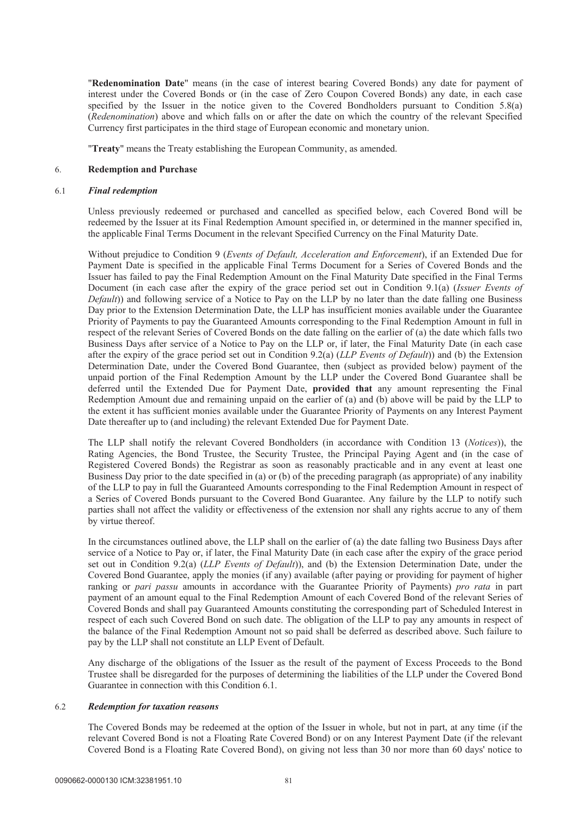"**Redenomination Date**" means (in the case of interest bearing Covered Bonds) any date for payment of interest under the Covered Bonds or (in the case of Zero Coupon Covered Bonds) any date, in each case specified by the Issuer in the notice given to the Covered Bondholders pursuant to Condition 5.8(a) (*Redenomination*) above and which falls on or after the date on which the country of the relevant Specified Currency first participates in the third stage of European economic and monetary union.

"**Treaty**" means the Treaty establishing the European Community, as amended.

#### 6. **Redemption and Purchase**

#### 6.1 *Final redemption*

Unless previously redeemed or purchased and cancelled as specified below, each Covered Bond will be redeemed by the Issuer at its Final Redemption Amount specified in, or determined in the manner specified in, the applicable Final Terms Document in the relevant Specified Currency on the Final Maturity Date.

Without prejudice to Condition 9 (*Events of Default, Acceleration and Enforcement*), if an Extended Due for Payment Date is specified in the applicable Final Terms Document for a Series of Covered Bonds and the Issuer has failed to pay the Final Redemption Amount on the Final Maturity Date specified in the Final Terms Document (in each case after the expiry of the grace period set out in Condition 9.1(a) (*Issuer Events of Default*)) and following service of a Notice to Pay on the LLP by no later than the date falling one Business Day prior to the Extension Determination Date, the LLP has insufficient monies available under the Guarantee Priority of Payments to pay the Guaranteed Amounts corresponding to the Final Redemption Amount in full in respect of the relevant Series of Covered Bonds on the date falling on the earlier of (a) the date which falls two Business Days after service of a Notice to Pay on the LLP or, if later, the Final Maturity Date (in each case after the expiry of the grace period set out in Condition 9.2(a) (*LLP Events of Default*)) and (b) the Extension Determination Date, under the Covered Bond Guarantee, then (subject as provided below) payment of the unpaid portion of the Final Redemption Amount by the LLP under the Covered Bond Guarantee shall be deferred until the Extended Due for Payment Date, **provided that** any amount representing the Final Redemption Amount due and remaining unpaid on the earlier of (a) and (b) above will be paid by the LLP to the extent it has sufficient monies available under the Guarantee Priority of Payments on any Interest Payment Date thereafter up to (and including) the relevant Extended Due for Payment Date.

The LLP shall notify the relevant Covered Bondholders (in accordance with Condition 13 (*Notices*)), the Rating Agencies, the Bond Trustee, the Security Trustee, the Principal Paying Agent and (in the case of Registered Covered Bonds) the Registrar as soon as reasonably practicable and in any event at least one Business Day prior to the date specified in (a) or (b) of the preceding paragraph (as appropriate) of any inability of the LLP to pay in full the Guaranteed Amounts corresponding to the Final Redemption Amount in respect of a Series of Covered Bonds pursuant to the Covered Bond Guarantee. Any failure by the LLP to notify such parties shall not affect the validity or effectiveness of the extension nor shall any rights accrue to any of them by virtue thereof.

In the circumstances outlined above, the LLP shall on the earlier of (a) the date falling two Business Days after service of a Notice to Pay or, if later, the Final Maturity Date (in each case after the expiry of the grace period set out in Condition 9.2(a) (*LLP Events of Default*)), and (b) the Extension Determination Date, under the Covered Bond Guarantee, apply the monies (if any) available (after paying or providing for payment of higher ranking or *pari passu* amounts in accordance with the Guarantee Priority of Payments) *pro rata* in part payment of an amount equal to the Final Redemption Amount of each Covered Bond of the relevant Series of Covered Bonds and shall pay Guaranteed Amounts constituting the corresponding part of Scheduled Interest in respect of each such Covered Bond on such date. The obligation of the LLP to pay any amounts in respect of the balance of the Final Redemption Amount not so paid shall be deferred as described above. Such failure to pay by the LLP shall not constitute an LLP Event of Default.

Any discharge of the obligations of the Issuer as the result of the payment of Excess Proceeds to the Bond Trustee shall be disregarded for the purposes of determining the liabilities of the LLP under the Covered Bond Guarantee in connection with this Condition 6.1.

### 6.2 *Redemption for taxation reasons*

The Covered Bonds may be redeemed at the option of the Issuer in whole, but not in part, at any time (if the relevant Covered Bond is not a Floating Rate Covered Bond) or on any Interest Payment Date (if the relevant Covered Bond is a Floating Rate Covered Bond), on giving not less than 30 nor more than 60 days' notice to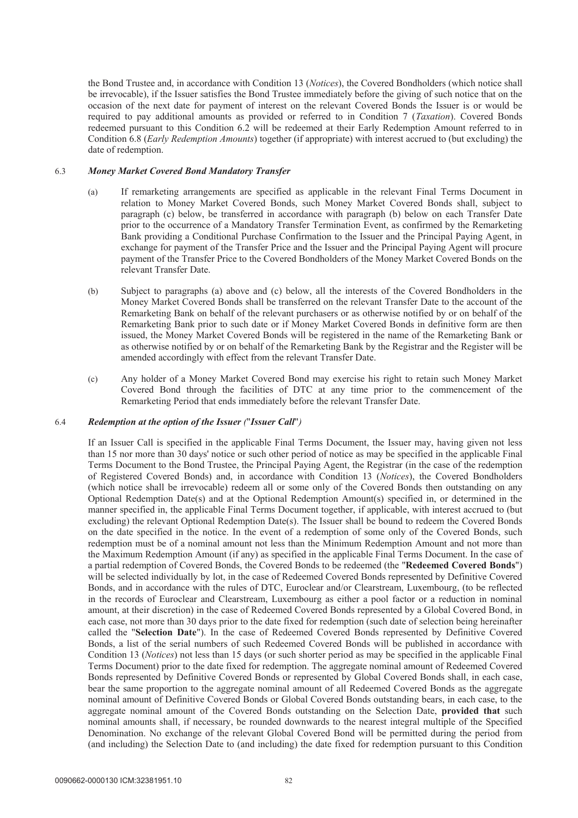the Bond Trustee and, in accordance with Condition 13 (*Notices*), the Covered Bondholders (which notice shall be irrevocable), if the Issuer satisfies the Bond Trustee immediately before the giving of such notice that on the occasion of the next date for payment of interest on the relevant Covered Bonds the Issuer is or would be required to pay additional amounts as provided or referred to in Condition 7 (*Taxation*). Covered Bonds redeemed pursuant to this Condition 6.2 will be redeemed at their Early Redemption Amount referred to in Condition 6.8 (*Early Redemption Amounts*) together (if appropriate) with interest accrued to (but excluding) the date of redemption.

### 6.3 *Money Market Covered Bond Mandatory Transfer*

- (a) If remarketing arrangements are specified as applicable in the relevant Final Terms Document in relation to Money Market Covered Bonds, such Money Market Covered Bonds shall, subject to paragraph (c) below, be transferred in accordance with paragraph (b) below on each Transfer Date prior to the occurrence of a Mandatory Transfer Termination Event, as confirmed by the Remarketing Bank providing a Conditional Purchase Confirmation to the Issuer and the Principal Paying Agent, in exchange for payment of the Transfer Price and the Issuer and the Principal Paying Agent will procure payment of the Transfer Price to the Covered Bondholders of the Money Market Covered Bonds on the relevant Transfer Date.
- (b) Subject to paragraphs (a) above and (c) below, all the interests of the Covered Bondholders in the Money Market Covered Bonds shall be transferred on the relevant Transfer Date to the account of the Remarketing Bank on behalf of the relevant purchasers or as otherwise notified by or on behalf of the Remarketing Bank prior to such date or if Money Market Covered Bonds in definitive form are then issued, the Money Market Covered Bonds will be registered in the name of the Remarketing Bank or as otherwise notified by or on behalf of the Remarketing Bank by the Registrar and the Register will be amended accordingly with effect from the relevant Transfer Date.
- (c) Any holder of a Money Market Covered Bond may exercise his right to retain such Money Market Covered Bond through the facilities of DTC at any time prior to the commencement of the Remarketing Period that ends immediately before the relevant Transfer Date.

## 6.4 *Redemption at the option of the Issuer (*"*Issuer Call*"*)*

If an Issuer Call is specified in the applicable Final Terms Document, the Issuer may, having given not less than 15 nor more than 30 days' notice or such other period of notice as may be specified in the applicable Final Terms Document to the Bond Trustee, the Principal Paying Agent, the Registrar (in the case of the redemption of Registered Covered Bonds) and, in accordance with Condition 13 (*Notices*), the Covered Bondholders (which notice shall be irrevocable) redeem all or some only of the Covered Bonds then outstanding on any Optional Redemption Date(s) and at the Optional Redemption Amount(s) specified in, or determined in the manner specified in, the applicable Final Terms Document together, if applicable, with interest accrued to (but excluding) the relevant Optional Redemption Date(s). The Issuer shall be bound to redeem the Covered Bonds on the date specified in the notice. In the event of a redemption of some only of the Covered Bonds, such redemption must be of a nominal amount not less than the Minimum Redemption Amount and not more than the Maximum Redemption Amount (if any) as specified in the applicable Final Terms Document. In the case of a partial redemption of Covered Bonds, the Covered Bonds to be redeemed (the "**Redeemed Covered Bonds**") will be selected individually by lot, in the case of Redeemed Covered Bonds represented by Definitive Covered Bonds, and in accordance with the rules of DTC, Euroclear and/or Clearstream, Luxembourg, (to be reflected in the records of Euroclear and Clearstream, Luxembourg as either a pool factor or a reduction in nominal amount, at their discretion) in the case of Redeemed Covered Bonds represented by a Global Covered Bond, in each case, not more than 30 days prior to the date fixed for redemption (such date of selection being hereinafter called the "**Selection Date**"). In the case of Redeemed Covered Bonds represented by Definitive Covered Bonds, a list of the serial numbers of such Redeemed Covered Bonds will be published in accordance with Condition 13 (*Notices*) not less than 15 days (or such shorter period as may be specified in the applicable Final Terms Document) prior to the date fixed for redemption. The aggregate nominal amount of Redeemed Covered Bonds represented by Definitive Covered Bonds or represented by Global Covered Bonds shall, in each case, bear the same proportion to the aggregate nominal amount of all Redeemed Covered Bonds as the aggregate nominal amount of Definitive Covered Bonds or Global Covered Bonds outstanding bears, in each case, to the aggregate nominal amount of the Covered Bonds outstanding on the Selection Date, **provided that** such nominal amounts shall, if necessary, be rounded downwards to the nearest integral multiple of the Specified Denomination. No exchange of the relevant Global Covered Bond will be permitted during the period from (and including) the Selection Date to (and including) the date fixed for redemption pursuant to this Condition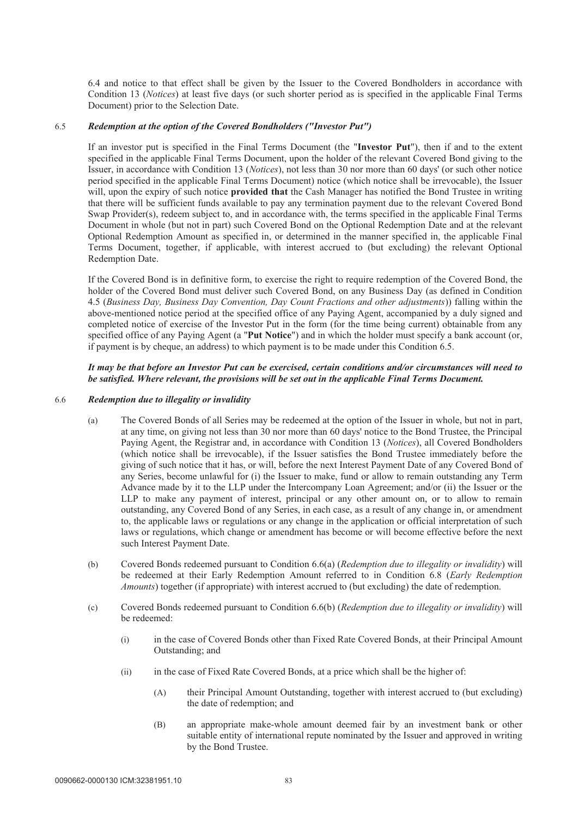6.4 and notice to that effect shall be given by the Issuer to the Covered Bondholders in accordance with Condition 13 (*Notices*) at least five days (or such shorter period as is specified in the applicable Final Terms Document) prior to the Selection Date.

## 6.5 *Redemption at the option of the Covered Bondholders ("Investor Put")*

If an investor put is specified in the Final Terms Document (the "**Investor Put**"), then if and to the extent specified in the applicable Final Terms Document, upon the holder of the relevant Covered Bond giving to the Issuer, in accordance with Condition 13 (*Notices*), not less than 30 nor more than 60 days' (or such other notice period specified in the applicable Final Terms Document) notice (which notice shall be irrevocable), the Issuer will, upon the expiry of such notice **provided that** the Cash Manager has notified the Bond Trustee in writing that there will be sufficient funds available to pay any termination payment due to the relevant Covered Bond Swap Provider(s), redeem subject to, and in accordance with, the terms specified in the applicable Final Terms Document in whole (but not in part) such Covered Bond on the Optional Redemption Date and at the relevant Optional Redemption Amount as specified in, or determined in the manner specified in, the applicable Final Terms Document, together, if applicable, with interest accrued to (but excluding) the relevant Optional Redemption Date.

If the Covered Bond is in definitive form, to exercise the right to require redemption of the Covered Bond, the holder of the Covered Bond must deliver such Covered Bond, on any Business Day (as defined in Condition 4.5 (*Business Day, Business Day Convention, Day Count Fractions and other adjustments*)) falling within the above-mentioned notice period at the specified office of any Paying Agent, accompanied by a duly signed and completed notice of exercise of the Investor Put in the form (for the time being current) obtainable from any specified office of any Paying Agent (a "**Put Notice**") and in which the holder must specify a bank account (or, if payment is by cheque, an address) to which payment is to be made under this Condition 6.5.

### *It may be that before an Investor Put can be exercised, certain conditions and/or circumstances will need to be satisfied. Where relevant, the provisions will be set out in the applicable Final Terms Document.*

#### 6.6 *Redemption due to illegality or invalidity*

- (a) The Covered Bonds of all Series may be redeemed at the option of the Issuer in whole, but not in part, at any time, on giving not less than 30 nor more than 60 days' notice to the Bond Trustee, the Principal Paying Agent, the Registrar and, in accordance with Condition 13 (*Notices*), all Covered Bondholders (which notice shall be irrevocable), if the Issuer satisfies the Bond Trustee immediately before the giving of such notice that it has, or will, before the next Interest Payment Date of any Covered Bond of any Series, become unlawful for (i) the Issuer to make, fund or allow to remain outstanding any Term Advance made by it to the LLP under the Intercompany Loan Agreement; and/or (ii) the Issuer or the LLP to make any payment of interest, principal or any other amount on, or to allow to remain outstanding, any Covered Bond of any Series, in each case, as a result of any change in, or amendment to, the applicable laws or regulations or any change in the application or official interpretation of such laws or regulations, which change or amendment has become or will become effective before the next such Interest Payment Date.
- (b) Covered Bonds redeemed pursuant to Condition 6.6(a) (*Redemption due to illegality or invalidity*) will be redeemed at their Early Redemption Amount referred to in Condition 6.8 (*Early Redemption Amounts*) together (if appropriate) with interest accrued to (but excluding) the date of redemption.
- (c) Covered Bonds redeemed pursuant to Condition 6.6(b) (*Redemption due to illegality or invalidity*) will be redeemed:
	- (i) in the case of Covered Bonds other than Fixed Rate Covered Bonds, at their Principal Amount Outstanding; and
	- (ii) in the case of Fixed Rate Covered Bonds, at a price which shall be the higher of:
		- (A) their Principal Amount Outstanding, together with interest accrued to (but excluding) the date of redemption; and
		- (B) an appropriate make-whole amount deemed fair by an investment bank or other suitable entity of international repute nominated by the Issuer and approved in writing by the Bond Trustee.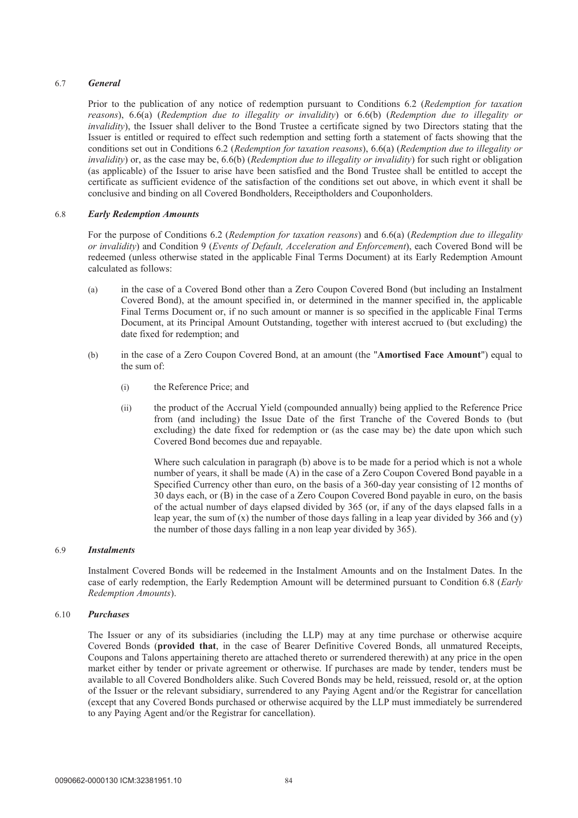## 6.7 *General*

Prior to the publication of any notice of redemption pursuant to Conditions 6.2 (*Redemption for taxation reasons*), 6.6(a) (*Redemption due to illegality or invalidity*) or 6.6(b) (*Redemption due to illegality or invalidity*), the Issuer shall deliver to the Bond Trustee a certificate signed by two Directors stating that the Issuer is entitled or required to effect such redemption and setting forth a statement of facts showing that the conditions set out in Conditions 6.2 (*Redemption for taxation reasons*), 6.6(a) (*Redemption due to illegality or invalidity*) or, as the case may be, 6.6(b) (*Redemption due to illegality or invalidity*) for such right or obligation (as applicable) of the Issuer to arise have been satisfied and the Bond Trustee shall be entitled to accept the certificate as sufficient evidence of the satisfaction of the conditions set out above, in which event it shall be conclusive and binding on all Covered Bondholders, Receiptholders and Couponholders.

### 6.8 *Early Redemption Amounts*

For the purpose of Conditions 6.2 (*Redemption for taxation reasons*) and 6.6(a) (*Redemption due to illegality or invalidity*) and Condition 9 (*Events of Default, Acceleration and Enforcement*), each Covered Bond will be redeemed (unless otherwise stated in the applicable Final Terms Document) at its Early Redemption Amount calculated as follows:

- (a) in the case of a Covered Bond other than a Zero Coupon Covered Bond (but including an Instalment Covered Bond), at the amount specified in, or determined in the manner specified in, the applicable Final Terms Document or, if no such amount or manner is so specified in the applicable Final Terms Document, at its Principal Amount Outstanding, together with interest accrued to (but excluding) the date fixed for redemption; and
- (b) in the case of a Zero Coupon Covered Bond, at an amount (the "**Amortised Face Amount**") equal to the sum of:
	- (i) the Reference Price; and
	- (ii) the product of the Accrual Yield (compounded annually) being applied to the Reference Price from (and including) the Issue Date of the first Tranche of the Covered Bonds to (but excluding) the date fixed for redemption or (as the case may be) the date upon which such Covered Bond becomes due and repayable.

Where such calculation in paragraph (b) above is to be made for a period which is not a whole number of years, it shall be made (A) in the case of a Zero Coupon Covered Bond payable in a Specified Currency other than euro, on the basis of a 360-day year consisting of 12 months of 30 days each, or (B) in the case of a Zero Coupon Covered Bond payable in euro, on the basis of the actual number of days elapsed divided by 365 (or, if any of the days elapsed falls in a leap year, the sum of  $(x)$  the number of those days falling in a leap year divided by 366 and  $(y)$ the number of those days falling in a non leap year divided by 365).

#### 6.9 *Instalments*

Instalment Covered Bonds will be redeemed in the Instalment Amounts and on the Instalment Dates. In the case of early redemption, the Early Redemption Amount will be determined pursuant to Condition 6.8 (*Early Redemption Amounts*).

### 6.10 *Purchases*

The Issuer or any of its subsidiaries (including the LLP) may at any time purchase or otherwise acquire Covered Bonds (**provided that**, in the case of Bearer Definitive Covered Bonds, all unmatured Receipts, Coupons and Talons appertaining thereto are attached thereto or surrendered therewith) at any price in the open market either by tender or private agreement or otherwise. If purchases are made by tender, tenders must be available to all Covered Bondholders alike. Such Covered Bonds may be held, reissued, resold or, at the option of the Issuer or the relevant subsidiary, surrendered to any Paying Agent and/or the Registrar for cancellation (except that any Covered Bonds purchased or otherwise acquired by the LLP must immediately be surrendered to any Paying Agent and/or the Registrar for cancellation).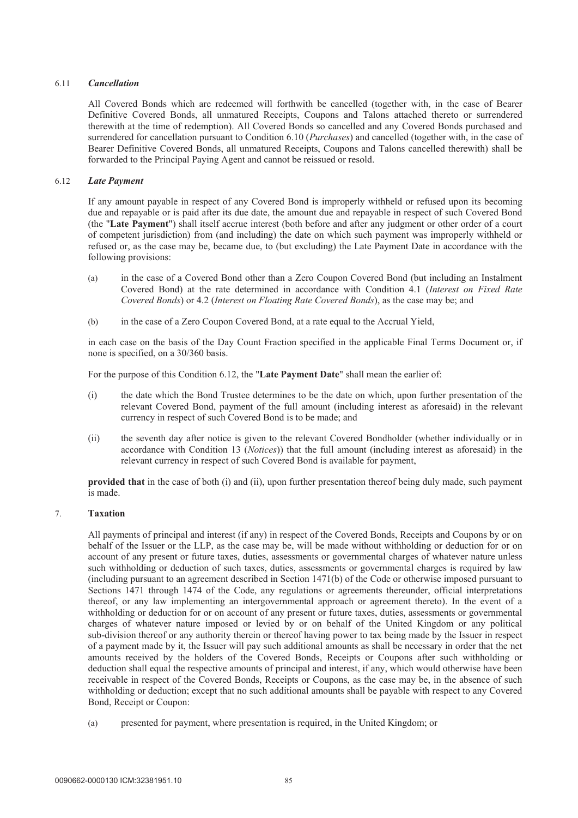## 6.11 *Cancellation*

All Covered Bonds which are redeemed will forthwith be cancelled (together with, in the case of Bearer Definitive Covered Bonds, all unmatured Receipts, Coupons and Talons attached thereto or surrendered therewith at the time of redemption). All Covered Bonds so cancelled and any Covered Bonds purchased and surrendered for cancellation pursuant to Condition 6.10 (*Purchases*) and cancelled (together with, in the case of Bearer Definitive Covered Bonds, all unmatured Receipts, Coupons and Talons cancelled therewith) shall be forwarded to the Principal Paying Agent and cannot be reissued or resold.

# 6.12 *Late Payment*

If any amount payable in respect of any Covered Bond is improperly withheld or refused upon its becoming due and repayable or is paid after its due date, the amount due and repayable in respect of such Covered Bond (the "**Late Payment**") shall itself accrue interest (both before and after any judgment or other order of a court of competent jurisdiction) from (and including) the date on which such payment was improperly withheld or refused or, as the case may be, became due, to (but excluding) the Late Payment Date in accordance with the following provisions:

- (a) in the case of a Covered Bond other than a Zero Coupon Covered Bond (but including an Instalment Covered Bond) at the rate determined in accordance with Condition 4.1 (*Interest on Fixed Rate Covered Bonds*) or 4.2 (*Interest on Floating Rate Covered Bonds*), as the case may be; and
- (b) in the case of a Zero Coupon Covered Bond, at a rate equal to the Accrual Yield,

in each case on the basis of the Day Count Fraction specified in the applicable Final Terms Document or, if none is specified, on a 30/360 basis.

For the purpose of this Condition 6.12, the "**Late Payment Date**" shall mean the earlier of:

- (i) the date which the Bond Trustee determines to be the date on which, upon further presentation of the relevant Covered Bond, payment of the full amount (including interest as aforesaid) in the relevant currency in respect of such Covered Bond is to be made; and
- (ii) the seventh day after notice is given to the relevant Covered Bondholder (whether individually or in accordance with Condition 13 (*Notices*)) that the full amount (including interest as aforesaid) in the relevant currency in respect of such Covered Bond is available for payment,

**provided that** in the case of both (i) and (ii), upon further presentation thereof being duly made, such payment is made.

# 7. **Taxation**

All payments of principal and interest (if any) in respect of the Covered Bonds, Receipts and Coupons by or on behalf of the Issuer or the LLP, as the case may be, will be made without withholding or deduction for or on account of any present or future taxes, duties, assessments or governmental charges of whatever nature unless such withholding or deduction of such taxes, duties, assessments or governmental charges is required by law (including pursuant to an agreement described in Section 1471(b) of the Code or otherwise imposed pursuant to Sections 1471 through 1474 of the Code, any regulations or agreements thereunder, official interpretations thereof, or any law implementing an intergovernmental approach or agreement thereto). In the event of a withholding or deduction for or on account of any present or future taxes, duties, assessments or governmental charges of whatever nature imposed or levied by or on behalf of the United Kingdom or any political sub-division thereof or any authority therein or thereof having power to tax being made by the Issuer in respect of a payment made by it, the Issuer will pay such additional amounts as shall be necessary in order that the net amounts received by the holders of the Covered Bonds, Receipts or Coupons after such withholding or deduction shall equal the respective amounts of principal and interest, if any, which would otherwise have been receivable in respect of the Covered Bonds, Receipts or Coupons, as the case may be, in the absence of such withholding or deduction; except that no such additional amounts shall be payable with respect to any Covered Bond, Receipt or Coupon:

(a) presented for payment, where presentation is required, in the United Kingdom; or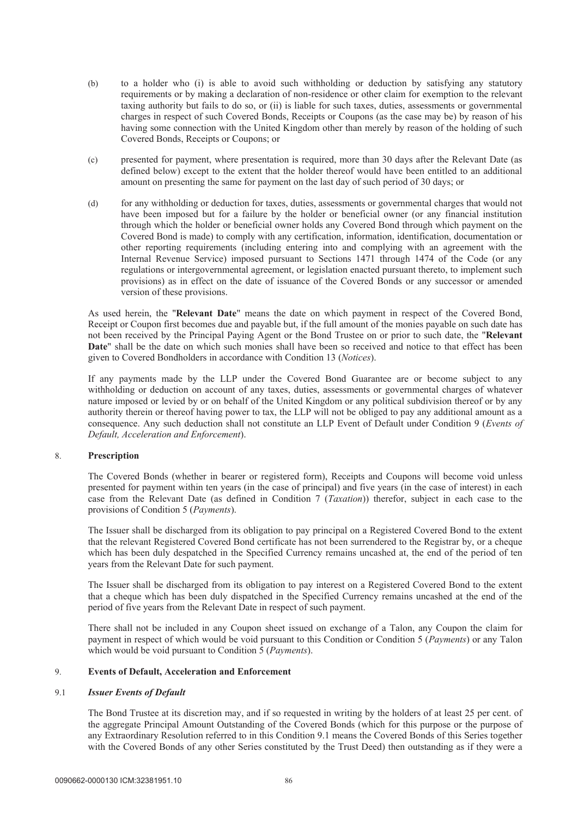- (b) to a holder who (i) is able to avoid such withholding or deduction by satisfying any statutory requirements or by making a declaration of non-residence or other claim for exemption to the relevant taxing authority but fails to do so, or (ii) is liable for such taxes, duties, assessments or governmental charges in respect of such Covered Bonds, Receipts or Coupons (as the case may be) by reason of his having some connection with the United Kingdom other than merely by reason of the holding of such Covered Bonds, Receipts or Coupons; or
- (c) presented for payment, where presentation is required, more than 30 days after the Relevant Date (as defined below) except to the extent that the holder thereof would have been entitled to an additional amount on presenting the same for payment on the last day of such period of 30 days; or
- (d) for any withholding or deduction for taxes, duties, assessments or governmental charges that would not have been imposed but for a failure by the holder or beneficial owner (or any financial institution through which the holder or beneficial owner holds any Covered Bond through which payment on the Covered Bond is made) to comply with any certification, information, identification, documentation or other reporting requirements (including entering into and complying with an agreement with the Internal Revenue Service) imposed pursuant to Sections 1471 through 1474 of the Code (or any regulations or intergovernmental agreement, or legislation enacted pursuant thereto, to implement such provisions) as in effect on the date of issuance of the Covered Bonds or any successor or amended version of these provisions.

As used herein, the "**Relevant Date**" means the date on which payment in respect of the Covered Bond, Receipt or Coupon first becomes due and payable but, if the full amount of the monies payable on such date has not been received by the Principal Paying Agent or the Bond Trustee on or prior to such date, the "**Relevant Date**" shall be the date on which such monies shall have been so received and notice to that effect has been given to Covered Bondholders in accordance with Condition 13 (*Notices*).

If any payments made by the LLP under the Covered Bond Guarantee are or become subject to any withholding or deduction on account of any taxes, duties, assessments or governmental charges of whatever nature imposed or levied by or on behalf of the United Kingdom or any political subdivision thereof or by any authority therein or thereof having power to tax, the LLP will not be obliged to pay any additional amount as a consequence. Any such deduction shall not constitute an LLP Event of Default under Condition 9 (*Events of Default, Acceleration and Enforcement*).

## 8. **Prescription**

The Covered Bonds (whether in bearer or registered form), Receipts and Coupons will become void unless presented for payment within ten years (in the case of principal) and five years (in the case of interest) in each case from the Relevant Date (as defined in Condition 7 (*Taxation*)) therefor, subject in each case to the provisions of Condition 5 (*Payments*).

The Issuer shall be discharged from its obligation to pay principal on a Registered Covered Bond to the extent that the relevant Registered Covered Bond certificate has not been surrendered to the Registrar by, or a cheque which has been duly despatched in the Specified Currency remains uncashed at, the end of the period of ten years from the Relevant Date for such payment.

The Issuer shall be discharged from its obligation to pay interest on a Registered Covered Bond to the extent that a cheque which has been duly dispatched in the Specified Currency remains uncashed at the end of the period of five years from the Relevant Date in respect of such payment.

There shall not be included in any Coupon sheet issued on exchange of a Talon, any Coupon the claim for payment in respect of which would be void pursuant to this Condition or Condition 5 (*Payments*) or any Talon which would be void pursuant to Condition 5 (*Payments*).

#### 9. **Events of Default, Acceleration and Enforcement**

#### 9.1 *Issuer Events of Default*

The Bond Trustee at its discretion may, and if so requested in writing by the holders of at least 25 per cent. of the aggregate Principal Amount Outstanding of the Covered Bonds (which for this purpose or the purpose of any Extraordinary Resolution referred to in this Condition 9.1 means the Covered Bonds of this Series together with the Covered Bonds of any other Series constituted by the Trust Deed) then outstanding as if they were a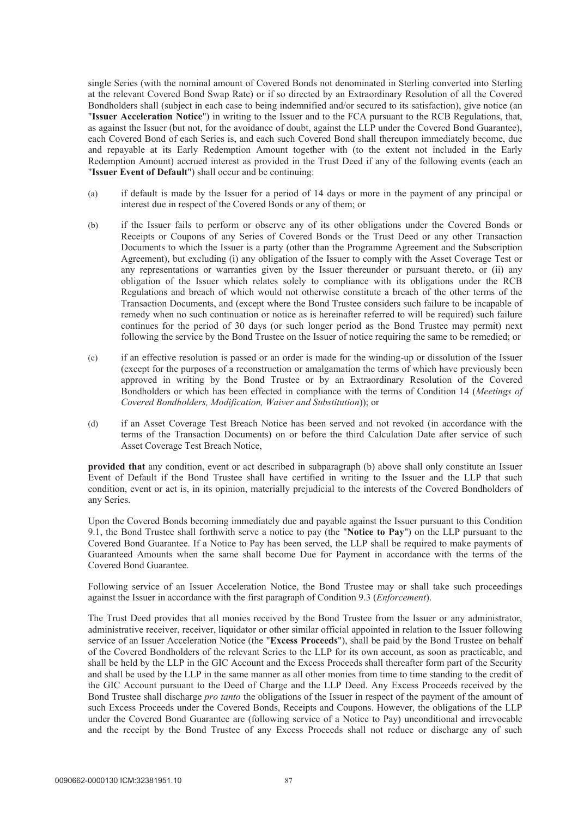single Series (with the nominal amount of Covered Bonds not denominated in Sterling converted into Sterling at the relevant Covered Bond Swap Rate) or if so directed by an Extraordinary Resolution of all the Covered Bondholders shall (subject in each case to being indemnified and/or secured to its satisfaction), give notice (an "**Issuer Acceleration Notice**") in writing to the Issuer and to the FCA pursuant to the RCB Regulations, that, as against the Issuer (but not, for the avoidance of doubt, against the LLP under the Covered Bond Guarantee), each Covered Bond of each Series is, and each such Covered Bond shall thereupon immediately become, due and repayable at its Early Redemption Amount together with (to the extent not included in the Early Redemption Amount) accrued interest as provided in the Trust Deed if any of the following events (each an "**Issuer Event of Default**") shall occur and be continuing:

- (a) if default is made by the Issuer for a period of 14 days or more in the payment of any principal or interest due in respect of the Covered Bonds or any of them; or
- (b) if the Issuer fails to perform or observe any of its other obligations under the Covered Bonds or Receipts or Coupons of any Series of Covered Bonds or the Trust Deed or any other Transaction Documents to which the Issuer is a party (other than the Programme Agreement and the Subscription Agreement), but excluding (i) any obligation of the Issuer to comply with the Asset Coverage Test or any representations or warranties given by the Issuer thereunder or pursuant thereto, or (ii) any obligation of the Issuer which relates solely to compliance with its obligations under the RCB Regulations and breach of which would not otherwise constitute a breach of the other terms of the Transaction Documents, and (except where the Bond Trustee considers such failure to be incapable of remedy when no such continuation or notice as is hereinafter referred to will be required) such failure continues for the period of 30 days (or such longer period as the Bond Trustee may permit) next following the service by the Bond Trustee on the Issuer of notice requiring the same to be remedied; or
- (c) if an effective resolution is passed or an order is made for the winding-up or dissolution of the Issuer (except for the purposes of a reconstruction or amalgamation the terms of which have previously been approved in writing by the Bond Trustee or by an Extraordinary Resolution of the Covered Bondholders or which has been effected in compliance with the terms of Condition 14 (*Meetings of Covered Bondholders, Modification, Waiver and Substitution*)); or
- (d) if an Asset Coverage Test Breach Notice has been served and not revoked (in accordance with the terms of the Transaction Documents) on or before the third Calculation Date after service of such Asset Coverage Test Breach Notice,

**provided that** any condition, event or act described in subparagraph (b) above shall only constitute an Issuer Event of Default if the Bond Trustee shall have certified in writing to the Issuer and the LLP that such condition, event or act is, in its opinion, materially prejudicial to the interests of the Covered Bondholders of any Series.

Upon the Covered Bonds becoming immediately due and payable against the Issuer pursuant to this Condition 9.1, the Bond Trustee shall forthwith serve a notice to pay (the "**Notice to Pay**") on the LLP pursuant to the Covered Bond Guarantee. If a Notice to Pay has been served, the LLP shall be required to make payments of Guaranteed Amounts when the same shall become Due for Payment in accordance with the terms of the Covered Bond Guarantee.

Following service of an Issuer Acceleration Notice, the Bond Trustee may or shall take such proceedings against the Issuer in accordance with the first paragraph of Condition 9.3 (*Enforcement*).

The Trust Deed provides that all monies received by the Bond Trustee from the Issuer or any administrator, administrative receiver, receiver, liquidator or other similar official appointed in relation to the Issuer following service of an Issuer Acceleration Notice (the "**Excess Proceeds**"), shall be paid by the Bond Trustee on behalf of the Covered Bondholders of the relevant Series to the LLP for its own account, as soon as practicable, and shall be held by the LLP in the GIC Account and the Excess Proceeds shall thereafter form part of the Security and shall be used by the LLP in the same manner as all other monies from time to time standing to the credit of the GIC Account pursuant to the Deed of Charge and the LLP Deed. Any Excess Proceeds received by the Bond Trustee shall discharge *pro tanto* the obligations of the Issuer in respect of the payment of the amount of such Excess Proceeds under the Covered Bonds, Receipts and Coupons. However, the obligations of the LLP under the Covered Bond Guarantee are (following service of a Notice to Pay) unconditional and irrevocable and the receipt by the Bond Trustee of any Excess Proceeds shall not reduce or discharge any of such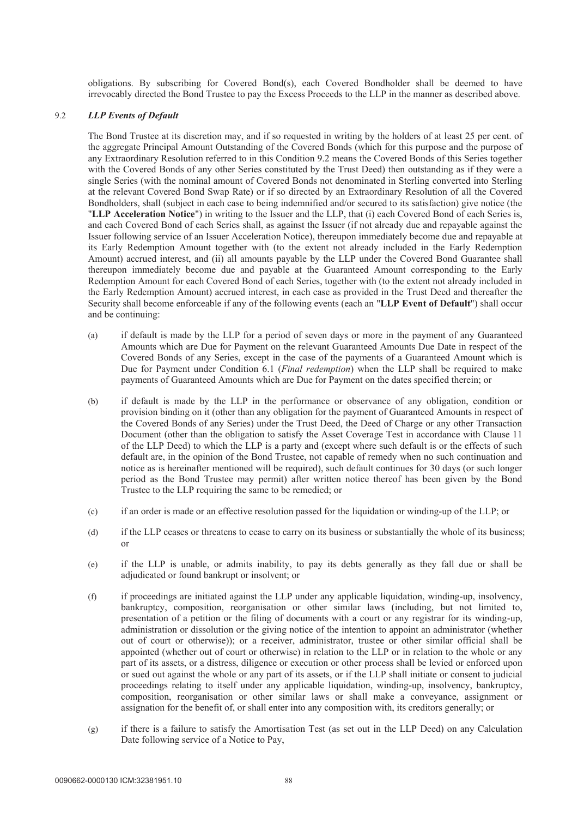obligations. By subscribing for Covered Bond(s), each Covered Bondholder shall be deemed to have irrevocably directed the Bond Trustee to pay the Excess Proceeds to the LLP in the manner as described above.

### 9.2 *LLP Events of Default*

The Bond Trustee at its discretion may, and if so requested in writing by the holders of at least 25 per cent. of the aggregate Principal Amount Outstanding of the Covered Bonds (which for this purpose and the purpose of any Extraordinary Resolution referred to in this Condition 9.2 means the Covered Bonds of this Series together with the Covered Bonds of any other Series constituted by the Trust Deed) then outstanding as if they were a single Series (with the nominal amount of Covered Bonds not denominated in Sterling converted into Sterling at the relevant Covered Bond Swap Rate) or if so directed by an Extraordinary Resolution of all the Covered Bondholders, shall (subject in each case to being indemnified and/or secured to its satisfaction) give notice (the "**LLP Acceleration Notice**") in writing to the Issuer and the LLP, that (i) each Covered Bond of each Series is, and each Covered Bond of each Series shall, as against the Issuer (if not already due and repayable against the Issuer following service of an Issuer Acceleration Notice), thereupon immediately become due and repayable at its Early Redemption Amount together with (to the extent not already included in the Early Redemption Amount) accrued interest, and (ii) all amounts payable by the LLP under the Covered Bond Guarantee shall thereupon immediately become due and payable at the Guaranteed Amount corresponding to the Early Redemption Amount for each Covered Bond of each Series, together with (to the extent not already included in the Early Redemption Amount) accrued interest, in each case as provided in the Trust Deed and thereafter the Security shall become enforceable if any of the following events (each an "**LLP Event of Default**") shall occur and be continuing:

- (a) if default is made by the LLP for a period of seven days or more in the payment of any Guaranteed Amounts which are Due for Payment on the relevant Guaranteed Amounts Due Date in respect of the Covered Bonds of any Series, except in the case of the payments of a Guaranteed Amount which is Due for Payment under Condition 6.1 (*Final redemption*) when the LLP shall be required to make payments of Guaranteed Amounts which are Due for Payment on the dates specified therein; or
- (b) if default is made by the LLP in the performance or observance of any obligation, condition or provision binding on it (other than any obligation for the payment of Guaranteed Amounts in respect of the Covered Bonds of any Series) under the Trust Deed, the Deed of Charge or any other Transaction Document (other than the obligation to satisfy the Asset Coverage Test in accordance with Clause 11 of the LLP Deed) to which the LLP is a party and (except where such default is or the effects of such default are, in the opinion of the Bond Trustee, not capable of remedy when no such continuation and notice as is hereinafter mentioned will be required), such default continues for 30 days (or such longer period as the Bond Trustee may permit) after written notice thereof has been given by the Bond Trustee to the LLP requiring the same to be remedied; or
- (c) if an order is made or an effective resolution passed for the liquidation or winding-up of the LLP; or
- (d) if the LLP ceases or threatens to cease to carry on its business or substantially the whole of its business; or
- (e) if the LLP is unable, or admits inability, to pay its debts generally as they fall due or shall be adjudicated or found bankrupt or insolvent; or
- (f) if proceedings are initiated against the LLP under any applicable liquidation, winding-up, insolvency, bankruptcy, composition, reorganisation or other similar laws (including, but not limited to, presentation of a petition or the filing of documents with a court or any registrar for its winding-up, administration or dissolution or the giving notice of the intention to appoint an administrator (whether out of court or otherwise)); or a receiver, administrator, trustee or other similar official shall be appointed (whether out of court or otherwise) in relation to the LLP or in relation to the whole or any part of its assets, or a distress, diligence or execution or other process shall be levied or enforced upon or sued out against the whole or any part of its assets, or if the LLP shall initiate or consent to judicial proceedings relating to itself under any applicable liquidation, winding-up, insolvency, bankruptcy, composition, reorganisation or other similar laws or shall make a conveyance, assignment or assignation for the benefit of, or shall enter into any composition with, its creditors generally; or
- (g) if there is a failure to satisfy the Amortisation Test (as set out in the LLP Deed) on any Calculation Date following service of a Notice to Pay,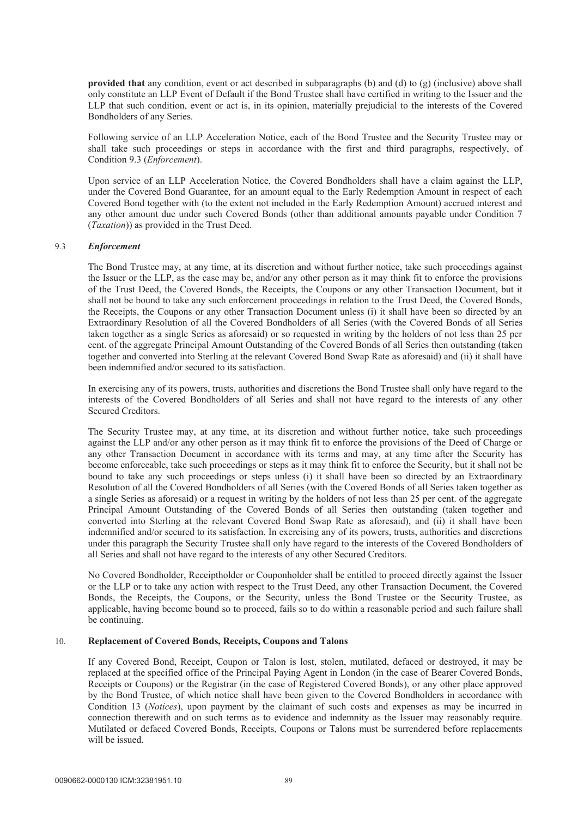**provided that** any condition, event or act described in subparagraphs (b) and (d) to (g) (inclusive) above shall only constitute an LLP Event of Default if the Bond Trustee shall have certified in writing to the Issuer and the LLP that such condition, event or act is, in its opinion, materially prejudicial to the interests of the Covered Bondholders of any Series.

Following service of an LLP Acceleration Notice, each of the Bond Trustee and the Security Trustee may or shall take such proceedings or steps in accordance with the first and third paragraphs, respectively, of Condition 9.3 (*Enforcement*).

Upon service of an LLP Acceleration Notice, the Covered Bondholders shall have a claim against the LLP, under the Covered Bond Guarantee, for an amount equal to the Early Redemption Amount in respect of each Covered Bond together with (to the extent not included in the Early Redemption Amount) accrued interest and any other amount due under such Covered Bonds (other than additional amounts payable under Condition 7 (*Taxation*)) as provided in the Trust Deed.

#### 9.3 *Enforcement*

The Bond Trustee may, at any time, at its discretion and without further notice, take such proceedings against the Issuer or the LLP, as the case may be, and/or any other person as it may think fit to enforce the provisions of the Trust Deed, the Covered Bonds, the Receipts, the Coupons or any other Transaction Document, but it shall not be bound to take any such enforcement proceedings in relation to the Trust Deed, the Covered Bonds, the Receipts, the Coupons or any other Transaction Document unless (i) it shall have been so directed by an Extraordinary Resolution of all the Covered Bondholders of all Series (with the Covered Bonds of all Series taken together as a single Series as aforesaid) or so requested in writing by the holders of not less than 25 per cent. of the aggregate Principal Amount Outstanding of the Covered Bonds of all Series then outstanding (taken together and converted into Sterling at the relevant Covered Bond Swap Rate as aforesaid) and (ii) it shall have been indemnified and/or secured to its satisfaction.

In exercising any of its powers, trusts, authorities and discretions the Bond Trustee shall only have regard to the interests of the Covered Bondholders of all Series and shall not have regard to the interests of any other Secured Creditors.

The Security Trustee may, at any time, at its discretion and without further notice, take such proceedings against the LLP and/or any other person as it may think fit to enforce the provisions of the Deed of Charge or any other Transaction Document in accordance with its terms and may, at any time after the Security has become enforceable, take such proceedings or steps as it may think fit to enforce the Security, but it shall not be bound to take any such proceedings or steps unless (i) it shall have been so directed by an Extraordinary Resolution of all the Covered Bondholders of all Series (with the Covered Bonds of all Series taken together as a single Series as aforesaid) or a request in writing by the holders of not less than 25 per cent. of the aggregate Principal Amount Outstanding of the Covered Bonds of all Series then outstanding (taken together and converted into Sterling at the relevant Covered Bond Swap Rate as aforesaid), and (ii) it shall have been indemnified and/or secured to its satisfaction. In exercising any of its powers, trusts, authorities and discretions under this paragraph the Security Trustee shall only have regard to the interests of the Covered Bondholders of all Series and shall not have regard to the interests of any other Secured Creditors.

No Covered Bondholder, Receiptholder or Couponholder shall be entitled to proceed directly against the Issuer or the LLP or to take any action with respect to the Trust Deed, any other Transaction Document, the Covered Bonds, the Receipts, the Coupons, or the Security, unless the Bond Trustee or the Security Trustee, as applicable, having become bound so to proceed, fails so to do within a reasonable period and such failure shall be continuing.

#### 10. **Replacement of Covered Bonds, Receipts, Coupons and Talons**

If any Covered Bond, Receipt, Coupon or Talon is lost, stolen, mutilated, defaced or destroyed, it may be replaced at the specified office of the Principal Paying Agent in London (in the case of Bearer Covered Bonds, Receipts or Coupons) or the Registrar (in the case of Registered Covered Bonds), or any other place approved by the Bond Trustee, of which notice shall have been given to the Covered Bondholders in accordance with Condition 13 (*Notices*), upon payment by the claimant of such costs and expenses as may be incurred in connection therewith and on such terms as to evidence and indemnity as the Issuer may reasonably require. Mutilated or defaced Covered Bonds, Receipts, Coupons or Talons must be surrendered before replacements will be issued.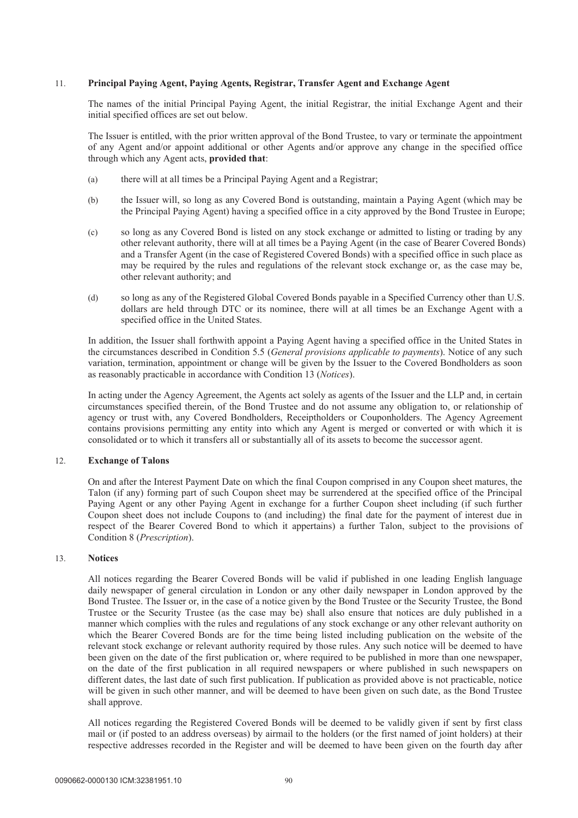### 11. **Principal Paying Agent, Paying Agents, Registrar, Transfer Agent and Exchange Agent**

The names of the initial Principal Paying Agent, the initial Registrar, the initial Exchange Agent and their initial specified offices are set out below.

The Issuer is entitled, with the prior written approval of the Bond Trustee, to vary or terminate the appointment of any Agent and/or appoint additional or other Agents and/or approve any change in the specified office through which any Agent acts, **provided that**:

- (a) there will at all times be a Principal Paying Agent and a Registrar;
- (b) the Issuer will, so long as any Covered Bond is outstanding, maintain a Paying Agent (which may be the Principal Paying Agent) having a specified office in a city approved by the Bond Trustee in Europe;
- (c) so long as any Covered Bond is listed on any stock exchange or admitted to listing or trading by any other relevant authority, there will at all times be a Paying Agent (in the case of Bearer Covered Bonds) and a Transfer Agent (in the case of Registered Covered Bonds) with a specified office in such place as may be required by the rules and regulations of the relevant stock exchange or, as the case may be, other relevant authority; and
- (d) so long as any of the Registered Global Covered Bonds payable in a Specified Currency other than U.S. dollars are held through DTC or its nominee, there will at all times be an Exchange Agent with a specified office in the United States.

In addition, the Issuer shall forthwith appoint a Paying Agent having a specified office in the United States in the circumstances described in Condition 5.5 (*General provisions applicable to payments*). Notice of any such variation, termination, appointment or change will be given by the Issuer to the Covered Bondholders as soon as reasonably practicable in accordance with Condition 13 (*Notices*).

In acting under the Agency Agreement, the Agents act solely as agents of the Issuer and the LLP and, in certain circumstances specified therein, of the Bond Trustee and do not assume any obligation to, or relationship of agency or trust with, any Covered Bondholders, Receiptholders or Couponholders. The Agency Agreement contains provisions permitting any entity into which any Agent is merged or converted or with which it is consolidated or to which it transfers all or substantially all of its assets to become the successor agent.

#### 12. **Exchange of Talons**

On and after the Interest Payment Date on which the final Coupon comprised in any Coupon sheet matures, the Talon (if any) forming part of such Coupon sheet may be surrendered at the specified office of the Principal Paying Agent or any other Paying Agent in exchange for a further Coupon sheet including (if such further Coupon sheet does not include Coupons to (and including) the final date for the payment of interest due in respect of the Bearer Covered Bond to which it appertains) a further Talon, subject to the provisions of Condition 8 (*Prescription*).

#### 13. **Notices**

All notices regarding the Bearer Covered Bonds will be valid if published in one leading English language daily newspaper of general circulation in London or any other daily newspaper in London approved by the Bond Trustee. The Issuer or, in the case of a notice given by the Bond Trustee or the Security Trustee, the Bond Trustee or the Security Trustee (as the case may be) shall also ensure that notices are duly published in a manner which complies with the rules and regulations of any stock exchange or any other relevant authority on which the Bearer Covered Bonds are for the time being listed including publication on the website of the relevant stock exchange or relevant authority required by those rules. Any such notice will be deemed to have been given on the date of the first publication or, where required to be published in more than one newspaper, on the date of the first publication in all required newspapers or where published in such newspapers on different dates, the last date of such first publication. If publication as provided above is not practicable, notice will be given in such other manner, and will be deemed to have been given on such date, as the Bond Trustee shall approve.

All notices regarding the Registered Covered Bonds will be deemed to be validly given if sent by first class mail or (if posted to an address overseas) by airmail to the holders (or the first named of joint holders) at their respective addresses recorded in the Register and will be deemed to have been given on the fourth day after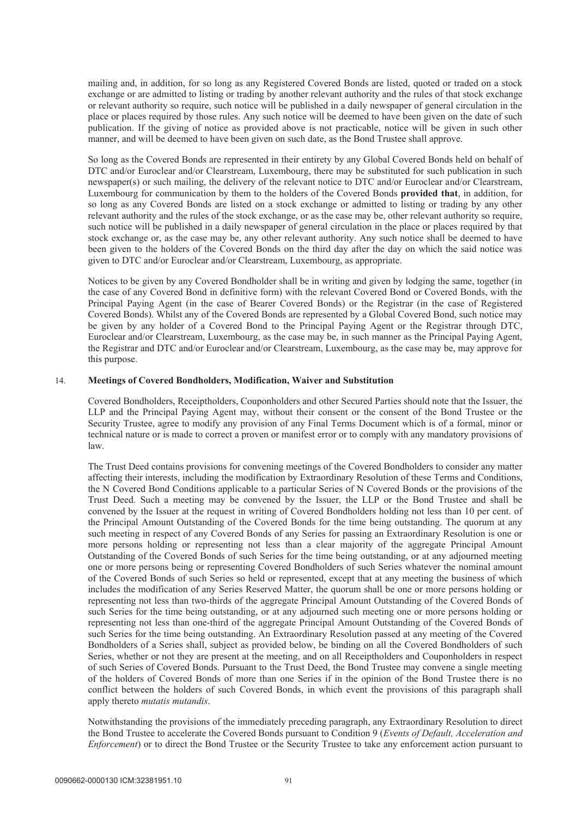mailing and, in addition, for so long as any Registered Covered Bonds are listed, quoted or traded on a stock exchange or are admitted to listing or trading by another relevant authority and the rules of that stock exchange or relevant authority so require, such notice will be published in a daily newspaper of general circulation in the place or places required by those rules. Any such notice will be deemed to have been given on the date of such publication. If the giving of notice as provided above is not practicable, notice will be given in such other manner, and will be deemed to have been given on such date, as the Bond Trustee shall approve.

So long as the Covered Bonds are represented in their entirety by any Global Covered Bonds held on behalf of DTC and/or Euroclear and/or Clearstream, Luxembourg, there may be substituted for such publication in such newspaper(s) or such mailing, the delivery of the relevant notice to DTC and/or Euroclear and/or Clearstream, Luxembourg for communication by them to the holders of the Covered Bonds **provided that**, in addition, for so long as any Covered Bonds are listed on a stock exchange or admitted to listing or trading by any other relevant authority and the rules of the stock exchange, or as the case may be, other relevant authority so require, such notice will be published in a daily newspaper of general circulation in the place or places required by that stock exchange or, as the case may be, any other relevant authority. Any such notice shall be deemed to have been given to the holders of the Covered Bonds on the third day after the day on which the said notice was given to DTC and/or Euroclear and/or Clearstream, Luxembourg, as appropriate.

Notices to be given by any Covered Bondholder shall be in writing and given by lodging the same, together (in the case of any Covered Bond in definitive form) with the relevant Covered Bond or Covered Bonds, with the Principal Paying Agent (in the case of Bearer Covered Bonds) or the Registrar (in the case of Registered Covered Bonds). Whilst any of the Covered Bonds are represented by a Global Covered Bond, such notice may be given by any holder of a Covered Bond to the Principal Paying Agent or the Registrar through DTC, Euroclear and/or Clearstream, Luxembourg, as the case may be, in such manner as the Principal Paying Agent, the Registrar and DTC and/or Euroclear and/or Clearstream, Luxembourg, as the case may be, may approve for this purpose.

### 14. **Meetings of Covered Bondholders, Modification, Waiver and Substitution**

Covered Bondholders, Receiptholders, Couponholders and other Secured Parties should note that the Issuer, the LLP and the Principal Paying Agent may, without their consent or the consent of the Bond Trustee or the Security Trustee, agree to modify any provision of any Final Terms Document which is of a formal, minor or technical nature or is made to correct a proven or manifest error or to comply with any mandatory provisions of law.

The Trust Deed contains provisions for convening meetings of the Covered Bondholders to consider any matter affecting their interests, including the modification by Extraordinary Resolution of these Terms and Conditions, the N Covered Bond Conditions applicable to a particular Series of N Covered Bonds or the provisions of the Trust Deed. Such a meeting may be convened by the Issuer, the LLP or the Bond Trustee and shall be convened by the Issuer at the request in writing of Covered Bondholders holding not less than 10 per cent. of the Principal Amount Outstanding of the Covered Bonds for the time being outstanding. The quorum at any such meeting in respect of any Covered Bonds of any Series for passing an Extraordinary Resolution is one or more persons holding or representing not less than a clear majority of the aggregate Principal Amount Outstanding of the Covered Bonds of such Series for the time being outstanding, or at any adjourned meeting one or more persons being or representing Covered Bondholders of such Series whatever the nominal amount of the Covered Bonds of such Series so held or represented, except that at any meeting the business of which includes the modification of any Series Reserved Matter, the quorum shall be one or more persons holding or representing not less than two-thirds of the aggregate Principal Amount Outstanding of the Covered Bonds of such Series for the time being outstanding, or at any adjourned such meeting one or more persons holding or representing not less than one-third of the aggregate Principal Amount Outstanding of the Covered Bonds of such Series for the time being outstanding. An Extraordinary Resolution passed at any meeting of the Covered Bondholders of a Series shall, subject as provided below, be binding on all the Covered Bondholders of such Series, whether or not they are present at the meeting, and on all Receiptholders and Couponholders in respect of such Series of Covered Bonds. Pursuant to the Trust Deed, the Bond Trustee may convene a single meeting of the holders of Covered Bonds of more than one Series if in the opinion of the Bond Trustee there is no conflict between the holders of such Covered Bonds, in which event the provisions of this paragraph shall apply thereto *mutatis mutandis*.

Notwithstanding the provisions of the immediately preceding paragraph, any Extraordinary Resolution to direct the Bond Trustee to accelerate the Covered Bonds pursuant to Condition 9 (*Events of Default, Acceleration and Enforcement*) or to direct the Bond Trustee or the Security Trustee to take any enforcement action pursuant to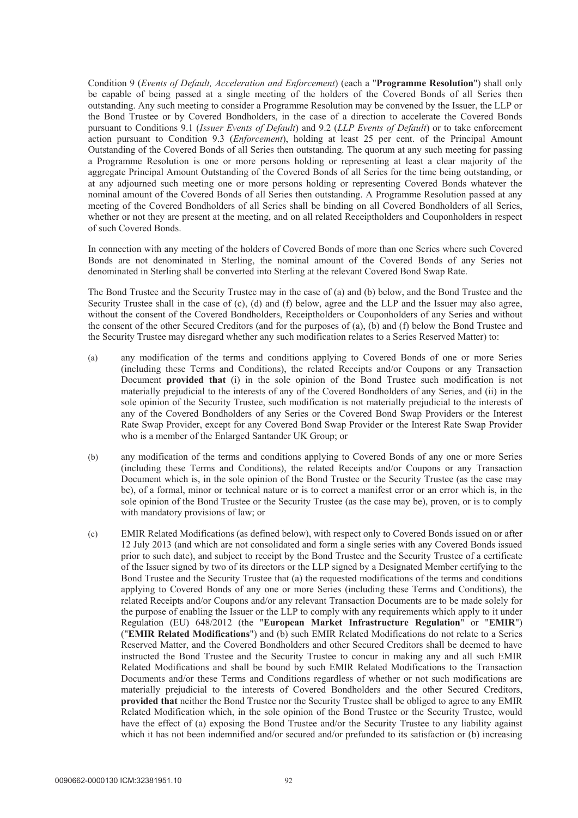Condition 9 (*Events of Default, Acceleration and Enforcement*) (each a "**Programme Resolution**") shall only be capable of being passed at a single meeting of the holders of the Covered Bonds of all Series then outstanding. Any such meeting to consider a Programme Resolution may be convened by the Issuer, the LLP or the Bond Trustee or by Covered Bondholders, in the case of a direction to accelerate the Covered Bonds pursuant to Conditions 9.1 (*Issuer Events of Default*) and 9.2 (*LLP Events of Default*) or to take enforcement action pursuant to Condition 9.3 (*Enforcement*), holding at least 25 per cent. of the Principal Amount Outstanding of the Covered Bonds of all Series then outstanding. The quorum at any such meeting for passing a Programme Resolution is one or more persons holding or representing at least a clear majority of the aggregate Principal Amount Outstanding of the Covered Bonds of all Series for the time being outstanding, or at any adjourned such meeting one or more persons holding or representing Covered Bonds whatever the nominal amount of the Covered Bonds of all Series then outstanding. A Programme Resolution passed at any meeting of the Covered Bondholders of all Series shall be binding on all Covered Bondholders of all Series, whether or not they are present at the meeting, and on all related Receiptholders and Couponholders in respect of such Covered Bonds.

In connection with any meeting of the holders of Covered Bonds of more than one Series where such Covered Bonds are not denominated in Sterling, the nominal amount of the Covered Bonds of any Series not denominated in Sterling shall be converted into Sterling at the relevant Covered Bond Swap Rate.

The Bond Trustee and the Security Trustee may in the case of (a) and (b) below, and the Bond Trustee and the Security Trustee shall in the case of (c), (d) and (f) below, agree and the LLP and the Issuer may also agree, without the consent of the Covered Bondholders, Receiptholders or Couponholders of any Series and without the consent of the other Secured Creditors (and for the purposes of (a), (b) and (f) below the Bond Trustee and the Security Trustee may disregard whether any such modification relates to a Series Reserved Matter) to:

- (a) any modification of the terms and conditions applying to Covered Bonds of one or more Series (including these Terms and Conditions), the related Receipts and/or Coupons or any Transaction Document **provided that** (i) in the sole opinion of the Bond Trustee such modification is not materially prejudicial to the interests of any of the Covered Bondholders of any Series, and (ii) in the sole opinion of the Security Trustee, such modification is not materially prejudicial to the interests of any of the Covered Bondholders of any Series or the Covered Bond Swap Providers or the Interest Rate Swap Provider, except for any Covered Bond Swap Provider or the Interest Rate Swap Provider who is a member of the Enlarged Santander UK Group; or
- (b) any modification of the terms and conditions applying to Covered Bonds of any one or more Series (including these Terms and Conditions), the related Receipts and/or Coupons or any Transaction Document which is, in the sole opinion of the Bond Trustee or the Security Trustee (as the case may be), of a formal, minor or technical nature or is to correct a manifest error or an error which is, in the sole opinion of the Bond Trustee or the Security Trustee (as the case may be), proven, or is to comply with mandatory provisions of law; or
- (c) EMIR Related Modifications (as defined below), with respect only to Covered Bonds issued on or after 12 July 2013 (and which are not consolidated and form a single series with any Covered Bonds issued prior to such date), and subject to receipt by the Bond Trustee and the Security Trustee of a certificate of the Issuer signed by two of its directors or the LLP signed by a Designated Member certifying to the Bond Trustee and the Security Trustee that (a) the requested modifications of the terms and conditions applying to Covered Bonds of any one or more Series (including these Terms and Conditions), the related Receipts and/or Coupons and/or any relevant Transaction Documents are to be made solely for the purpose of enabling the Issuer or the LLP to comply with any requirements which apply to it under Regulation (EU) 648/2012 (the "**European Market Infrastructure Regulation**" or "**EMIR**") ("**EMIR Related Modifications**") and (b) such EMIR Related Modifications do not relate to a Series Reserved Matter, and the Covered Bondholders and other Secured Creditors shall be deemed to have instructed the Bond Trustee and the Security Trustee to concur in making any and all such EMIR Related Modifications and shall be bound by such EMIR Related Modifications to the Transaction Documents and/or these Terms and Conditions regardless of whether or not such modifications are materially prejudicial to the interests of Covered Bondholders and the other Secured Creditors, **provided that** neither the Bond Trustee nor the Security Trustee shall be obliged to agree to any EMIR Related Modification which, in the sole opinion of the Bond Trustee or the Security Trustee, would have the effect of (a) exposing the Bond Trustee and/or the Security Trustee to any liability against which it has not been indemnified and/or secured and/or prefunded to its satisfaction or (b) increasing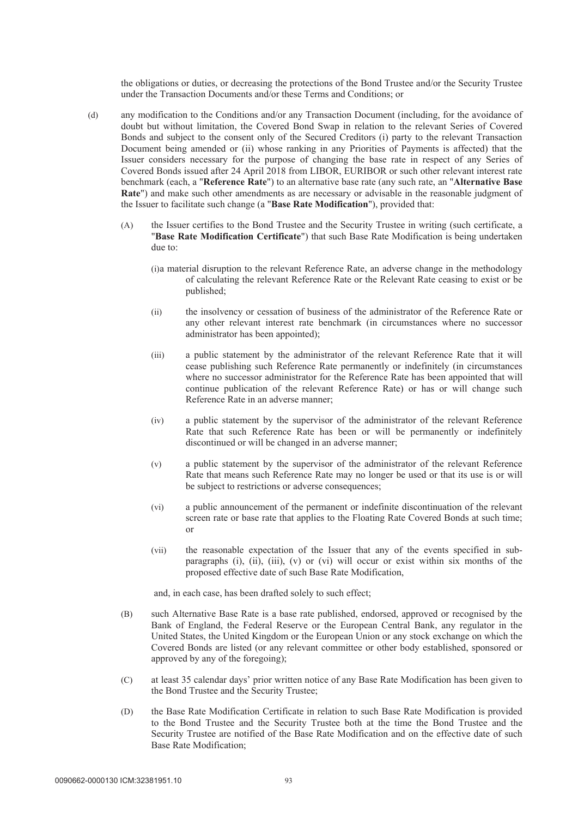the obligations or duties, or decreasing the protections of the Bond Trustee and/or the Security Trustee under the Transaction Documents and/or these Terms and Conditions; or

- (d) any modification to the Conditions and/or any Transaction Document (including, for the avoidance of doubt but without limitation, the Covered Bond Swap in relation to the relevant Series of Covered Bonds and subject to the consent only of the Secured Creditors (i) party to the relevant Transaction Document being amended or (ii) whose ranking in any Priorities of Payments is affected) that the Issuer considers necessary for the purpose of changing the base rate in respect of any Series of Covered Bonds issued after 24 April 2018 from LIBOR, EURIBOR or such other relevant interest rate benchmark (each, a "**Reference Rate**") to an alternative base rate (any such rate, an "**Alternative Base Rate**") and make such other amendments as are necessary or advisable in the reasonable judgment of the Issuer to facilitate such change (a "**Base Rate Modification**"), provided that:
	- (A) the Issuer certifies to the Bond Trustee and the Security Trustee in writing (such certificate, a "**Base Rate Modification Certificate**") that such Base Rate Modification is being undertaken due to:
		- (i)a material disruption to the relevant Reference Rate, an adverse change in the methodology of calculating the relevant Reference Rate or the Relevant Rate ceasing to exist or be published;
		- (ii) the insolvency or cessation of business of the administrator of the Reference Rate or any other relevant interest rate benchmark (in circumstances where no successor administrator has been appointed);
		- (iii) a public statement by the administrator of the relevant Reference Rate that it will cease publishing such Reference Rate permanently or indefinitely (in circumstances where no successor administrator for the Reference Rate has been appointed that will continue publication of the relevant Reference Rate) or has or will change such Reference Rate in an adverse manner;
		- (iv) a public statement by the supervisor of the administrator of the relevant Reference Rate that such Reference Rate has been or will be permanently or indefinitely discontinued or will be changed in an adverse manner;
		- (v) a public statement by the supervisor of the administrator of the relevant Reference Rate that means such Reference Rate may no longer be used or that its use is or will be subject to restrictions or adverse consequences;
		- (vi) a public announcement of the permanent or indefinite discontinuation of the relevant screen rate or base rate that applies to the Floating Rate Covered Bonds at such time; or
		- (vii) the reasonable expectation of the Issuer that any of the events specified in subparagraphs (i), (ii), (iii), (v) or (vi) will occur or exist within six months of the proposed effective date of such Base Rate Modification,

and, in each case, has been drafted solely to such effect;

- (B) such Alternative Base Rate is a base rate published, endorsed, approved or recognised by the Bank of England, the Federal Reserve or the European Central Bank, any regulator in the United States, the United Kingdom or the European Union or any stock exchange on which the Covered Bonds are listed (or any relevant committee or other body established, sponsored or approved by any of the foregoing);
- (C) at least 35 calendar days' prior written notice of any Base Rate Modification has been given to the Bond Trustee and the Security Trustee;
- (D) the Base Rate Modification Certificate in relation to such Base Rate Modification is provided to the Bond Trustee and the Security Trustee both at the time the Bond Trustee and the Security Trustee are notified of the Base Rate Modification and on the effective date of such Base Rate Modification;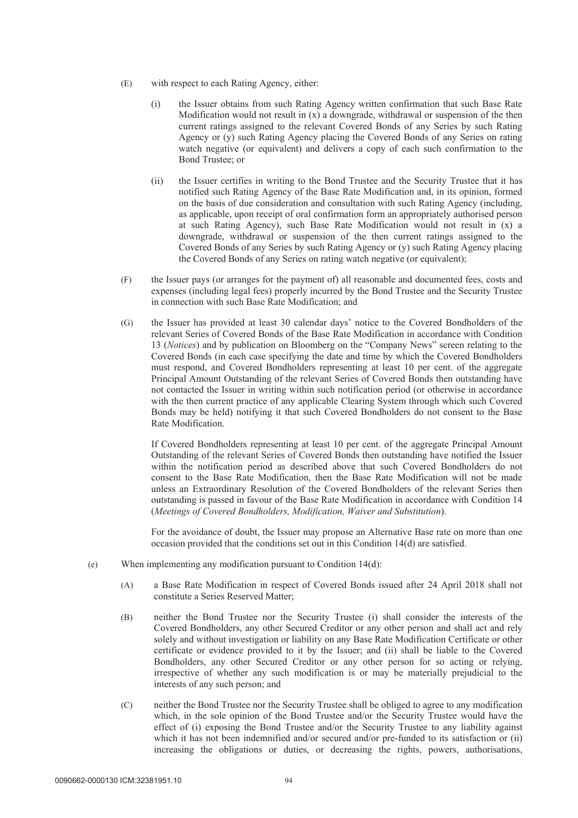- (E) with respect to each Rating Agency, either:
	- (i) the Issuer obtains from such Rating Agency written confirmation that such Base Rate Modification would not result in  $(x)$  a downgrade, withdrawal or suspension of the then current ratings assigned to the relevant Covered Bonds of any Series by such Rating Agency or (y) such Rating Agency placing the Covered Bonds of any Series on rating watch negative (or equivalent) and delivers a copy of each such confirmation to the Bond Trustee; or
	- (ii) the Issuer certifies in writing to the Bond Trustee and the Security Trustee that it has notified such Rating Agency of the Base Rate Modification and, in its opinion, formed on the basis of due consideration and consultation with such Rating Agency (including, as applicable, upon receipt of oral confirmation form an appropriately authorised person at such Rating Agency), such Base Rate Modification would not result in (x) a downgrade, withdrawal or suspension of the then current ratings assigned to the Covered Bonds of any Series by such Rating Agency or (y) such Rating Agency placing the Covered Bonds of any Series on rating watch negative (or equivalent);
- (F) the Issuer pays (or arranges for the payment of) all reasonable and documented fees, costs and expenses (including legal fees) properly incurred by the Bond Trustee and the Security Trustee in connection with such Base Rate Modification; and
- (G) the Issuer has provided at least 30 calendar days' notice to the Covered Bondholders of the relevant Series of Covered Bonds of the Base Rate Modification in accordance with Condition 13 (*Notices*) and by publication on Bloomberg on the "Company News" screen relating to the Covered Bonds (in each case specifying the date and time by which the Covered Bondholders must respond, and Covered Bondholders representing at least 10 per cent. of the aggregate Principal Amount Outstanding of the relevant Series of Covered Bonds then outstanding have not contacted the Issuer in writing within such notification period (or otherwise in accordance with the then current practice of any applicable Clearing System through which such Covered Bonds may be held) notifying it that such Covered Bondholders do not consent to the Base Rate Modification.

If Covered Bondholders representing at least 10 per cent. of the aggregate Principal Amount Outstanding of the relevant Series of Covered Bonds then outstanding have notified the Issuer within the notification period as described above that such Covered Bondholders do not consent to the Base Rate Modification, then the Base Rate Modification will not be made unless an Extraordinary Resolution of the Covered Bondholders of the relevant Series then outstanding is passed in favour of the Base Rate Modification in accordance with Condition 14 (*Meetings of Covered Bondholders, Modification, Waiver and Substitution*).

For the avoidance of doubt, the Issuer may propose an Alternative Base rate on more than one occasion provided that the conditions set out in this Condition 14(d) are satisfied.

- (e) When implementing any modification pursuant to Condition 14(d):
	- (A) a Base Rate Modification in respect of Covered Bonds issued after 24 April 2018 shall not constitute a Series Reserved Matter;
	- (B) neither the Bond Trustee nor the Security Trustee (i) shall consider the interests of the Covered Bondholders, any other Secured Creditor or any other person and shall act and rely solely and without investigation or liability on any Base Rate Modification Certificate or other certificate or evidence provided to it by the Issuer; and (ii) shall be liable to the Covered Bondholders, any other Secured Creditor or any other person for so acting or relying, irrespective of whether any such modification is or may be materially prejudicial to the interests of any such person; and
	- (C) neither the Bond Trustee nor the Security Trustee shall be obliged to agree to any modification which, in the sole opinion of the Bond Trustee and/or the Security Trustee would have the effect of (i) exposing the Bond Trustee and/or the Security Trustee to any liability against which it has not been indemnified and/or secured and/or pre-funded to its satisfaction or (ii) increasing the obligations or duties, or decreasing the rights, powers, authorisations,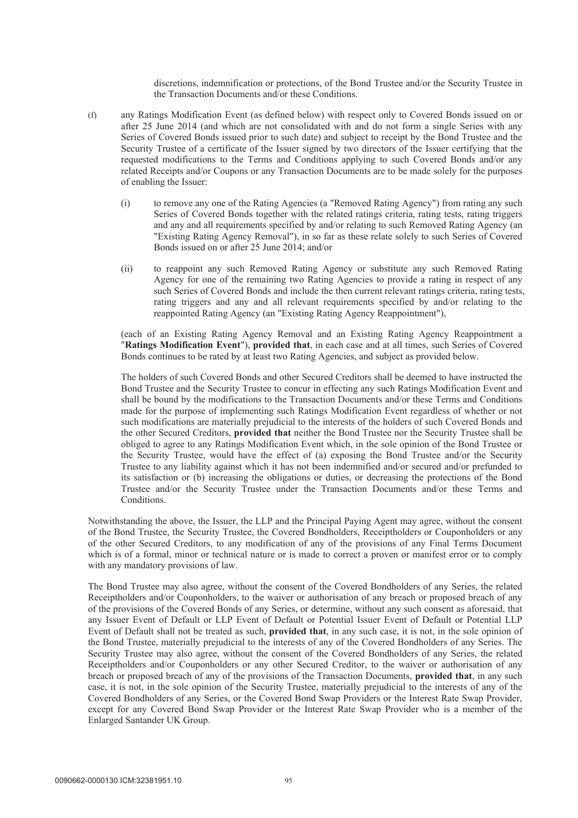discretions, indemnification or protections, of the Bond Trustee and/or the Security Trustee in the Transaction Documents and/or these Conditions.

- (f) any Ratings Modification Event (as defined below) with respect only to Covered Bonds issued on or after 25 June 2014 (and which are not consolidated with and do not form a single Series with any Series of Covered Bonds issued prior to such date) and subject to receipt by the Bond Trustee and the Security Trustee of a certificate of the Issuer signed by two directors of the Issuer certifying that the requested modifications to the Terms and Conditions applying to such Covered Bonds and/or any related Receipts and/or Coupons or any Transaction Documents are to be made solely for the purposes of enabling the Issuer:
	- (i) to remove any one of the Rating Agencies (a "Removed Rating Agency") from rating any such Series of Covered Bonds together with the related ratings criteria, rating tests, rating triggers and any and all requirements specified by and/or relating to such Removed Rating Agency (an "Existing Rating Agency Removal"), in so far as these relate solely to such Series of Covered Bonds issued on or after 25 June 2014; and/or
	- (ii) to reappoint any such Removed Rating Agency or substitute any such Removed Rating Agency for one of the remaining two Rating Agencies to provide a rating in respect of any such Series of Covered Bonds and include the then current relevant ratings criteria, rating tests, rating triggers and any and all relevant requirements specified by and/or relating to the reappointed Rating Agency (an "Existing Rating Agency Reappointment"),

(each of an Existing Rating Agency Removal and an Existing Rating Agency Reappointment a "**Ratings Modification Event**"), **provided that**, in each case and at all times, such Series of Covered Bonds continues to be rated by at least two Rating Agencies, and subject as provided below.

The holders of such Covered Bonds and other Secured Creditors shall be deemed to have instructed the Bond Trustee and the Security Trustee to concur in effecting any such Ratings Modification Event and shall be bound by the modifications to the Transaction Documents and/or these Terms and Conditions made for the purpose of implementing such Ratings Modification Event regardless of whether or not such modifications are materially prejudicial to the interests of the holders of such Covered Bonds and the other Secured Creditors, **provided that** neither the Bond Trustee nor the Security Trustee shall be obliged to agree to any Ratings Modification Event which, in the sole opinion of the Bond Trustee or the Security Trustee, would have the effect of (a) exposing the Bond Trustee and/or the Security Trustee to any liability against which it has not been indemnified and/or secured and/or prefunded to its satisfaction or (b) increasing the obligations or duties, or decreasing the protections of the Bond Trustee and/or the Security Trustee under the Transaction Documents and/or these Terms and Conditions.

Notwithstanding the above, the Issuer, the LLP and the Principal Paying Agent may agree, without the consent of the Bond Trustee, the Security Trustee, the Covered Bondholders, Receiptholders or Couponholders or any of the other Secured Creditors, to any modification of any of the provisions of any Final Terms Document which is of a formal, minor or technical nature or is made to correct a proven or manifest error or to comply with any mandatory provisions of law.

The Bond Trustee may also agree, without the consent of the Covered Bondholders of any Series, the related Receiptholders and/or Couponholders, to the waiver or authorisation of any breach or proposed breach of any of the provisions of the Covered Bonds of any Series, or determine, without any such consent as aforesaid, that any Issuer Event of Default or LLP Event of Default or Potential Issuer Event of Default or Potential LLP Event of Default shall not be treated as such, **provided that**, in any such case, it is not, in the sole opinion of the Bond Trustee, materially prejudicial to the interests of any of the Covered Bondholders of any Series. The Security Trustee may also agree, without the consent of the Covered Bondholders of any Series, the related Receiptholders and/or Couponholders or any other Secured Creditor, to the waiver or authorisation of any breach or proposed breach of any of the provisions of the Transaction Documents, **provided that**, in any such case, it is not, in the sole opinion of the Security Trustee, materially prejudicial to the interests of any of the Covered Bondholders of any Series, or the Covered Bond Swap Providers or the Interest Rate Swap Provider, except for any Covered Bond Swap Provider or the Interest Rate Swap Provider who is a member of the Enlarged Santander UK Group.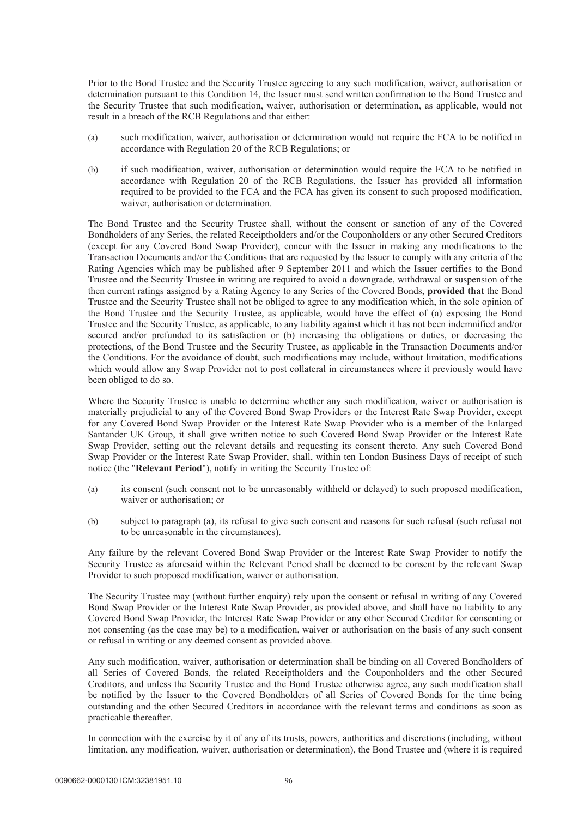Prior to the Bond Trustee and the Security Trustee agreeing to any such modification, waiver, authorisation or determination pursuant to this Condition 14, the Issuer must send written confirmation to the Bond Trustee and the Security Trustee that such modification, waiver, authorisation or determination, as applicable, would not result in a breach of the RCB Regulations and that either:

- (a) such modification, waiver, authorisation or determination would not require the FCA to be notified in accordance with Regulation 20 of the RCB Regulations; or
- (b) if such modification, waiver, authorisation or determination would require the FCA to be notified in accordance with Regulation 20 of the RCB Regulations, the Issuer has provided all information required to be provided to the FCA and the FCA has given its consent to such proposed modification, waiver, authorisation or determination.

The Bond Trustee and the Security Trustee shall, without the consent or sanction of any of the Covered Bondholders of any Series, the related Receiptholders and/or the Couponholders or any other Secured Creditors (except for any Covered Bond Swap Provider), concur with the Issuer in making any modifications to the Transaction Documents and/or the Conditions that are requested by the Issuer to comply with any criteria of the Rating Agencies which may be published after 9 September 2011 and which the Issuer certifies to the Bond Trustee and the Security Trustee in writing are required to avoid a downgrade, withdrawal or suspension of the then current ratings assigned by a Rating Agency to any Series of the Covered Bonds, **provided that** the Bond Trustee and the Security Trustee shall not be obliged to agree to any modification which, in the sole opinion of the Bond Trustee and the Security Trustee, as applicable, would have the effect of (a) exposing the Bond Trustee and the Security Trustee, as applicable, to any liability against which it has not been indemnified and/or secured and/or prefunded to its satisfaction or (b) increasing the obligations or duties, or decreasing the protections, of the Bond Trustee and the Security Trustee, as applicable in the Transaction Documents and/or the Conditions. For the avoidance of doubt, such modifications may include, without limitation, modifications which would allow any Swap Provider not to post collateral in circumstances where it previously would have been obliged to do so.

Where the Security Trustee is unable to determine whether any such modification, waiver or authorisation is materially prejudicial to any of the Covered Bond Swap Providers or the Interest Rate Swap Provider, except for any Covered Bond Swap Provider or the Interest Rate Swap Provider who is a member of the Enlarged Santander UK Group, it shall give written notice to such Covered Bond Swap Provider or the Interest Rate Swap Provider, setting out the relevant details and requesting its consent thereto. Any such Covered Bond Swap Provider or the Interest Rate Swap Provider, shall, within ten London Business Days of receipt of such notice (the "**Relevant Period**"), notify in writing the Security Trustee of:

- (a) its consent (such consent not to be unreasonably withheld or delayed) to such proposed modification, waiver or authorisation; or
- (b) subject to paragraph (a), its refusal to give such consent and reasons for such refusal (such refusal not to be unreasonable in the circumstances).

Any failure by the relevant Covered Bond Swap Provider or the Interest Rate Swap Provider to notify the Security Trustee as aforesaid within the Relevant Period shall be deemed to be consent by the relevant Swap Provider to such proposed modification, waiver or authorisation.

The Security Trustee may (without further enquiry) rely upon the consent or refusal in writing of any Covered Bond Swap Provider or the Interest Rate Swap Provider, as provided above, and shall have no liability to any Covered Bond Swap Provider, the Interest Rate Swap Provider or any other Secured Creditor for consenting or not consenting (as the case may be) to a modification, waiver or authorisation on the basis of any such consent or refusal in writing or any deemed consent as provided above.

Any such modification, waiver, authorisation or determination shall be binding on all Covered Bondholders of all Series of Covered Bonds, the related Receiptholders and the Couponholders and the other Secured Creditors, and unless the Security Trustee and the Bond Trustee otherwise agree, any such modification shall be notified by the Issuer to the Covered Bondholders of all Series of Covered Bonds for the time being outstanding and the other Secured Creditors in accordance with the relevant terms and conditions as soon as practicable thereafter.

In connection with the exercise by it of any of its trusts, powers, authorities and discretions (including, without limitation, any modification, waiver, authorisation or determination), the Bond Trustee and (where it is required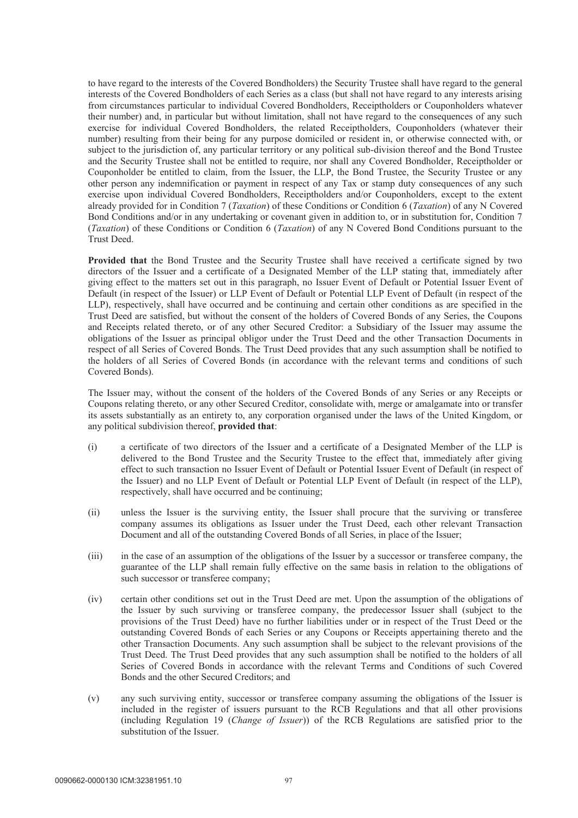to have regard to the interests of the Covered Bondholders) the Security Trustee shall have regard to the general interests of the Covered Bondholders of each Series as a class (but shall not have regard to any interests arising from circumstances particular to individual Covered Bondholders, Receiptholders or Couponholders whatever their number) and, in particular but without limitation, shall not have regard to the consequences of any such exercise for individual Covered Bondholders, the related Receiptholders, Couponholders (whatever their number) resulting from their being for any purpose domiciled or resident in, or otherwise connected with, or subject to the jurisdiction of, any particular territory or any political sub-division thereof and the Bond Trustee and the Security Trustee shall not be entitled to require, nor shall any Covered Bondholder, Receiptholder or Couponholder be entitled to claim, from the Issuer, the LLP, the Bond Trustee, the Security Trustee or any other person any indemnification or payment in respect of any Tax or stamp duty consequences of any such exercise upon individual Covered Bondholders, Receiptholders and/or Couponholders, except to the extent already provided for in Condition 7 (*Taxation*) of these Conditions or Condition 6 (*Taxation*) of any N Covered Bond Conditions and/or in any undertaking or covenant given in addition to, or in substitution for, Condition 7 (*Taxation*) of these Conditions or Condition 6 (*Taxation*) of any N Covered Bond Conditions pursuant to the Trust Deed.

**Provided that** the Bond Trustee and the Security Trustee shall have received a certificate signed by two directors of the Issuer and a certificate of a Designated Member of the LLP stating that, immediately after giving effect to the matters set out in this paragraph, no Issuer Event of Default or Potential Issuer Event of Default (in respect of the Issuer) or LLP Event of Default or Potential LLP Event of Default (in respect of the LLP), respectively, shall have occurred and be continuing and certain other conditions as are specified in the Trust Deed are satisfied, but without the consent of the holders of Covered Bonds of any Series, the Coupons and Receipts related thereto, or of any other Secured Creditor: a Subsidiary of the Issuer may assume the obligations of the Issuer as principal obligor under the Trust Deed and the other Transaction Documents in respect of all Series of Covered Bonds. The Trust Deed provides that any such assumption shall be notified to the holders of all Series of Covered Bonds (in accordance with the relevant terms and conditions of such Covered Bonds).

The Issuer may, without the consent of the holders of the Covered Bonds of any Series or any Receipts or Coupons relating thereto, or any other Secured Creditor, consolidate with, merge or amalgamate into or transfer its assets substantially as an entirety to, any corporation organised under the laws of the United Kingdom, or any political subdivision thereof, **provided that**:

- (i) a certificate of two directors of the Issuer and a certificate of a Designated Member of the LLP is delivered to the Bond Trustee and the Security Trustee to the effect that, immediately after giving effect to such transaction no Issuer Event of Default or Potential Issuer Event of Default (in respect of the Issuer) and no LLP Event of Default or Potential LLP Event of Default (in respect of the LLP), respectively, shall have occurred and be continuing;
- (ii) unless the Issuer is the surviving entity, the Issuer shall procure that the surviving or transferee company assumes its obligations as Issuer under the Trust Deed, each other relevant Transaction Document and all of the outstanding Covered Bonds of all Series, in place of the Issuer;
- (iii) in the case of an assumption of the obligations of the Issuer by a successor or transferee company, the guarantee of the LLP shall remain fully effective on the same basis in relation to the obligations of such successor or transferee company;
- (iv) certain other conditions set out in the Trust Deed are met. Upon the assumption of the obligations of the Issuer by such surviving or transferee company, the predecessor Issuer shall (subject to the provisions of the Trust Deed) have no further liabilities under or in respect of the Trust Deed or the outstanding Covered Bonds of each Series or any Coupons or Receipts appertaining thereto and the other Transaction Documents. Any such assumption shall be subject to the relevant provisions of the Trust Deed. The Trust Deed provides that any such assumption shall be notified to the holders of all Series of Covered Bonds in accordance with the relevant Terms and Conditions of such Covered Bonds and the other Secured Creditors; and
- (v) any such surviving entity, successor or transferee company assuming the obligations of the Issuer is included in the register of issuers pursuant to the RCB Regulations and that all other provisions (including Regulation 19 (*Change of Issuer*)) of the RCB Regulations are satisfied prior to the substitution of the Issuer.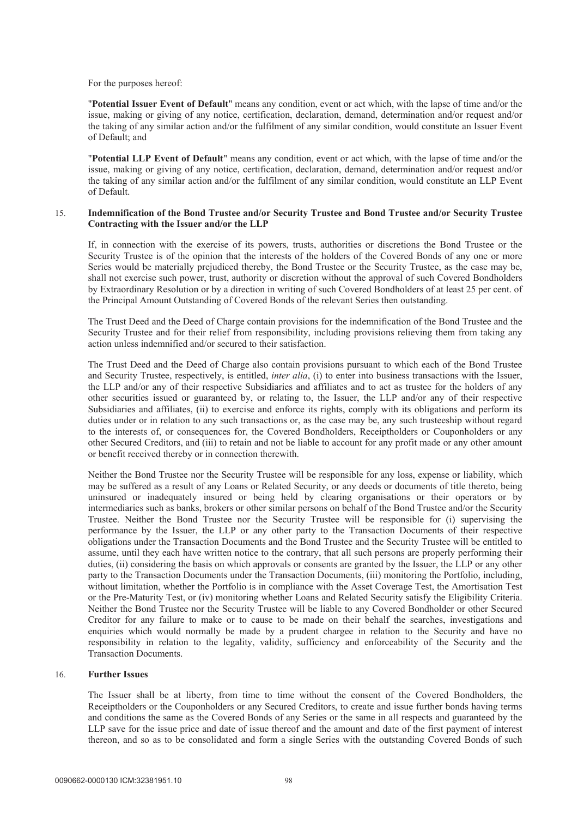#### For the purposes hereof:

"**Potential Issuer Event of Default**" means any condition, event or act which, with the lapse of time and/or the issue, making or giving of any notice, certification, declaration, demand, determination and/or request and/or the taking of any similar action and/or the fulfilment of any similar condition, would constitute an Issuer Event of Default; and

"**Potential LLP Event of Default**" means any condition, event or act which, with the lapse of time and/or the issue, making or giving of any notice, certification, declaration, demand, determination and/or request and/or the taking of any similar action and/or the fulfilment of any similar condition, would constitute an LLP Event of Default.

### 15. **Indemnification of the Bond Trustee and/or Security Trustee and Bond Trustee and/or Security Trustee Contracting with the Issuer and/or the LLP**

If, in connection with the exercise of its powers, trusts, authorities or discretions the Bond Trustee or the Security Trustee is of the opinion that the interests of the holders of the Covered Bonds of any one or more Series would be materially prejudiced thereby, the Bond Trustee or the Security Trustee, as the case may be, shall not exercise such power, trust, authority or discretion without the approval of such Covered Bondholders by Extraordinary Resolution or by a direction in writing of such Covered Bondholders of at least 25 per cent. of the Principal Amount Outstanding of Covered Bonds of the relevant Series then outstanding.

The Trust Deed and the Deed of Charge contain provisions for the indemnification of the Bond Trustee and the Security Trustee and for their relief from responsibility, including provisions relieving them from taking any action unless indemnified and/or secured to their satisfaction.

The Trust Deed and the Deed of Charge also contain provisions pursuant to which each of the Bond Trustee and Security Trustee, respectively, is entitled, *inter alia*, (i) to enter into business transactions with the Issuer, the LLP and/or any of their respective Subsidiaries and affiliates and to act as trustee for the holders of any other securities issued or guaranteed by, or relating to, the Issuer, the LLP and/or any of their respective Subsidiaries and affiliates, (ii) to exercise and enforce its rights, comply with its obligations and perform its duties under or in relation to any such transactions or, as the case may be, any such trusteeship without regard to the interests of, or consequences for, the Covered Bondholders, Receiptholders or Couponholders or any other Secured Creditors, and (iii) to retain and not be liable to account for any profit made or any other amount or benefit received thereby or in connection therewith.

Neither the Bond Trustee nor the Security Trustee will be responsible for any loss, expense or liability, which may be suffered as a result of any Loans or Related Security, or any deeds or documents of title thereto, being uninsured or inadequately insured or being held by clearing organisations or their operators or by intermediaries such as banks, brokers or other similar persons on behalf of the Bond Trustee and/or the Security Trustee. Neither the Bond Trustee nor the Security Trustee will be responsible for (i) supervising the performance by the Issuer, the LLP or any other party to the Transaction Documents of their respective obligations under the Transaction Documents and the Bond Trustee and the Security Trustee will be entitled to assume, until they each have written notice to the contrary, that all such persons are properly performing their duties, (ii) considering the basis on which approvals or consents are granted by the Issuer, the LLP or any other party to the Transaction Documents under the Transaction Documents, (iii) monitoring the Portfolio, including, without limitation, whether the Portfolio is in compliance with the Asset Coverage Test, the Amortisation Test or the Pre-Maturity Test, or (iv) monitoring whether Loans and Related Security satisfy the Eligibility Criteria. Neither the Bond Trustee nor the Security Trustee will be liable to any Covered Bondholder or other Secured Creditor for any failure to make or to cause to be made on their behalf the searches, investigations and enquiries which would normally be made by a prudent chargee in relation to the Security and have no responsibility in relation to the legality, validity, sufficiency and enforceability of the Security and the Transaction Documents.

## 16. **Further Issues**

The Issuer shall be at liberty, from time to time without the consent of the Covered Bondholders, the Receiptholders or the Couponholders or any Secured Creditors, to create and issue further bonds having terms and conditions the same as the Covered Bonds of any Series or the same in all respects and guaranteed by the LLP save for the issue price and date of issue thereof and the amount and date of the first payment of interest thereon, and so as to be consolidated and form a single Series with the outstanding Covered Bonds of such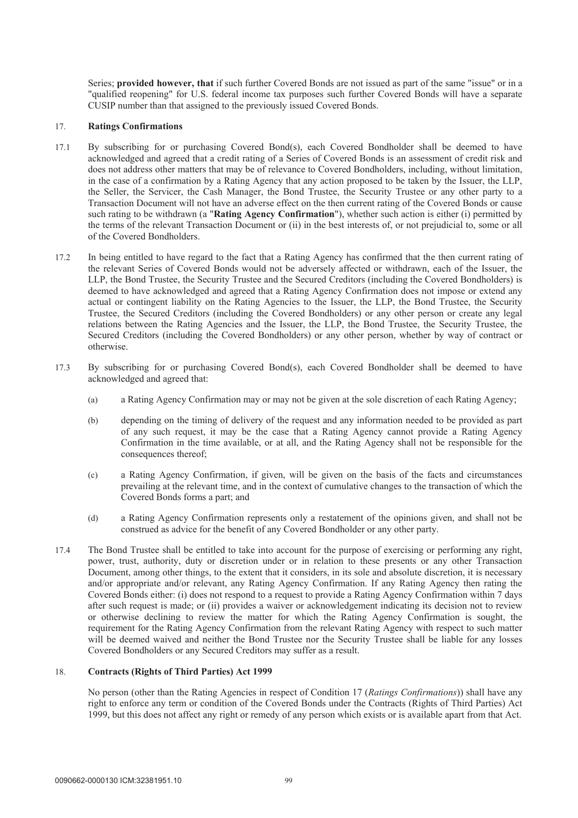Series; **provided however, that** if such further Covered Bonds are not issued as part of the same "issue" or in a "qualified reopening" for U.S. federal income tax purposes such further Covered Bonds will have a separate CUSIP number than that assigned to the previously issued Covered Bonds.

### 17. **Ratings Confirmations**

- 17.1 By subscribing for or purchasing Covered Bond(s), each Covered Bondholder shall be deemed to have acknowledged and agreed that a credit rating of a Series of Covered Bonds is an assessment of credit risk and does not address other matters that may be of relevance to Covered Bondholders, including, without limitation, in the case of a confirmation by a Rating Agency that any action proposed to be taken by the Issuer, the LLP, the Seller, the Servicer, the Cash Manager, the Bond Trustee, the Security Trustee or any other party to a Transaction Document will not have an adverse effect on the then current rating of the Covered Bonds or cause such rating to be withdrawn (a "**Rating Agency Confirmation**"), whether such action is either (i) permitted by the terms of the relevant Transaction Document or (ii) in the best interests of, or not prejudicial to, some or all of the Covered Bondholders.
- 17.2 In being entitled to have regard to the fact that a Rating Agency has confirmed that the then current rating of the relevant Series of Covered Bonds would not be adversely affected or withdrawn, each of the Issuer, the LLP, the Bond Trustee, the Security Trustee and the Secured Creditors (including the Covered Bondholders) is deemed to have acknowledged and agreed that a Rating Agency Confirmation does not impose or extend any actual or contingent liability on the Rating Agencies to the Issuer, the LLP, the Bond Trustee, the Security Trustee, the Secured Creditors (including the Covered Bondholders) or any other person or create any legal relations between the Rating Agencies and the Issuer, the LLP, the Bond Trustee, the Security Trustee, the Secured Creditors (including the Covered Bondholders) or any other person, whether by way of contract or otherwise.
- 17.3 By subscribing for or purchasing Covered Bond(s), each Covered Bondholder shall be deemed to have acknowledged and agreed that:
	- (a) a Rating Agency Confirmation may or may not be given at the sole discretion of each Rating Agency;
	- (b) depending on the timing of delivery of the request and any information needed to be provided as part of any such request, it may be the case that a Rating Agency cannot provide a Rating Agency Confirmation in the time available, or at all, and the Rating Agency shall not be responsible for the consequences thereof;
	- (c) a Rating Agency Confirmation, if given, will be given on the basis of the facts and circumstances prevailing at the relevant time, and in the context of cumulative changes to the transaction of which the Covered Bonds forms a part; and
	- (d) a Rating Agency Confirmation represents only a restatement of the opinions given, and shall not be construed as advice for the benefit of any Covered Bondholder or any other party.
- 17.4 The Bond Trustee shall be entitled to take into account for the purpose of exercising or performing any right, power, trust, authority, duty or discretion under or in relation to these presents or any other Transaction Document, among other things, to the extent that it considers, in its sole and absolute discretion, it is necessary and/or appropriate and/or relevant, any Rating Agency Confirmation. If any Rating Agency then rating the Covered Bonds either: (i) does not respond to a request to provide a Rating Agency Confirmation within 7 days after such request is made; or (ii) provides a waiver or acknowledgement indicating its decision not to review or otherwise declining to review the matter for which the Rating Agency Confirmation is sought, the requirement for the Rating Agency Confirmation from the relevant Rating Agency with respect to such matter will be deemed waived and neither the Bond Trustee nor the Security Trustee shall be liable for any losses Covered Bondholders or any Secured Creditors may suffer as a result.

### 18. **Contracts (Rights of Third Parties) Act 1999**

No person (other than the Rating Agencies in respect of Condition 17 (*Ratings Confirmations*)) shall have any right to enforce any term or condition of the Covered Bonds under the Contracts (Rights of Third Parties) Act 1999, but this does not affect any right or remedy of any person which exists or is available apart from that Act.